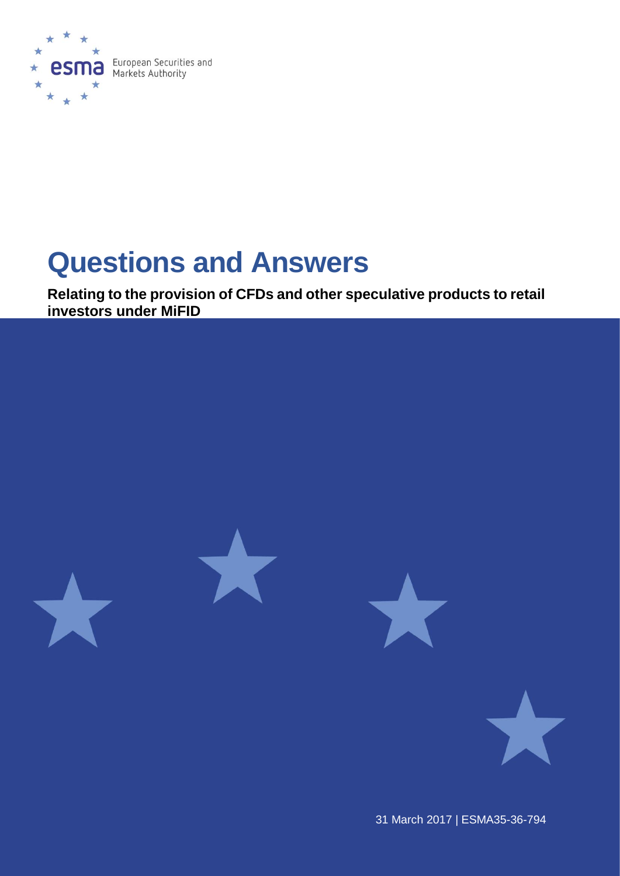

# **Questions and Answers**

**Relating to the provision of CFDs and other speculative products to retail investors under MiFID**



31 March 2017 | ESMA35-36-794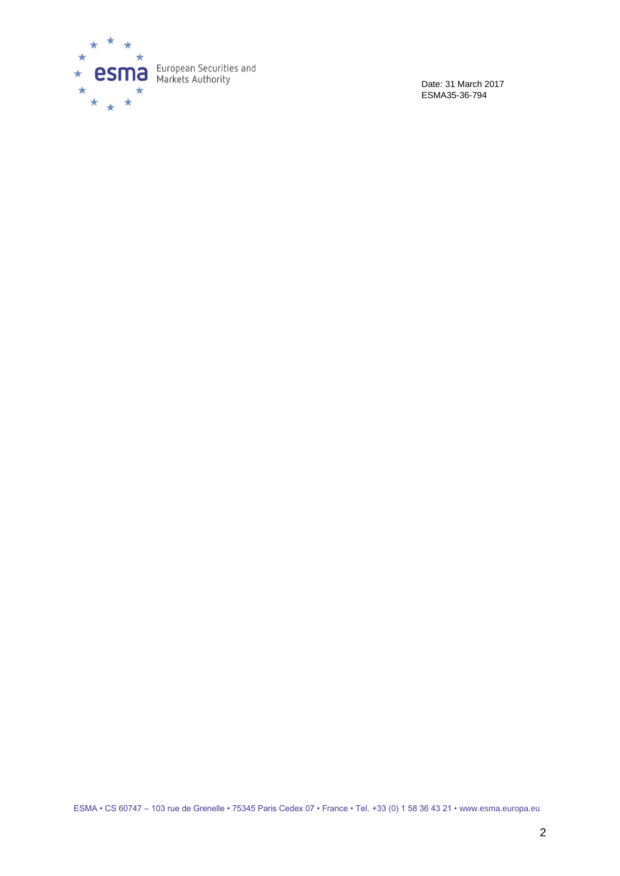

Date: 31 March 2017 ESMA35-36-794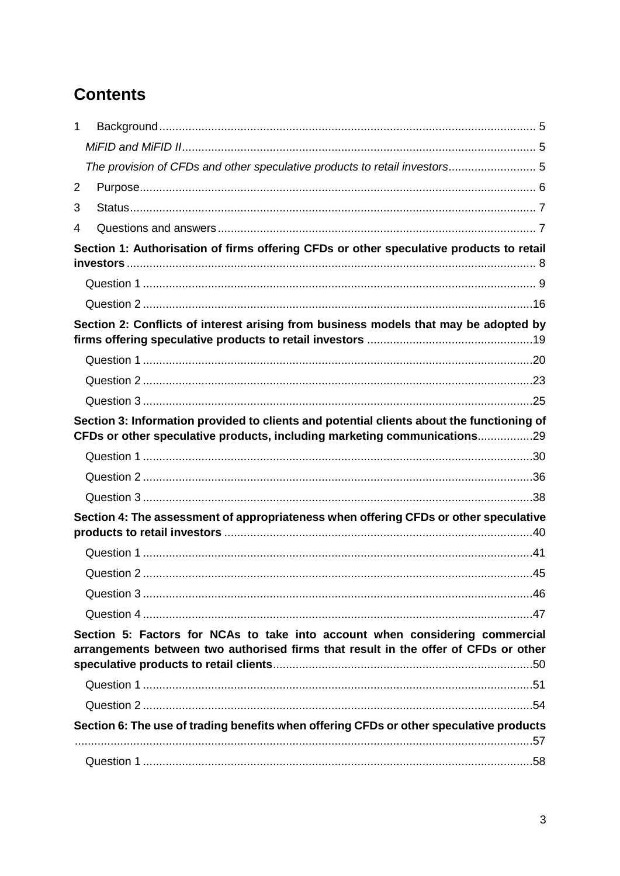# **Contents**

| 1 |                                                                                                                                                                       |  |
|---|-----------------------------------------------------------------------------------------------------------------------------------------------------------------------|--|
|   |                                                                                                                                                                       |  |
|   | The provision of CFDs and other speculative products to retail investors 5                                                                                            |  |
| 2 |                                                                                                                                                                       |  |
| 3 |                                                                                                                                                                       |  |
| 4 |                                                                                                                                                                       |  |
|   | Section 1: Authorisation of firms offering CFDs or other speculative products to retail                                                                               |  |
|   |                                                                                                                                                                       |  |
|   |                                                                                                                                                                       |  |
|   | Section 2: Conflicts of interest arising from business models that may be adopted by                                                                                  |  |
|   |                                                                                                                                                                       |  |
|   |                                                                                                                                                                       |  |
|   |                                                                                                                                                                       |  |
|   |                                                                                                                                                                       |  |
|   | Section 3: Information provided to clients and potential clients about the functioning of<br>CFDs or other speculative products, including marketing communications29 |  |
|   |                                                                                                                                                                       |  |
|   |                                                                                                                                                                       |  |
|   |                                                                                                                                                                       |  |
|   | Section 4: The assessment of appropriateness when offering CFDs or other speculative                                                                                  |  |
|   |                                                                                                                                                                       |  |
|   |                                                                                                                                                                       |  |
|   |                                                                                                                                                                       |  |
|   |                                                                                                                                                                       |  |
|   | Section 5: Factors for NCAs to take into account when considering commercial<br>arrangements between two authorised firms that result in the offer of CFDs or other   |  |
|   |                                                                                                                                                                       |  |
|   |                                                                                                                                                                       |  |
|   | Section 6: The use of trading benefits when offering CFDs or other speculative products                                                                               |  |
|   |                                                                                                                                                                       |  |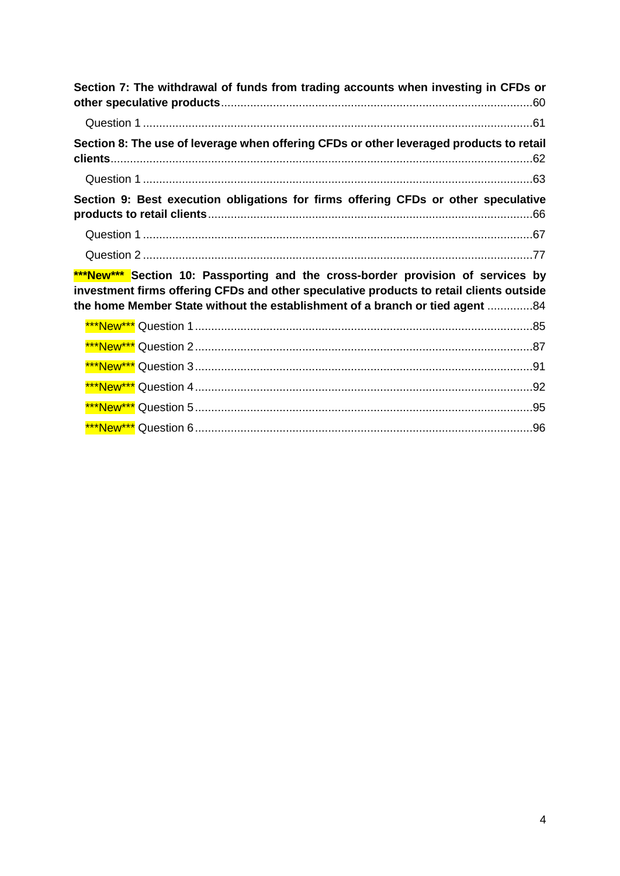| Section 7: The withdrawal of funds from trading accounts when investing in CFDs or                                                                                                                                                                         |
|------------------------------------------------------------------------------------------------------------------------------------------------------------------------------------------------------------------------------------------------------------|
|                                                                                                                                                                                                                                                            |
| Section 8: The use of leverage when offering CFDs or other leveraged products to retail                                                                                                                                                                    |
|                                                                                                                                                                                                                                                            |
| Section 9: Best execution obligations for firms offering CFDs or other speculative                                                                                                                                                                         |
|                                                                                                                                                                                                                                                            |
|                                                                                                                                                                                                                                                            |
| ***New*** Section 10: Passporting and the cross-border provision of services by<br>investment firms offering CFDs and other speculative products to retail clients outside<br>the home Member State without the establishment of a branch or tied agent 84 |
|                                                                                                                                                                                                                                                            |
|                                                                                                                                                                                                                                                            |
|                                                                                                                                                                                                                                                            |
| <u>***New***</u> Question 4……………………………………………………………………………………………92                                                                                                                                                                                           |
| <u>***New***</u> Question 5……………………………………………………………………………………………95                                                                                                                                                                                           |
|                                                                                                                                                                                                                                                            |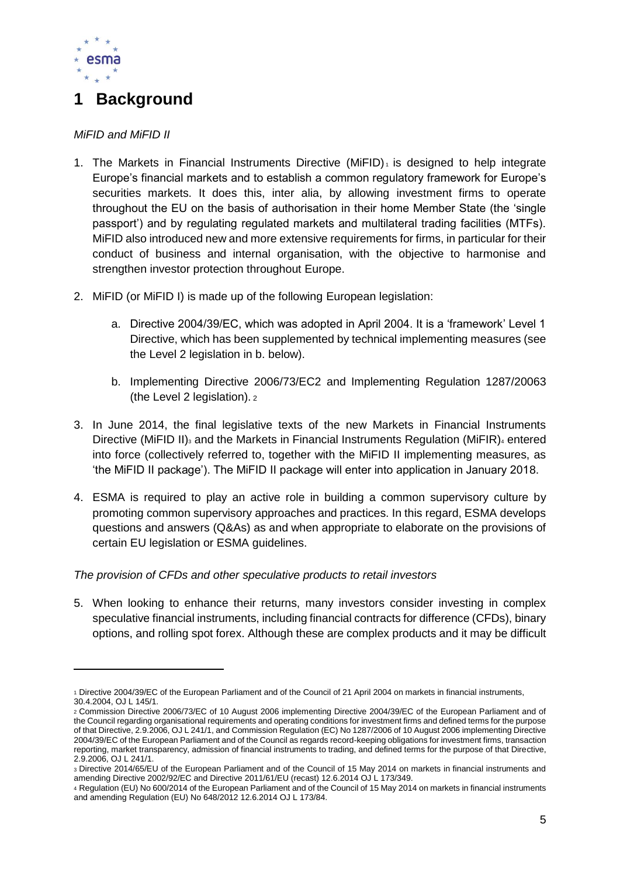

# <span id="page-4-0"></span>**1 Background**

#### <span id="page-4-1"></span>*MiFID and MiFID II*

- 1. The Markets in Financial Instruments Directive (MiFID) $<sub>1</sub>$  is designed to help integrate</sub> Europe's financial markets and to establish a common regulatory framework for Europe's securities markets. It does this, inter alia, by allowing investment firms to operate throughout the EU on the basis of authorisation in their home Member State (the 'single passport') and by regulating regulated markets and multilateral trading facilities (MTFs). MiFID also introduced new and more extensive requirements for firms, in particular for their conduct of business and internal organisation, with the objective to harmonise and strengthen investor protection throughout Europe.
- 2. MiFID (or MiFID I) is made up of the following European legislation:
	- a. Directive 2004/39/EC, which was adopted in April 2004. It is a 'framework' Level 1 Directive, which has been supplemented by technical implementing measures (see the Level 2 legislation in b. below).
	- b. Implementing Directive 2006/73/EC2 and Implementing Regulation 1287/20063 (the Level 2 legislation). <sup>2</sup>
- 3. In June 2014, the final legislative texts of the new Markets in Financial Instruments Directive (MiFID II)<sub>3</sub> and the Markets in Financial Instruments Regulation (MiFIR)<sub>4</sub> entered into force (collectively referred to, together with the MiFID II implementing measures, as 'the MiFID II package'). The MiFID II package will enter into application in January 2018.
- 4. ESMA is required to play an active role in building a common supervisory culture by promoting common supervisory approaches and practices. In this regard, ESMA develops questions and answers (Q&As) as and when appropriate to elaborate on the provisions of certain EU legislation or ESMA guidelines.

#### <span id="page-4-2"></span>*The provision of CFDs and other speculative products to retail investors*

5. When looking to enhance their returns, many investors consider investing in complex speculative financial instruments, including financial contracts for difference (CFDs), binary options, and rolling spot forex. Although these are complex products and it may be difficult

<sup>1</sup> Directive 2004/39/EC of the European Parliament and of the Council of 21 April 2004 on markets in financial instruments, 30.4.2004, OJ L 145/1.

<sup>2</sup> Commission Directive 2006/73/EC of 10 August 2006 implementing Directive 2004/39/EC of the European Parliament and of the Council regarding organisational requirements and operating conditions for investment firms and defined terms for the purpose of that Directive, 2.9.2006, OJ L 241/1, and Commission Regulation (EC) No 1287/2006 of 10 August 2006 implementing Directive 2004/39/EC of the European Parliament and of the Council as regards record-keeping obligations for investment firms, transaction reporting, market transparency, admission of financial instruments to trading, and defined terms for the purpose of that Directive, 2.9.2006, OJ L 241/1.

<sup>3</sup> Directive 2014/65/EU of the European Parliament and of the Council of 15 May 2014 on markets in financial instruments and amending Directive 2002/92/EC and Directive 2011/61/EU (recast) 12.6.2014 OJ L 173/349.

<sup>4</sup> Regulation (EU) No 600/2014 of the European Parliament and of the Council of 15 May 2014 on markets in financial instruments and amending Regulation (EU) No 648/2012 12.6.2014 OJ L 173/84.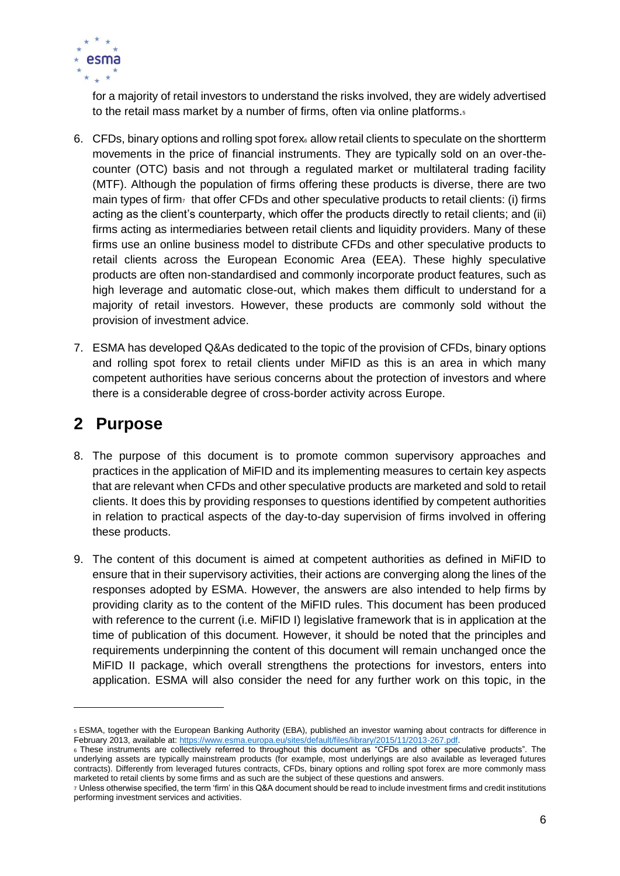

for a majority of retail investors to understand the risks involved, they are widely advertised to the retail mass market by a number of firms, often via online platforms.<sup>5</sup>

- 6. CFDs, binary options and rolling spot forex<sub>6</sub> allow retail clients to speculate on the shortterm movements in the price of financial instruments. They are typically sold on an over-thecounter (OTC) basis and not through a regulated market or multilateral trading facility (MTF). Although the population of firms offering these products is diverse, there are two main types of firm<sub> $7$ </sub> that offer CFDs and other speculative products to retail clients: (i) firms acting as the client's counterparty, which offer the products directly to retail clients; and (ii) firms acting as intermediaries between retail clients and liquidity providers. Many of these firms use an online business model to distribute CFDs and other speculative products to retail clients across the European Economic Area (EEA). These highly speculative products are often non-standardised and commonly incorporate product features, such as high leverage and automatic close-out, which makes them difficult to understand for a majority of retail investors. However, these products are commonly sold without the provision of investment advice.
- 7. ESMA has developed Q&As dedicated to the topic of the provision of CFDs, binary options and rolling spot forex to retail clients under MiFID as this is an area in which many competent authorities have serious concerns about the protection of investors and where there is a considerable degree of cross-border activity across Europe.

## <span id="page-5-0"></span>**2 Purpose**

- 8. The purpose of this document is to promote common supervisory approaches and practices in the application of MiFID and its implementing measures to certain key aspects that are relevant when CFDs and other speculative products are marketed and sold to retail clients. It does this by providing responses to questions identified by competent authorities in relation to practical aspects of the day-to-day supervision of firms involved in offering these products.
- 9. The content of this document is aimed at competent authorities as defined in MiFID to ensure that in their supervisory activities, their actions are converging along the lines of the responses adopted by ESMA. However, the answers are also intended to help firms by providing clarity as to the content of the MiFID rules. This document has been produced with reference to the current (i.e. MiFID I) legislative framework that is in application at the time of publication of this document. However, it should be noted that the principles and requirements underpinning the content of this document will remain unchanged once the MiFID II package, which overall strengthens the protections for investors, enters into application. ESMA will also consider the need for any further work on this topic, in the

<sup>5</sup> ESMA, together with the European Banking Authority (EBA), published an investor warning about contracts for difference in February 2013, available at[: https://www.esma.europa.eu/sites/default/files/library/2015/11/2013-267.pdf.](https://www.esma.europa.eu/sites/default/files/library/2015/11/2013-267.pdf)

<sup>6</sup> These instruments are collectively referred to throughout this document as "CFDs and other speculative products". The underlying assets are typically mainstream products (for example, most underlyings are also available as leveraged futures contracts). Differently from leveraged futures contracts, CFDs, binary options and rolling spot forex are more commonly mass marketed to retail clients by some firms and as such are the subject of these questions and answers.

<sup>7</sup> Unless otherwise specified, the term 'firm' in this Q&A document should be read to include investment firms and credit institutions performing investment services and activities.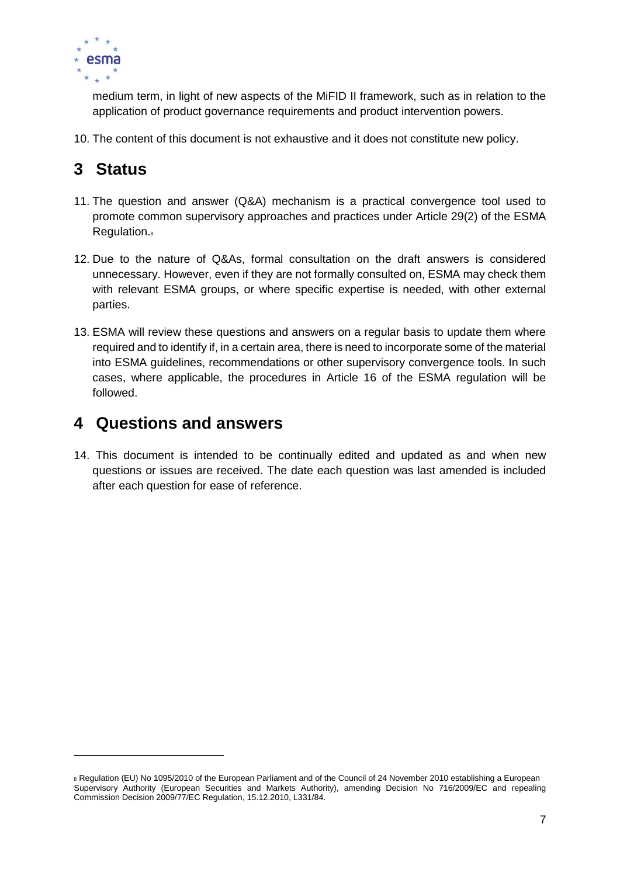

medium term, in light of new aspects of the MiFID II framework, such as in relation to the application of product governance requirements and product intervention powers.

10. The content of this document is not exhaustive and it does not constitute new policy.

# <span id="page-6-0"></span>**3 Status**

 $\overline{a}$ 

- 11. The question and answer (Q&A) mechanism is a practical convergence tool used to promote common supervisory approaches and practices under Article 29(2) of the ESMA Regulation.<sup>8</sup>
- 12. Due to the nature of Q&As, formal consultation on the draft answers is considered unnecessary. However, even if they are not formally consulted on, ESMA may check them with relevant ESMA groups, or where specific expertise is needed, with other external parties.
- 13. ESMA will review these questions and answers on a regular basis to update them where required and to identify if, in a certain area, there is need to incorporate some of the material into ESMA guidelines, recommendations or other supervisory convergence tools. In such cases, where applicable, the procedures in Article 16 of the ESMA regulation will be followed.

### <span id="page-6-1"></span>**4 Questions and answers**

14. This document is intended to be continually edited and updated as and when new questions or issues are received. The date each question was last amended is included after each question for ease of reference.

<sup>&</sup>lt;sup>8</sup> Regulation (EU) No 1095/2010 of the European Parliament and of the Council of 24 November 2010 establishing a European Supervisory Authority (European Securities and Markets Authority), amending Decision No 716/2009/EC and repealing Commission Decision 2009/77/EC Regulation, 15.12.2010, L331/84.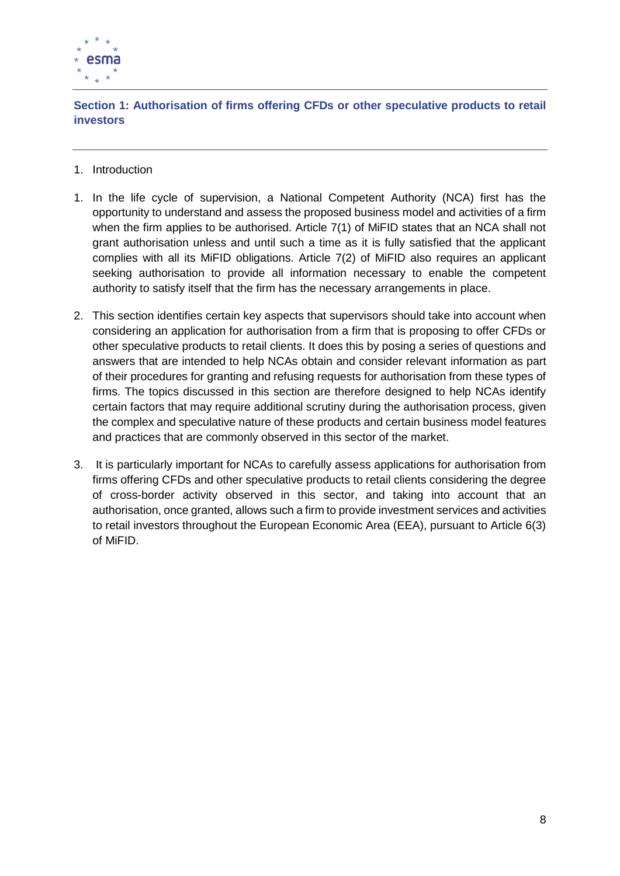

<span id="page-7-0"></span>**Section 1: Authorisation of firms offering CFDs or other speculative products to retail investors**

- 1. Introduction
- 1. In the life cycle of supervision, a National Competent Authority (NCA) first has the opportunity to understand and assess the proposed business model and activities of a firm when the firm applies to be authorised. Article 7(1) of MiFID states that an NCA shall not grant authorisation unless and until such a time as it is fully satisfied that the applicant complies with all its MiFID obligations. Article 7(2) of MiFID also requires an applicant seeking authorisation to provide all information necessary to enable the competent authority to satisfy itself that the firm has the necessary arrangements in place.
- 2. This section identifies certain key aspects that supervisors should take into account when considering an application for authorisation from a firm that is proposing to offer CFDs or other speculative products to retail clients. It does this by posing a series of questions and answers that are intended to help NCAs obtain and consider relevant information as part of their procedures for granting and refusing requests for authorisation from these types of firms. The topics discussed in this section are therefore designed to help NCAs identify certain factors that may require additional scrutiny during the authorisation process, given the complex and speculative nature of these products and certain business model features and practices that are commonly observed in this sector of the market.
- 3. It is particularly important for NCAs to carefully assess applications for authorisation from firms offering CFDs and other speculative products to retail clients considering the degree of cross-border activity observed in this sector, and taking into account that an authorisation, once granted, allows such a firm to provide investment services and activities to retail investors throughout the European Economic Area (EEA), pursuant to Article 6(3) of MiFID.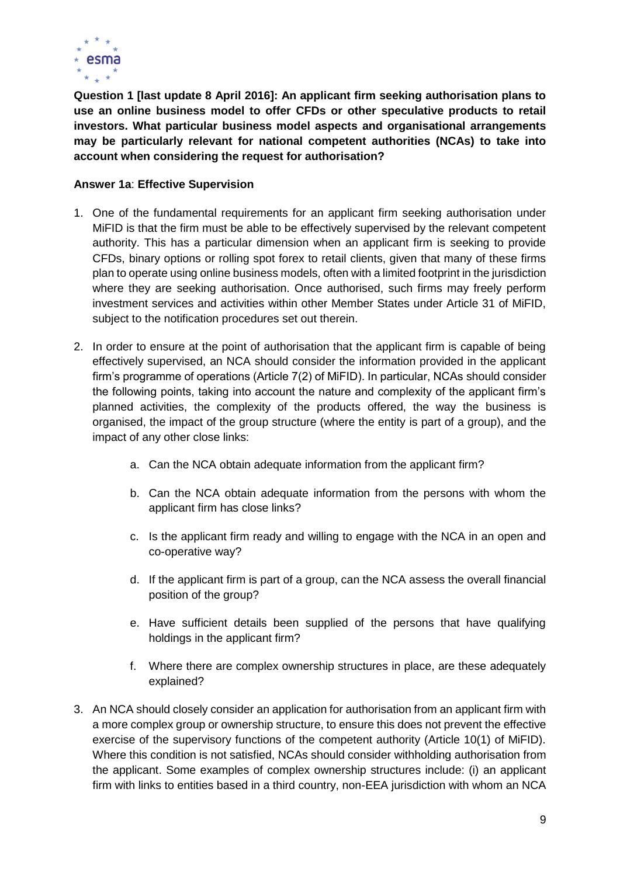

<span id="page-8-0"></span>**Question 1 [last update 8 April 2016]: An applicant firm seeking authorisation plans to use an online business model to offer CFDs or other speculative products to retail investors. What particular business model aspects and organisational arrangements may be particularly relevant for national competent authorities (NCAs) to take into account when considering the request for authorisation?**

#### **Answer 1a**: **Effective Supervision**

- 1. One of the fundamental requirements for an applicant firm seeking authorisation under MiFID is that the firm must be able to be effectively supervised by the relevant competent authority. This has a particular dimension when an applicant firm is seeking to provide CFDs, binary options or rolling spot forex to retail clients, given that many of these firms plan to operate using online business models, often with a limited footprint in the jurisdiction where they are seeking authorisation. Once authorised, such firms may freely perform investment services and activities within other Member States under Article 31 of MiFID, subject to the notification procedures set out therein.
- 2. In order to ensure at the point of authorisation that the applicant firm is capable of being effectively supervised, an NCA should consider the information provided in the applicant firm's programme of operations (Article 7(2) of MiFID). In particular, NCAs should consider the following points, taking into account the nature and complexity of the applicant firm's planned activities, the complexity of the products offered, the way the business is organised, the impact of the group structure (where the entity is part of a group), and the impact of any other close links:
	- a. Can the NCA obtain adequate information from the applicant firm?
	- b. Can the NCA obtain adequate information from the persons with whom the applicant firm has close links?
	- c. Is the applicant firm ready and willing to engage with the NCA in an open and co-operative way?
	- d. If the applicant firm is part of a group, can the NCA assess the overall financial position of the group?
	- e. Have sufficient details been supplied of the persons that have qualifying holdings in the applicant firm?
	- f. Where there are complex ownership structures in place, are these adequately explained?
- 3. An NCA should closely consider an application for authorisation from an applicant firm with a more complex group or ownership structure, to ensure this does not prevent the effective exercise of the supervisory functions of the competent authority (Article 10(1) of MiFID). Where this condition is not satisfied, NCAs should consider withholding authorisation from the applicant. Some examples of complex ownership structures include: (i) an applicant firm with links to entities based in a third country, non-EEA jurisdiction with whom an NCA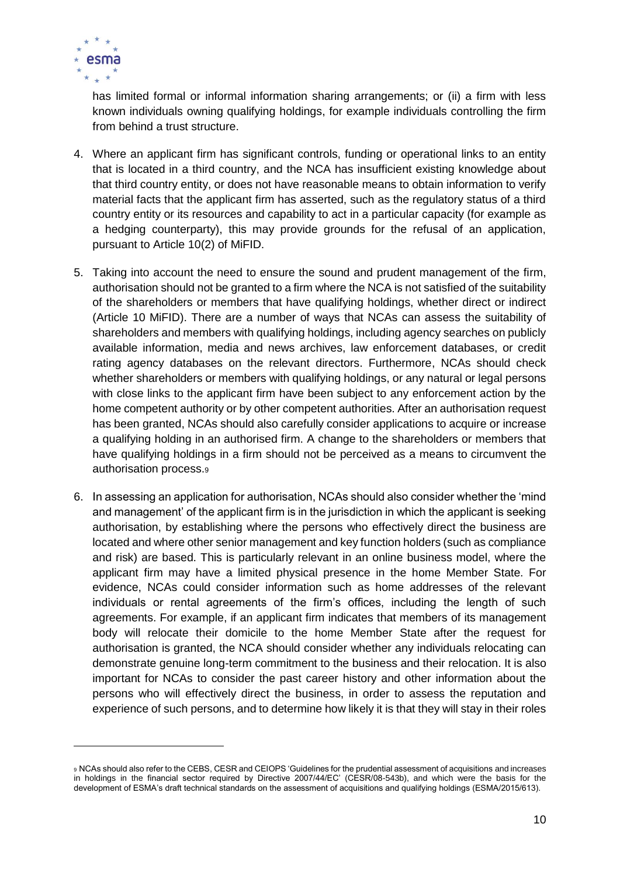

has limited formal or informal information sharing arrangements; or (ii) a firm with less known individuals owning qualifying holdings, for example individuals controlling the firm from behind a trust structure.

- 4. Where an applicant firm has significant controls, funding or operational links to an entity that is located in a third country, and the NCA has insufficient existing knowledge about that third country entity, or does not have reasonable means to obtain information to verify material facts that the applicant firm has asserted, such as the regulatory status of a third country entity or its resources and capability to act in a particular capacity (for example as a hedging counterparty), this may provide grounds for the refusal of an application, pursuant to Article 10(2) of MiFID.
- 5. Taking into account the need to ensure the sound and prudent management of the firm, authorisation should not be granted to a firm where the NCA is not satisfied of the suitability of the shareholders or members that have qualifying holdings, whether direct or indirect (Article 10 MiFID). There are a number of ways that NCAs can assess the suitability of shareholders and members with qualifying holdings, including agency searches on publicly available information, media and news archives, law enforcement databases, or credit rating agency databases on the relevant directors. Furthermore, NCAs should check whether shareholders or members with qualifying holdings, or any natural or legal persons with close links to the applicant firm have been subject to any enforcement action by the home competent authority or by other competent authorities. After an authorisation request has been granted, NCAs should also carefully consider applications to acquire or increase a qualifying holding in an authorised firm. A change to the shareholders or members that have qualifying holdings in a firm should not be perceived as a means to circumvent the authorisation process.<sup>9</sup>
- 6. In assessing an application for authorisation, NCAs should also consider whether the 'mind and management' of the applicant firm is in the jurisdiction in which the applicant is seeking authorisation, by establishing where the persons who effectively direct the business are located and where other senior management and key function holders (such as compliance and risk) are based. This is particularly relevant in an online business model, where the applicant firm may have a limited physical presence in the home Member State. For evidence, NCAs could consider information such as home addresses of the relevant individuals or rental agreements of the firm's offices, including the length of such agreements. For example, if an applicant firm indicates that members of its management body will relocate their domicile to the home Member State after the request for authorisation is granted, the NCA should consider whether any individuals relocating can demonstrate genuine long-term commitment to the business and their relocation. It is also important for NCAs to consider the past career history and other information about the persons who will effectively direct the business, in order to assess the reputation and experience of such persons, and to determine how likely it is that they will stay in their roles

<sup>9</sup> NCAs should also refer to the CEBS, CESR and CEIOPS 'Guidelines for the prudential assessment of acquisitions and increases in holdings in the financial sector required by Directive 2007/44/EC' (CESR/08-543b), and which were the basis for the development of ESMA's draft technical standards on the assessment of acquisitions and qualifying holdings (ESMA/2015/613).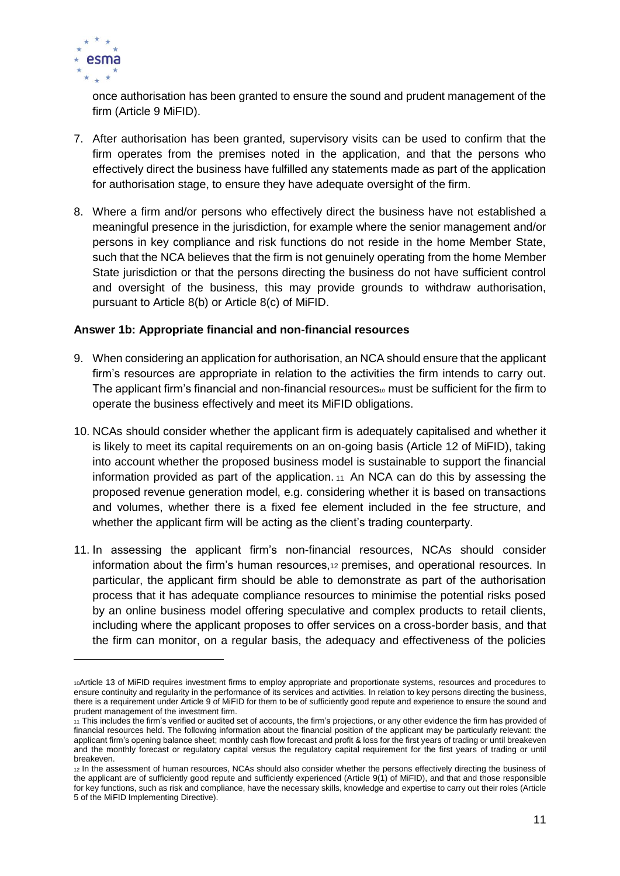

once authorisation has been granted to ensure the sound and prudent management of the firm (Article 9 MiFID).

- 7. After authorisation has been granted, supervisory visits can be used to confirm that the firm operates from the premises noted in the application, and that the persons who effectively direct the business have fulfilled any statements made as part of the application for authorisation stage, to ensure they have adequate oversight of the firm.
- 8. Where a firm and/or persons who effectively direct the business have not established a meaningful presence in the jurisdiction, for example where the senior management and/or persons in key compliance and risk functions do not reside in the home Member State, such that the NCA believes that the firm is not genuinely operating from the home Member State jurisdiction or that the persons directing the business do not have sufficient control and oversight of the business, this may provide grounds to withdraw authorisation, pursuant to Article 8(b) or Article 8(c) of MiFID.

#### **Answer 1b: Appropriate financial and non-financial resources**

- 9. When considering an application for authorisation, an NCA should ensure that the applicant firm's resources are appropriate in relation to the activities the firm intends to carry out. The applicant firm's financial and non-financial resources<sup>10</sup> must be sufficient for the firm to operate the business effectively and meet its MiFID obligations.
- 10. NCAs should consider whether the applicant firm is adequately capitalised and whether it is likely to meet its capital requirements on an on-going basis (Article 12 of MiFID), taking into account whether the proposed business model is sustainable to support the financial information provided as part of the application. <sup>11</sup> An NCA can do this by assessing the proposed revenue generation model, e.g. considering whether it is based on transactions and volumes, whether there is a fixed fee element included in the fee structure, and whether the applicant firm will be acting as the client's trading counterparty.
- 11. In assessing the applicant firm's non-financial resources, NCAs should consider information about the firm's human resources,<sup>12</sup> premises, and operational resources. In particular, the applicant firm should be able to demonstrate as part of the authorisation process that it has adequate compliance resources to minimise the potential risks posed by an online business model offering speculative and complex products to retail clients, including where the applicant proposes to offer services on a cross-border basis, and that the firm can monitor, on a regular basis, the adequacy and effectiveness of the policies

<sup>10</sup>Article 13 of MiFID requires investment firms to employ appropriate and proportionate systems, resources and procedures to ensure continuity and regularity in the performance of its services and activities. In relation to key persons directing the business, there is a requirement under Article 9 of MiFID for them to be of sufficiently good repute and experience to ensure the sound and prudent management of the investment firm.

<sup>11</sup> This includes the firm's verified or audited set of accounts, the firm's projections, or any other evidence the firm has provided of financial resources held. The following information about the financial position of the applicant may be particularly relevant: the applicant firm's opening balance sheet; monthly cash flow forecast and profit & loss for the first years of trading or until breakeven and the monthly forecast or regulatory capital versus the regulatory capital requirement for the first years of trading or until breakeven.

<sup>12</sup> In the assessment of human resources, NCAs should also consider whether the persons effectively directing the business of the applicant are of sufficiently good repute and sufficiently experienced (Article 9(1) of MiFID), and that and those responsible for key functions, such as risk and compliance, have the necessary skills, knowledge and expertise to carry out their roles (Article 5 of the MiFID Implementing Directive).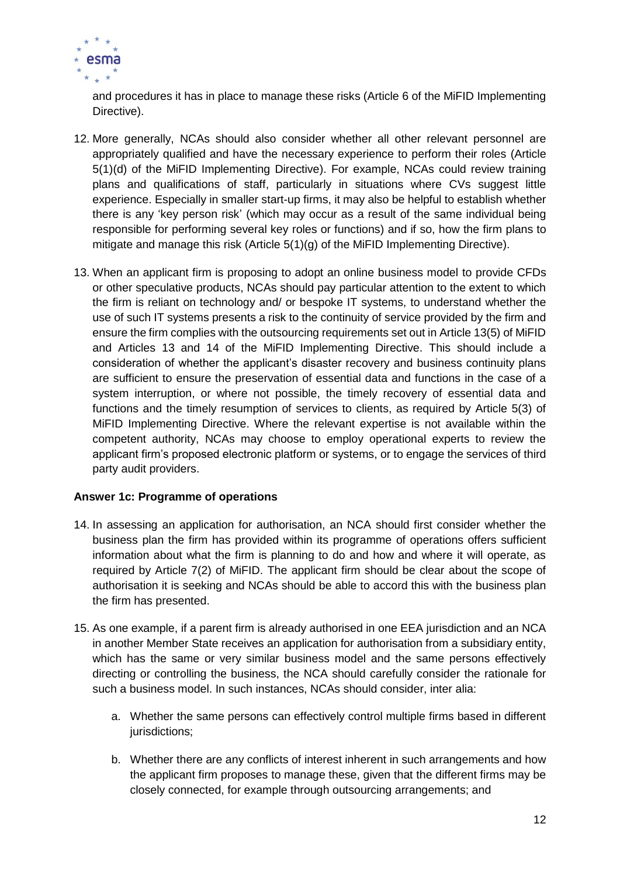

and procedures it has in place to manage these risks (Article 6 of the MiFID Implementing Directive).

- 12. More generally, NCAs should also consider whether all other relevant personnel are appropriately qualified and have the necessary experience to perform their roles (Article 5(1)(d) of the MiFID Implementing Directive). For example, NCAs could review training plans and qualifications of staff, particularly in situations where CVs suggest little experience. Especially in smaller start-up firms, it may also be helpful to establish whether there is any 'key person risk' (which may occur as a result of the same individual being responsible for performing several key roles or functions) and if so, how the firm plans to mitigate and manage this risk (Article 5(1)(g) of the MiFID Implementing Directive).
- 13. When an applicant firm is proposing to adopt an online business model to provide CFDs or other speculative products, NCAs should pay particular attention to the extent to which the firm is reliant on technology and/ or bespoke IT systems, to understand whether the use of such IT systems presents a risk to the continuity of service provided by the firm and ensure the firm complies with the outsourcing requirements set out in Article 13(5) of MiFID and Articles 13 and 14 of the MiFID Implementing Directive. This should include a consideration of whether the applicant's disaster recovery and business continuity plans are sufficient to ensure the preservation of essential data and functions in the case of a system interruption, or where not possible, the timely recovery of essential data and functions and the timely resumption of services to clients, as required by Article 5(3) of MiFID Implementing Directive. Where the relevant expertise is not available within the competent authority, NCAs may choose to employ operational experts to review the applicant firm's proposed electronic platform or systems, or to engage the services of third party audit providers.

#### **Answer 1c: Programme of operations**

- 14. In assessing an application for authorisation, an NCA should first consider whether the business plan the firm has provided within its programme of operations offers sufficient information about what the firm is planning to do and how and where it will operate, as required by Article 7(2) of MiFID. The applicant firm should be clear about the scope of authorisation it is seeking and NCAs should be able to accord this with the business plan the firm has presented.
- 15. As one example, if a parent firm is already authorised in one EEA jurisdiction and an NCA in another Member State receives an application for authorisation from a subsidiary entity, which has the same or very similar business model and the same persons effectively directing or controlling the business, the NCA should carefully consider the rationale for such a business model. In such instances, NCAs should consider, inter alia:
	- a. Whether the same persons can effectively control multiple firms based in different jurisdictions;
	- b. Whether there are any conflicts of interest inherent in such arrangements and how the applicant firm proposes to manage these, given that the different firms may be closely connected, for example through outsourcing arrangements; and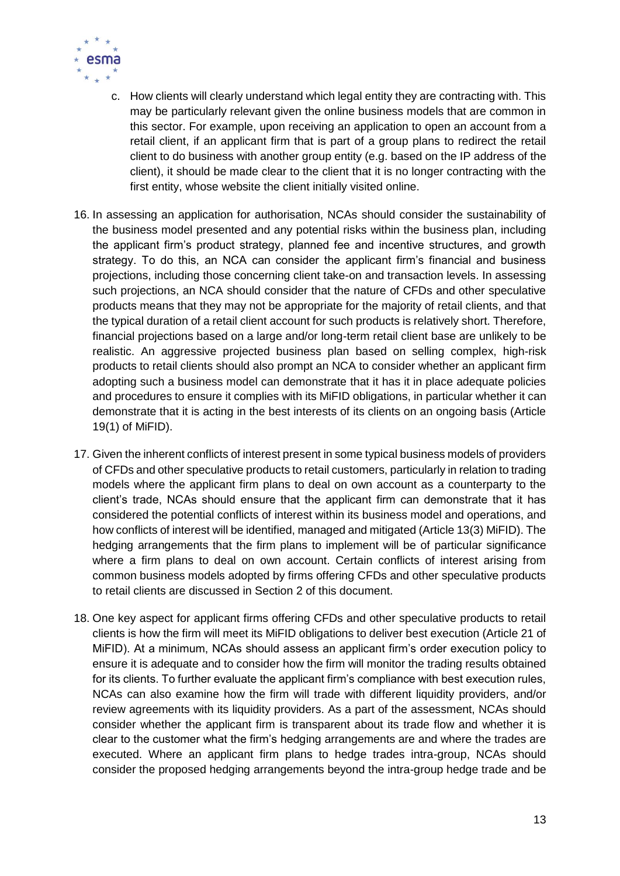

- c. How clients will clearly understand which legal entity they are contracting with. This may be particularly relevant given the online business models that are common in this sector. For example, upon receiving an application to open an account from a retail client, if an applicant firm that is part of a group plans to redirect the retail client to do business with another group entity (e.g. based on the IP address of the client), it should be made clear to the client that it is no longer contracting with the first entity, whose website the client initially visited online.
- 16. In assessing an application for authorisation, NCAs should consider the sustainability of the business model presented and any potential risks within the business plan, including the applicant firm's product strategy, planned fee and incentive structures, and growth strategy. To do this, an NCA can consider the applicant firm's financial and business projections, including those concerning client take-on and transaction levels. In assessing such projections, an NCA should consider that the nature of CFDs and other speculative products means that they may not be appropriate for the majority of retail clients, and that the typical duration of a retail client account for such products is relatively short. Therefore, financial projections based on a large and/or long-term retail client base are unlikely to be realistic. An aggressive projected business plan based on selling complex, high-risk products to retail clients should also prompt an NCA to consider whether an applicant firm adopting such a business model can demonstrate that it has it in place adequate policies and procedures to ensure it complies with its MiFID obligations, in particular whether it can demonstrate that it is acting in the best interests of its clients on an ongoing basis (Article 19(1) of MiFID).
- 17. Given the inherent conflicts of interest present in some typical business models of providers of CFDs and other speculative products to retail customers, particularly in relation to trading models where the applicant firm plans to deal on own account as a counterparty to the client's trade, NCAs should ensure that the applicant firm can demonstrate that it has considered the potential conflicts of interest within its business model and operations, and how conflicts of interest will be identified, managed and mitigated (Article 13(3) MiFID). The hedging arrangements that the firm plans to implement will be of particular significance where a firm plans to deal on own account. Certain conflicts of interest arising from common business models adopted by firms offering CFDs and other speculative products to retail clients are discussed in Section 2 of this document.
- 18. One key aspect for applicant firms offering CFDs and other speculative products to retail clients is how the firm will meet its MiFID obligations to deliver best execution (Article 21 of MiFID). At a minimum, NCAs should assess an applicant firm's order execution policy to ensure it is adequate and to consider how the firm will monitor the trading results obtained for its clients. To further evaluate the applicant firm's compliance with best execution rules, NCAs can also examine how the firm will trade with different liquidity providers, and/or review agreements with its liquidity providers. As a part of the assessment, NCAs should consider whether the applicant firm is transparent about its trade flow and whether it is clear to the customer what the firm's hedging arrangements are and where the trades are executed. Where an applicant firm plans to hedge trades intra-group, NCAs should consider the proposed hedging arrangements beyond the intra-group hedge trade and be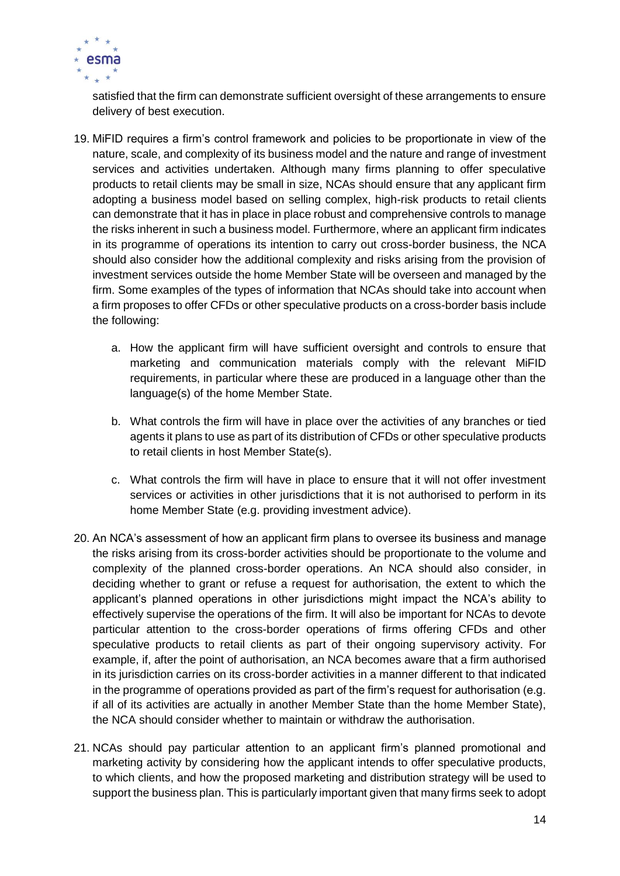

satisfied that the firm can demonstrate sufficient oversight of these arrangements to ensure delivery of best execution.

- 19. MiFID requires a firm's control framework and policies to be proportionate in view of the nature, scale, and complexity of its business model and the nature and range of investment services and activities undertaken. Although many firms planning to offer speculative products to retail clients may be small in size, NCAs should ensure that any applicant firm adopting a business model based on selling complex, high-risk products to retail clients can demonstrate that it has in place in place robust and comprehensive controls to manage the risks inherent in such a business model. Furthermore, where an applicant firm indicates in its programme of operations its intention to carry out cross-border business, the NCA should also consider how the additional complexity and risks arising from the provision of investment services outside the home Member State will be overseen and managed by the firm. Some examples of the types of information that NCAs should take into account when a firm proposes to offer CFDs or other speculative products on a cross-border basis include the following:
	- a. How the applicant firm will have sufficient oversight and controls to ensure that marketing and communication materials comply with the relevant MiFID requirements, in particular where these are produced in a language other than the language(s) of the home Member State.
	- b. What controls the firm will have in place over the activities of any branches or tied agents it plans to use as part of its distribution of CFDs or other speculative products to retail clients in host Member State(s).
	- c. What controls the firm will have in place to ensure that it will not offer investment services or activities in other jurisdictions that it is not authorised to perform in its home Member State (e.g. providing investment advice).
- 20. An NCA's assessment of how an applicant firm plans to oversee its business and manage the risks arising from its cross-border activities should be proportionate to the volume and complexity of the planned cross-border operations. An NCA should also consider, in deciding whether to grant or refuse a request for authorisation, the extent to which the applicant's planned operations in other jurisdictions might impact the NCA's ability to effectively supervise the operations of the firm. It will also be important for NCAs to devote particular attention to the cross-border operations of firms offering CFDs and other speculative products to retail clients as part of their ongoing supervisory activity. For example, if, after the point of authorisation, an NCA becomes aware that a firm authorised in its jurisdiction carries on its cross-border activities in a manner different to that indicated in the programme of operations provided as part of the firm's request for authorisation (e.g. if all of its activities are actually in another Member State than the home Member State), the NCA should consider whether to maintain or withdraw the authorisation.
- 21. NCAs should pay particular attention to an applicant firm's planned promotional and marketing activity by considering how the applicant intends to offer speculative products, to which clients, and how the proposed marketing and distribution strategy will be used to support the business plan. This is particularly important given that many firms seek to adopt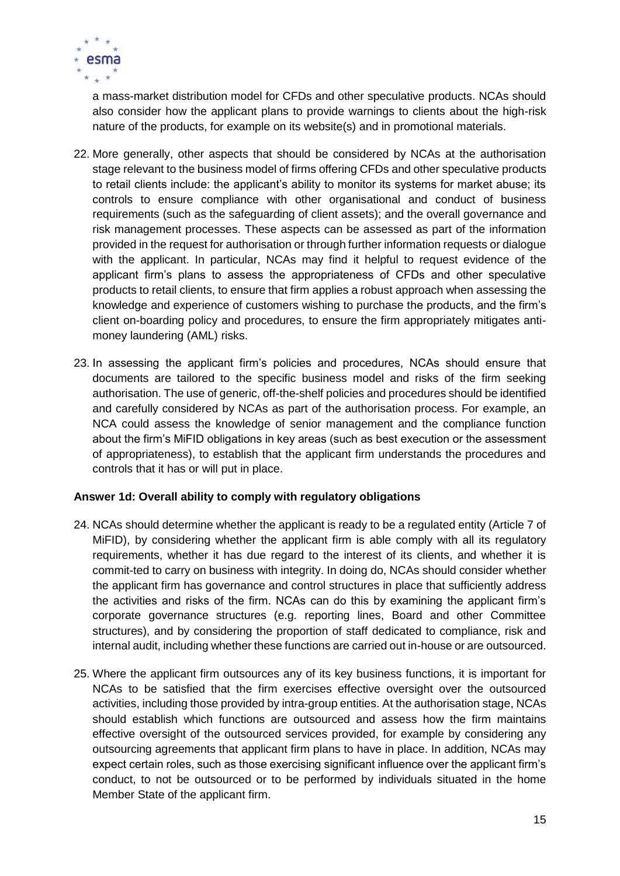

a mass-market distribution model for CFDs and other speculative products. NCAs should also consider how the applicant plans to provide warnings to clients about the high-risk nature of the products, for example on its website(s) and in promotional materials.

- 22. More generally, other aspects that should be considered by NCAs at the authorisation stage relevant to the business model of firms offering CFDs and other speculative products to retail clients include: the applicant's ability to monitor its systems for market abuse; its controls to ensure compliance with other organisational and conduct of business requirements (such as the safeguarding of client assets); and the overall governance and risk management processes. These aspects can be assessed as part of the information provided in the request for authorisation or through further information requests or dialogue with the applicant. In particular, NCAs may find it helpful to request evidence of the applicant firm's plans to assess the appropriateness of CFDs and other speculative products to retail clients, to ensure that firm applies a robust approach when assessing the knowledge and experience of customers wishing to purchase the products, and the firm's client on-boarding policy and procedures, to ensure the firm appropriately mitigates antimoney laundering (AML) risks.
- 23. In assessing the applicant firm's policies and procedures, NCAs should ensure that documents are tailored to the specific business model and risks of the firm seeking authorisation. The use of generic, off-the-shelf policies and procedures should be identified and carefully considered by NCAs as part of the authorisation process. For example, an NCA could assess the knowledge of senior management and the compliance function about the firm's MiFID obligations in key areas (such as best execution or the assessment of appropriateness), to establish that the applicant firm understands the procedures and controls that it has or will put in place.

#### **Answer 1d: Overall ability to comply with regulatory obligations**

- 24. NCAs should determine whether the applicant is ready to be a regulated entity (Article 7 of MiFID), by considering whether the applicant firm is able comply with all its regulatory requirements, whether it has due regard to the interest of its clients, and whether it is commit-ted to carry on business with integrity. In doing do, NCAs should consider whether the applicant firm has governance and control structures in place that sufficiently address the activities and risks of the firm. NCAs can do this by examining the applicant firm's corporate governance structures (e.g. reporting lines, Board and other Committee structures), and by considering the proportion of staff dedicated to compliance, risk and internal audit, including whether these functions are carried out in-house or are outsourced.
- 25. Where the applicant firm outsources any of its key business functions, it is important for NCAs to be satisfied that the firm exercises effective oversight over the outsourced activities, including those provided by intra-group entities. At the authorisation stage, NCAs should establish which functions are outsourced and assess how the firm maintains effective oversight of the outsourced services provided, for example by considering any outsourcing agreements that applicant firm plans to have in place. In addition, NCAs may expect certain roles, such as those exercising significant influence over the applicant firm's conduct, to not be outsourced or to be performed by individuals situated in the home Member State of the applicant firm.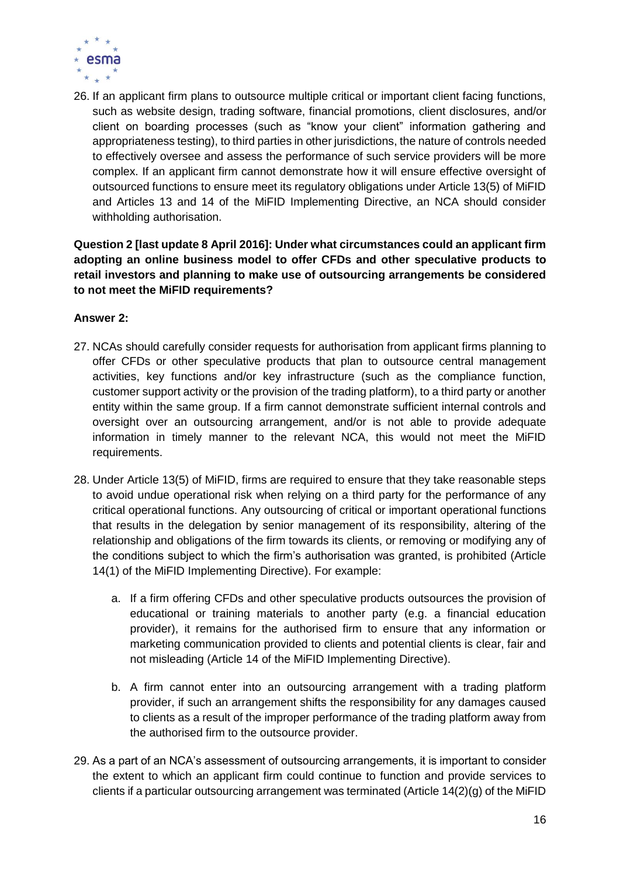

26. If an applicant firm plans to outsource multiple critical or important client facing functions, such as website design, trading software, financial promotions, client disclosures, and/or client on boarding processes (such as "know your client" information gathering and appropriateness testing), to third parties in other jurisdictions, the nature of controls needed to effectively oversee and assess the performance of such service providers will be more complex. If an applicant firm cannot demonstrate how it will ensure effective oversight of outsourced functions to ensure meet its regulatory obligations under Article 13(5) of MiFID and Articles 13 and 14 of the MiFID Implementing Directive, an NCA should consider withholding authorisation.

#### <span id="page-15-0"></span>**Question 2 [last update 8 April 2016]: Under what circumstances could an applicant firm adopting an online business model to offer CFDs and other speculative products to retail investors and planning to make use of outsourcing arrangements be considered to not meet the MiFID requirements?**

#### **Answer 2:**

- 27. NCAs should carefully consider requests for authorisation from applicant firms planning to offer CFDs or other speculative products that plan to outsource central management activities, key functions and/or key infrastructure (such as the compliance function, customer support activity or the provision of the trading platform), to a third party or another entity within the same group. If a firm cannot demonstrate sufficient internal controls and oversight over an outsourcing arrangement, and/or is not able to provide adequate information in timely manner to the relevant NCA, this would not meet the MiFID requirements.
- 28. Under Article 13(5) of MiFID, firms are required to ensure that they take reasonable steps to avoid undue operational risk when relying on a third party for the performance of any critical operational functions. Any outsourcing of critical or important operational functions that results in the delegation by senior management of its responsibility, altering of the relationship and obligations of the firm towards its clients, or removing or modifying any of the conditions subject to which the firm's authorisation was granted, is prohibited (Article 14(1) of the MiFID Implementing Directive). For example:
	- a. If a firm offering CFDs and other speculative products outsources the provision of educational or training materials to another party (e.g. a financial education provider), it remains for the authorised firm to ensure that any information or marketing communication provided to clients and potential clients is clear, fair and not misleading (Article 14 of the MiFID Implementing Directive).
	- b. A firm cannot enter into an outsourcing arrangement with a trading platform provider, if such an arrangement shifts the responsibility for any damages caused to clients as a result of the improper performance of the trading platform away from the authorised firm to the outsource provider.
- 29. As a part of an NCA's assessment of outsourcing arrangements, it is important to consider the extent to which an applicant firm could continue to function and provide services to clients if a particular outsourcing arrangement was terminated (Article 14(2)(g) of the MiFID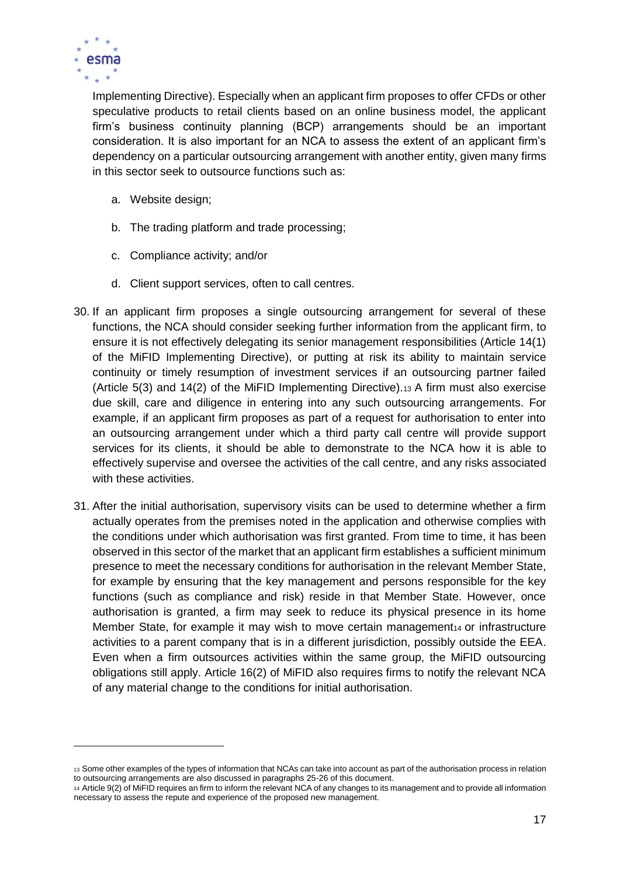

Implementing Directive). Especially when an applicant firm proposes to offer CFDs or other speculative products to retail clients based on an online business model, the applicant firm's business continuity planning (BCP) arrangements should be an important consideration. It is also important for an NCA to assess the extent of an applicant firm's dependency on a particular outsourcing arrangement with another entity, given many firms in this sector seek to outsource functions such as:

- a. Website design;
- b. The trading platform and trade processing;
- c. Compliance activity; and/or
- d. Client support services, often to call centres.
- 30. If an applicant firm proposes a single outsourcing arrangement for several of these functions, the NCA should consider seeking further information from the applicant firm, to ensure it is not effectively delegating its senior management responsibilities (Article 14(1) of the MiFID Implementing Directive), or putting at risk its ability to maintain service continuity or timely resumption of investment services if an outsourcing partner failed (Article 5(3) and 14(2) of the MiFID Implementing Directive).<sup>13</sup> A firm must also exercise due skill, care and diligence in entering into any such outsourcing arrangements. For example, if an applicant firm proposes as part of a request for authorisation to enter into an outsourcing arrangement under which a third party call centre will provide support services for its clients, it should be able to demonstrate to the NCA how it is able to effectively supervise and oversee the activities of the call centre, and any risks associated with these activities.
- 31. After the initial authorisation, supervisory visits can be used to determine whether a firm actually operates from the premises noted in the application and otherwise complies with the conditions under which authorisation was first granted. From time to time, it has been observed in this sector of the market that an applicant firm establishes a sufficient minimum presence to meet the necessary conditions for authorisation in the relevant Member State, for example by ensuring that the key management and persons responsible for the key functions (such as compliance and risk) reside in that Member State. However, once authorisation is granted, a firm may seek to reduce its physical presence in its home Member State, for example it may wish to move certain management $14$  or infrastructure activities to a parent company that is in a different jurisdiction, possibly outside the EEA. Even when a firm outsources activities within the same group, the MiFID outsourcing obligations still apply. Article 16(2) of MiFID also requires firms to notify the relevant NCA of any material change to the conditions for initial authorisation.

<sup>13</sup> Some other examples of the types of information that NCAs can take into account as part of the authorisation process in relation to outsourcing arrangements are also discussed in paragraphs 25-26 of this document.

<sup>14</sup> Article 9(2) of MiFID requires an firm to inform the relevant NCA of any changes to its management and to provide all information necessary to assess the repute and experience of the proposed new management.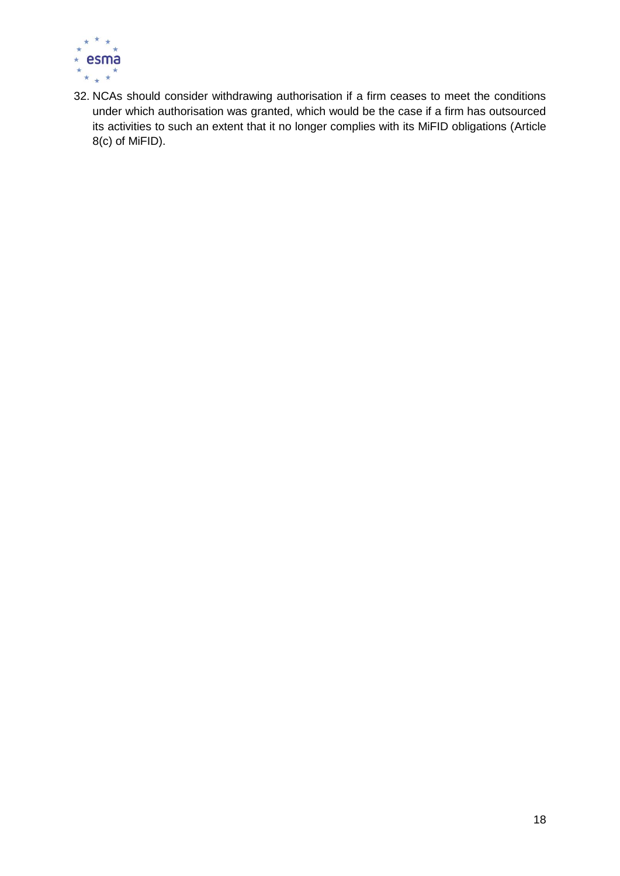

32. NCAs should consider withdrawing authorisation if a firm ceases to meet the conditions under which authorisation was granted, which would be the case if a firm has outsourced its activities to such an extent that it no longer complies with its MiFID obligations (Article 8(c) of MiFID).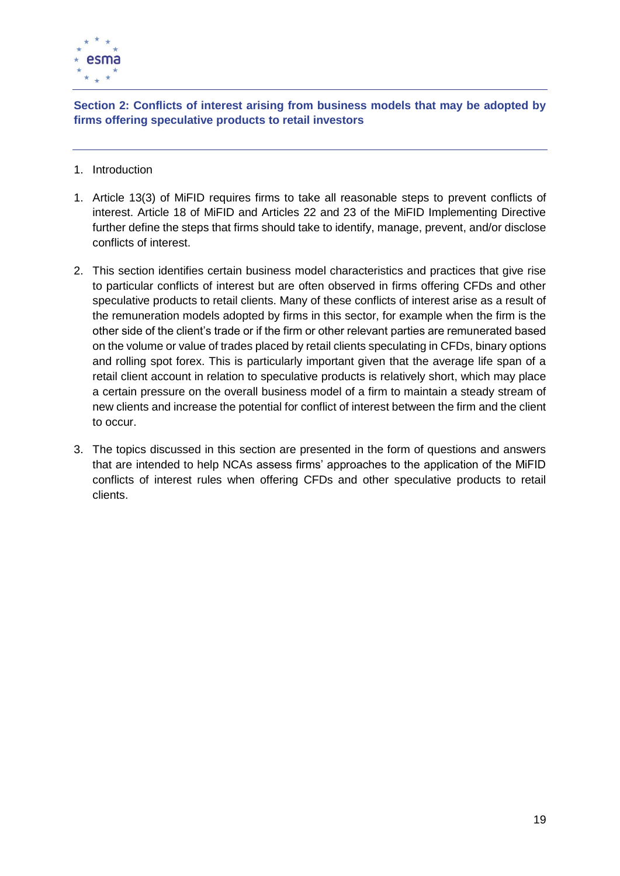

<span id="page-18-0"></span>**Section 2: Conflicts of interest arising from business models that may be adopted by firms offering speculative products to retail investors**

- 1. Introduction
- 1. Article 13(3) of MiFID requires firms to take all reasonable steps to prevent conflicts of interest. Article 18 of MiFID and Articles 22 and 23 of the MiFID Implementing Directive further define the steps that firms should take to identify, manage, prevent, and/or disclose conflicts of interest.
- 2. This section identifies certain business model characteristics and practices that give rise to particular conflicts of interest but are often observed in firms offering CFDs and other speculative products to retail clients. Many of these conflicts of interest arise as a result of the remuneration models adopted by firms in this sector, for example when the firm is the other side of the client's trade or if the firm or other relevant parties are remunerated based on the volume or value of trades placed by retail clients speculating in CFDs, binary options and rolling spot forex. This is particularly important given that the average life span of a retail client account in relation to speculative products is relatively short, which may place a certain pressure on the overall business model of a firm to maintain a steady stream of new clients and increase the potential for conflict of interest between the firm and the client to occur.
- 3. The topics discussed in this section are presented in the form of questions and answers that are intended to help NCAs assess firms' approaches to the application of the MiFID conflicts of interest rules when offering CFDs and other speculative products to retail clients.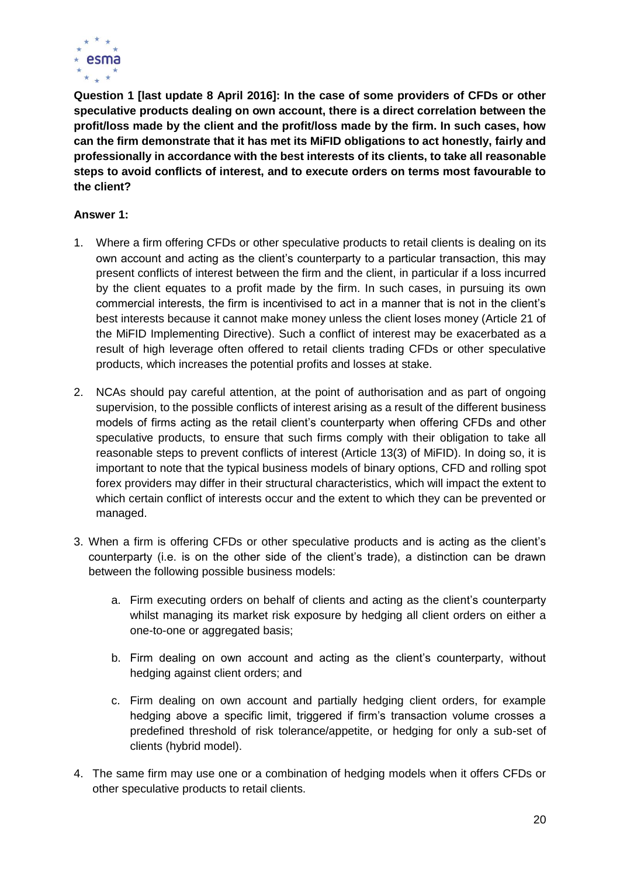

<span id="page-19-0"></span>**Question 1 [last update 8 April 2016]: In the case of some providers of CFDs or other speculative products dealing on own account, there is a direct correlation between the profit/loss made by the client and the profit/loss made by the firm. In such cases, how can the firm demonstrate that it has met its MiFID obligations to act honestly, fairly and professionally in accordance with the best interests of its clients, to take all reasonable steps to avoid conflicts of interest, and to execute orders on terms most favourable to the client?**

#### **Answer 1:**

- 1. Where a firm offering CFDs or other speculative products to retail clients is dealing on its own account and acting as the client's counterparty to a particular transaction, this may present conflicts of interest between the firm and the client, in particular if a loss incurred by the client equates to a profit made by the firm. In such cases, in pursuing its own commercial interests, the firm is incentivised to act in a manner that is not in the client's best interests because it cannot make money unless the client loses money (Article 21 of the MiFID Implementing Directive). Such a conflict of interest may be exacerbated as a result of high leverage often offered to retail clients trading CFDs or other speculative products, which increases the potential profits and losses at stake.
- 2. NCAs should pay careful attention, at the point of authorisation and as part of ongoing supervision, to the possible conflicts of interest arising as a result of the different business models of firms acting as the retail client's counterparty when offering CFDs and other speculative products, to ensure that such firms comply with their obligation to take all reasonable steps to prevent conflicts of interest (Article 13(3) of MiFID). In doing so, it is important to note that the typical business models of binary options, CFD and rolling spot forex providers may differ in their structural characteristics, which will impact the extent to which certain conflict of interests occur and the extent to which they can be prevented or managed.
- 3. When a firm is offering CFDs or other speculative products and is acting as the client's counterparty (i.e. is on the other side of the client's trade), a distinction can be drawn between the following possible business models:
	- a. Firm executing orders on behalf of clients and acting as the client's counterparty whilst managing its market risk exposure by hedging all client orders on either a one-to-one or aggregated basis;
	- b. Firm dealing on own account and acting as the client's counterparty, without hedging against client orders; and
	- c. Firm dealing on own account and partially hedging client orders, for example hedging above a specific limit, triggered if firm's transaction volume crosses a predefined threshold of risk tolerance/appetite, or hedging for only a sub-set of clients (hybrid model).
- 4. The same firm may use one or a combination of hedging models when it offers CFDs or other speculative products to retail clients.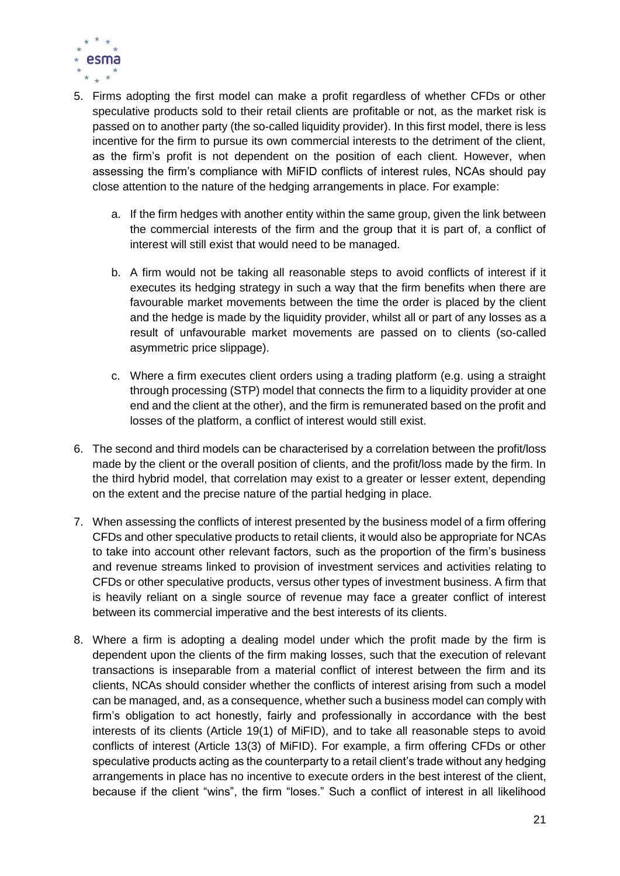

- 5. Firms adopting the first model can make a profit regardless of whether CFDs or other speculative products sold to their retail clients are profitable or not, as the market risk is passed on to another party (the so-called liquidity provider). In this first model, there is less incentive for the firm to pursue its own commercial interests to the detriment of the client, as the firm's profit is not dependent on the position of each client. However, when assessing the firm's compliance with MiFID conflicts of interest rules, NCAs should pay close attention to the nature of the hedging arrangements in place. For example:
	- a. If the firm hedges with another entity within the same group, given the link between the commercial interests of the firm and the group that it is part of, a conflict of interest will still exist that would need to be managed.
	- b. A firm would not be taking all reasonable steps to avoid conflicts of interest if it executes its hedging strategy in such a way that the firm benefits when there are favourable market movements between the time the order is placed by the client and the hedge is made by the liquidity provider, whilst all or part of any losses as a result of unfavourable market movements are passed on to clients (so-called asymmetric price slippage).
	- c. Where a firm executes client orders using a trading platform (e.g. using a straight through processing (STP) model that connects the firm to a liquidity provider at one end and the client at the other), and the firm is remunerated based on the profit and losses of the platform, a conflict of interest would still exist.
- 6. The second and third models can be characterised by a correlation between the profit/loss made by the client or the overall position of clients, and the profit/loss made by the firm. In the third hybrid model, that correlation may exist to a greater or lesser extent, depending on the extent and the precise nature of the partial hedging in place.
- 7. When assessing the conflicts of interest presented by the business model of a firm offering CFDs and other speculative products to retail clients, it would also be appropriate for NCAs to take into account other relevant factors, such as the proportion of the firm's business and revenue streams linked to provision of investment services and activities relating to CFDs or other speculative products, versus other types of investment business. A firm that is heavily reliant on a single source of revenue may face a greater conflict of interest between its commercial imperative and the best interests of its clients.
- 8. Where a firm is adopting a dealing model under which the profit made by the firm is dependent upon the clients of the firm making losses, such that the execution of relevant transactions is inseparable from a material conflict of interest between the firm and its clients, NCAs should consider whether the conflicts of interest arising from such a model can be managed, and, as a consequence, whether such a business model can comply with firm's obligation to act honestly, fairly and professionally in accordance with the best interests of its clients (Article 19(1) of MiFID), and to take all reasonable steps to avoid conflicts of interest (Article 13(3) of MiFID). For example, a firm offering CFDs or other speculative products acting as the counterparty to a retail client's trade without any hedging arrangements in place has no incentive to execute orders in the best interest of the client, because if the client "wins", the firm "loses." Such a conflict of interest in all likelihood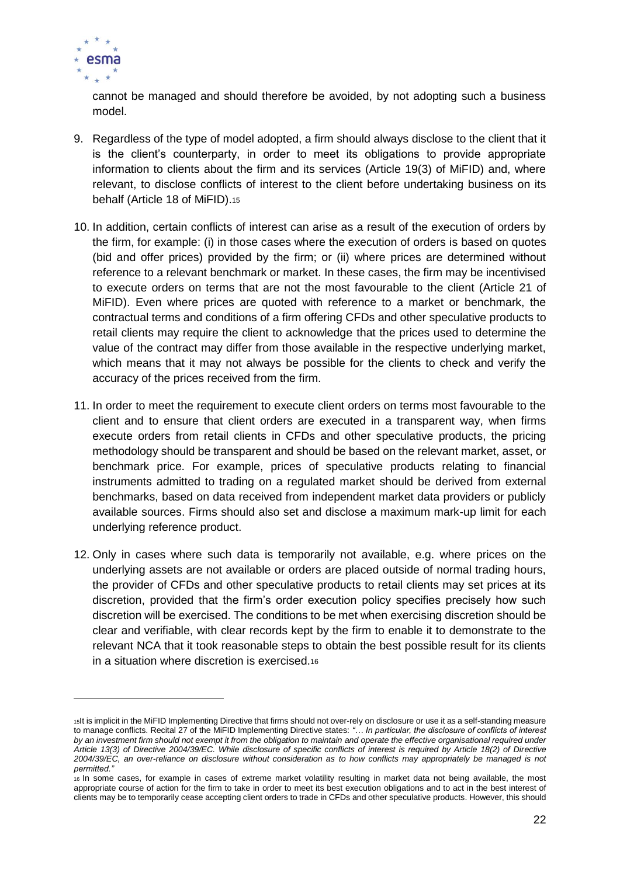

 $\overline{a}$ 

cannot be managed and should therefore be avoided, by not adopting such a business model.

- 9. Regardless of the type of model adopted, a firm should always disclose to the client that it is the client's counterparty, in order to meet its obligations to provide appropriate information to clients about the firm and its services (Article 19(3) of MiFID) and, where relevant, to disclose conflicts of interest to the client before undertaking business on its behalf (Article 18 of MiFID).<sup>15</sup>
- 10. In addition, certain conflicts of interest can arise as a result of the execution of orders by the firm, for example: (i) in those cases where the execution of orders is based on quotes (bid and offer prices) provided by the firm; or (ii) where prices are determined without reference to a relevant benchmark or market. In these cases, the firm may be incentivised to execute orders on terms that are not the most favourable to the client (Article 21 of MiFID). Even where prices are quoted with reference to a market or benchmark, the contractual terms and conditions of a firm offering CFDs and other speculative products to retail clients may require the client to acknowledge that the prices used to determine the value of the contract may differ from those available in the respective underlying market, which means that it may not always be possible for the clients to check and verify the accuracy of the prices received from the firm.
- 11. In order to meet the requirement to execute client orders on terms most favourable to the client and to ensure that client orders are executed in a transparent way, when firms execute orders from retail clients in CFDs and other speculative products, the pricing methodology should be transparent and should be based on the relevant market, asset, or benchmark price. For example, prices of speculative products relating to financial instruments admitted to trading on a regulated market should be derived from external benchmarks, based on data received from independent market data providers or publicly available sources. Firms should also set and disclose a maximum mark-up limit for each underlying reference product.
- 12. Only in cases where such data is temporarily not available, e.g. where prices on the underlying assets are not available or orders are placed outside of normal trading hours, the provider of CFDs and other speculative products to retail clients may set prices at its discretion, provided that the firm's order execution policy specifies precisely how such discretion will be exercised. The conditions to be met when exercising discretion should be clear and verifiable, with clear records kept by the firm to enable it to demonstrate to the relevant NCA that it took reasonable steps to obtain the best possible result for its clients in a situation where discretion is exercised.<sup>16</sup>

<sup>15</sup>It is implicit in the MiFID Implementing Directive that firms should not over-rely on disclosure or use it as a self-standing measure to manage conflicts. Recital 27 of the MiFID Implementing Directive states: *"… In particular, the disclosure of conflicts of interest by an investment firm should not exempt it from the obligation to maintain and operate the effective organisational required under Article 13(3) of Directive 2004/39/EC. While disclosure of specific conflicts of interest is required by Article 18(2) of Directive 2004/39/EC, an over-reliance on disclosure without consideration as to how conflicts may appropriately be managed is not permitted."*

<sup>16</sup> In some cases, for example in cases of extreme market volatility resulting in market data not being available, the most appropriate course of action for the firm to take in order to meet its best execution obligations and to act in the best interest of clients may be to temporarily cease accepting client orders to trade in CFDs and other speculative products. However, this should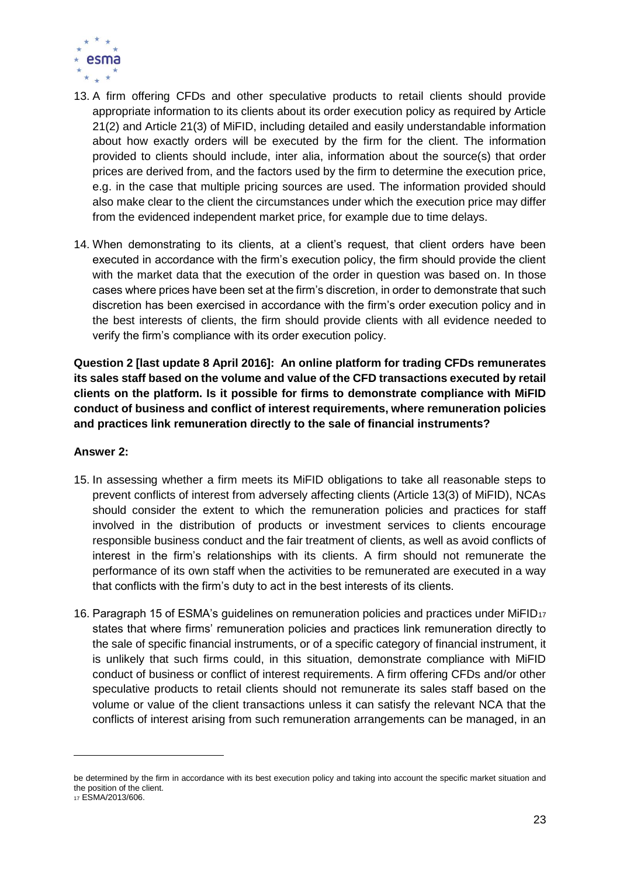

- 13. A firm offering CFDs and other speculative products to retail clients should provide appropriate information to its clients about its order execution policy as required by Article 21(2) and Article 21(3) of MiFID, including detailed and easily understandable information about how exactly orders will be executed by the firm for the client. The information provided to clients should include, inter alia, information about the source(s) that order prices are derived from, and the factors used by the firm to determine the execution price, e.g. in the case that multiple pricing sources are used. The information provided should also make clear to the client the circumstances under which the execution price may differ from the evidenced independent market price, for example due to time delays.
- 14. When demonstrating to its clients, at a client's request, that client orders have been executed in accordance with the firm's execution policy, the firm should provide the client with the market data that the execution of the order in question was based on. In those cases where prices have been set at the firm's discretion, in order to demonstrate that such discretion has been exercised in accordance with the firm's order execution policy and in the best interests of clients, the firm should provide clients with all evidence needed to verify the firm's compliance with its order execution policy.

<span id="page-22-0"></span>**Question 2 [last update 8 April 2016]: An online platform for trading CFDs remunerates its sales staff based on the volume and value of the CFD transactions executed by retail clients on the platform. Is it possible for firms to demonstrate compliance with MiFID conduct of business and conflict of interest requirements, where remuneration policies and practices link remuneration directly to the sale of financial instruments?**

#### **Answer 2:**

- 15. In assessing whether a firm meets its MiFID obligations to take all reasonable steps to prevent conflicts of interest from adversely affecting clients (Article 13(3) of MiFID), NCAs should consider the extent to which the remuneration policies and practices for staff involved in the distribution of products or investment services to clients encourage responsible business conduct and the fair treatment of clients, as well as avoid conflicts of interest in the firm's relationships with its clients. A firm should not remunerate the performance of its own staff when the activities to be remunerated are executed in a way that conflicts with the firm's duty to act in the best interests of its clients.
- 16. Paragraph 15 of ESMA's guidelines on remuneration policies and practices under MiFID<sup>17</sup> states that where firms' remuneration policies and practices link remuneration directly to the sale of specific financial instruments, or of a specific category of financial instrument, it is unlikely that such firms could, in this situation, demonstrate compliance with MiFID conduct of business or conflict of interest requirements. A firm offering CFDs and/or other speculative products to retail clients should not remunerate its sales staff based on the volume or value of the client transactions unless it can satisfy the relevant NCA that the conflicts of interest arising from such remuneration arrangements can be managed, in an

 $\overline{a}$ 

be determined by the firm in accordance with its best execution policy and taking into account the specific market situation and the position of the client.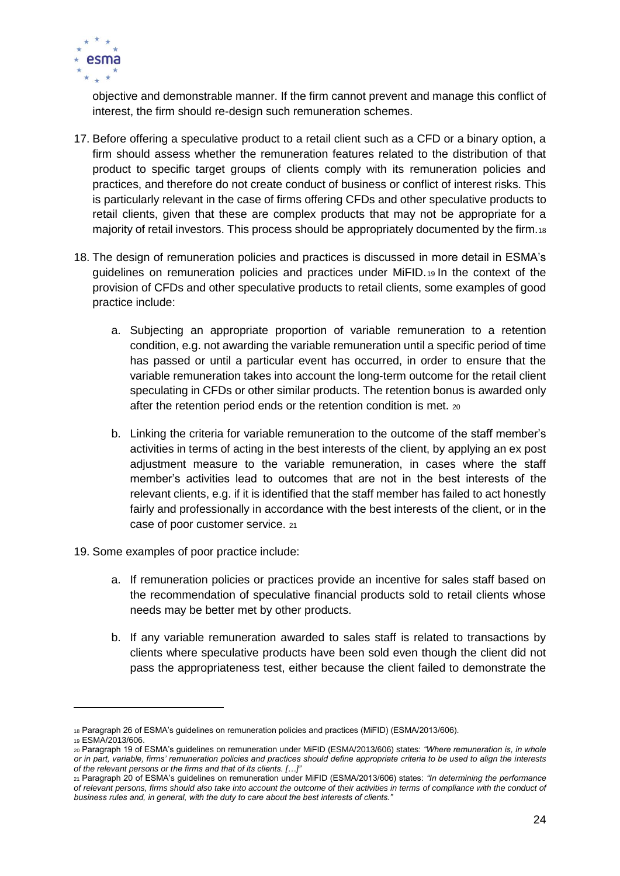

objective and demonstrable manner. If the firm cannot prevent and manage this conflict of interest, the firm should re-design such remuneration schemes.

- 17. Before offering a speculative product to a retail client such as a CFD or a binary option, a firm should assess whether the remuneration features related to the distribution of that product to specific target groups of clients comply with its remuneration policies and practices, and therefore do not create conduct of business or conflict of interest risks. This is particularly relevant in the case of firms offering CFDs and other speculative products to retail clients, given that these are complex products that may not be appropriate for a majority of retail investors. This process should be appropriately documented by the firm.<sup>18</sup>
- 18. The design of remuneration policies and practices is discussed in more detail in ESMA's guidelines on remuneration policies and practices under MiFID.<sup>19</sup> In the context of the provision of CFDs and other speculative products to retail clients, some examples of good practice include:
	- a. Subjecting an appropriate proportion of variable remuneration to a retention condition, e.g. not awarding the variable remuneration until a specific period of time has passed or until a particular event has occurred, in order to ensure that the variable remuneration takes into account the long-term outcome for the retail client speculating in CFDs or other similar products. The retention bonus is awarded only after the retention period ends or the retention condition is met. <sup>20</sup>
	- b. Linking the criteria for variable remuneration to the outcome of the staff member's activities in terms of acting in the best interests of the client, by applying an ex post adjustment measure to the variable remuneration, in cases where the staff member's activities lead to outcomes that are not in the best interests of the relevant clients, e.g. if it is identified that the staff member has failed to act honestly fairly and professionally in accordance with the best interests of the client, or in the case of poor customer service. <sup>21</sup>
- 19. Some examples of poor practice include:
	- a. If remuneration policies or practices provide an incentive for sales staff based on the recommendation of speculative financial products sold to retail clients whose needs may be better met by other products.
	- b. If any variable remuneration awarded to sales staff is related to transactions by clients where speculative products have been sold even though the client did not pass the appropriateness test, either because the client failed to demonstrate the

<sup>18</sup> Paragraph 26 of ESMA's guidelines on remuneration policies and practices (MiFID) (ESMA/2013/606).

<sup>19</sup> ESMA/2013/606.

<sup>20</sup> Paragraph 19 of ESMA's guidelines on remuneration under MiFID (ESMA/2013/606) states: *"Where remuneration is, in whole or in part, variable, firms' remuneration policies and practices should define appropriate criteria to be used to align the interests of the relevant persons or the firms and that of its clients. […]"*

<sup>21</sup> Paragraph 20 of ESMA's guidelines on remuneration under MiFID (ESMA/2013/606) states: *"In determining the performance of relevant persons, firms should also take into account the outcome of their activities in terms of compliance with the conduct of business rules and, in general, with the duty to care about the best interests of clients."*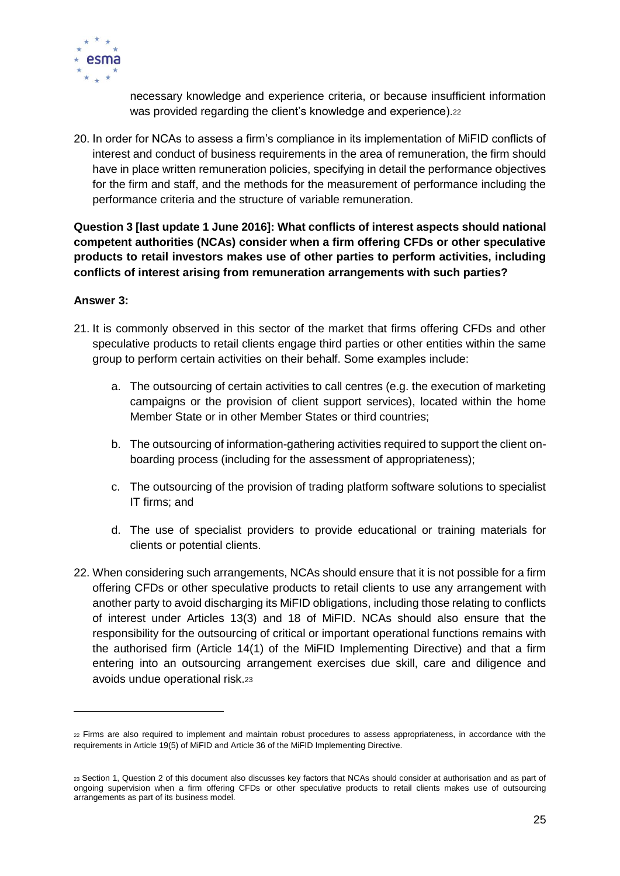

necessary knowledge and experience criteria, or because insufficient information was provided regarding the client's knowledge and experience).22

20. In order for NCAs to assess a firm's compliance in its implementation of MiFID conflicts of interest and conduct of business requirements in the area of remuneration, the firm should have in place written remuneration policies, specifying in detail the performance objectives for the firm and staff, and the methods for the measurement of performance including the performance criteria and the structure of variable remuneration.

<span id="page-24-0"></span>**Question 3 [last update 1 June 2016]: What conflicts of interest aspects should national competent authorities (NCAs) consider when a firm offering CFDs or other speculative products to retail investors makes use of other parties to perform activities, including conflicts of interest arising from remuneration arrangements with such parties?**

#### **Answer 3:**

 $\overline{a}$ 

- 21. It is commonly observed in this sector of the market that firms offering CFDs and other speculative products to retail clients engage third parties or other entities within the same group to perform certain activities on their behalf. Some examples include:
	- a. The outsourcing of certain activities to call centres (e.g. the execution of marketing campaigns or the provision of client support services), located within the home Member State or in other Member States or third countries;
	- b. The outsourcing of information-gathering activities required to support the client onboarding process (including for the assessment of appropriateness);
	- c. The outsourcing of the provision of trading platform software solutions to specialist IT firms; and
	- d. The use of specialist providers to provide educational or training materials for clients or potential clients.
- 22. When considering such arrangements, NCAs should ensure that it is not possible for a firm offering CFDs or other speculative products to retail clients to use any arrangement with another party to avoid discharging its MiFID obligations, including those relating to conflicts of interest under Articles 13(3) and 18 of MiFID. NCAs should also ensure that the responsibility for the outsourcing of critical or important operational functions remains with the authorised firm (Article 14(1) of the MiFID Implementing Directive) and that a firm entering into an outsourcing arrangement exercises due skill, care and diligence and avoids undue operational risk.<sup>23</sup>

<sup>22</sup> Firms are also required to implement and maintain robust procedures to assess appropriateness, in accordance with the requirements in Article 19(5) of MiFID and Article 36 of the MiFID Implementing Directive.

<sup>23</sup> Section 1, Question 2 of this document also discusses key factors that NCAs should consider at authorisation and as part of ongoing supervision when a firm offering CFDs or other speculative products to retail clients makes use of outsourcing arrangements as part of its business model.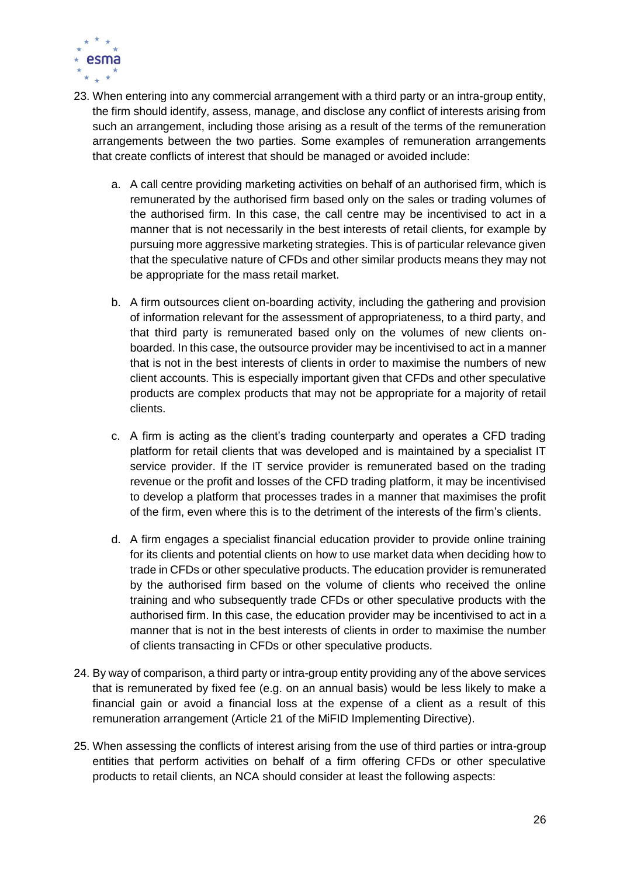

- 23. When entering into any commercial arrangement with a third party or an intra-group entity, the firm should identify, assess, manage, and disclose any conflict of interests arising from such an arrangement, including those arising as a result of the terms of the remuneration arrangements between the two parties. Some examples of remuneration arrangements that create conflicts of interest that should be managed or avoided include:
	- a. A call centre providing marketing activities on behalf of an authorised firm, which is remunerated by the authorised firm based only on the sales or trading volumes of the authorised firm. In this case, the call centre may be incentivised to act in a manner that is not necessarily in the best interests of retail clients, for example by pursuing more aggressive marketing strategies. This is of particular relevance given that the speculative nature of CFDs and other similar products means they may not be appropriate for the mass retail market.
	- b. A firm outsources client on-boarding activity, including the gathering and provision of information relevant for the assessment of appropriateness, to a third party, and that third party is remunerated based only on the volumes of new clients onboarded. In this case, the outsource provider may be incentivised to act in a manner that is not in the best interests of clients in order to maximise the numbers of new client accounts. This is especially important given that CFDs and other speculative products are complex products that may not be appropriate for a majority of retail clients.
	- c. A firm is acting as the client's trading counterparty and operates a CFD trading platform for retail clients that was developed and is maintained by a specialist IT service provider. If the IT service provider is remunerated based on the trading revenue or the profit and losses of the CFD trading platform, it may be incentivised to develop a platform that processes trades in a manner that maximises the profit of the firm, even where this is to the detriment of the interests of the firm's clients.
	- d. A firm engages a specialist financial education provider to provide online training for its clients and potential clients on how to use market data when deciding how to trade in CFDs or other speculative products. The education provider is remunerated by the authorised firm based on the volume of clients who received the online training and who subsequently trade CFDs or other speculative products with the authorised firm. In this case, the education provider may be incentivised to act in a manner that is not in the best interests of clients in order to maximise the number of clients transacting in CFDs or other speculative products.
- 24. By way of comparison, a third party or intra-group entity providing any of the above services that is remunerated by fixed fee (e.g. on an annual basis) would be less likely to make a financial gain or avoid a financial loss at the expense of a client as a result of this remuneration arrangement (Article 21 of the MiFID Implementing Directive).
- 25. When assessing the conflicts of interest arising from the use of third parties or intra-group entities that perform activities on behalf of a firm offering CFDs or other speculative products to retail clients, an NCA should consider at least the following aspects: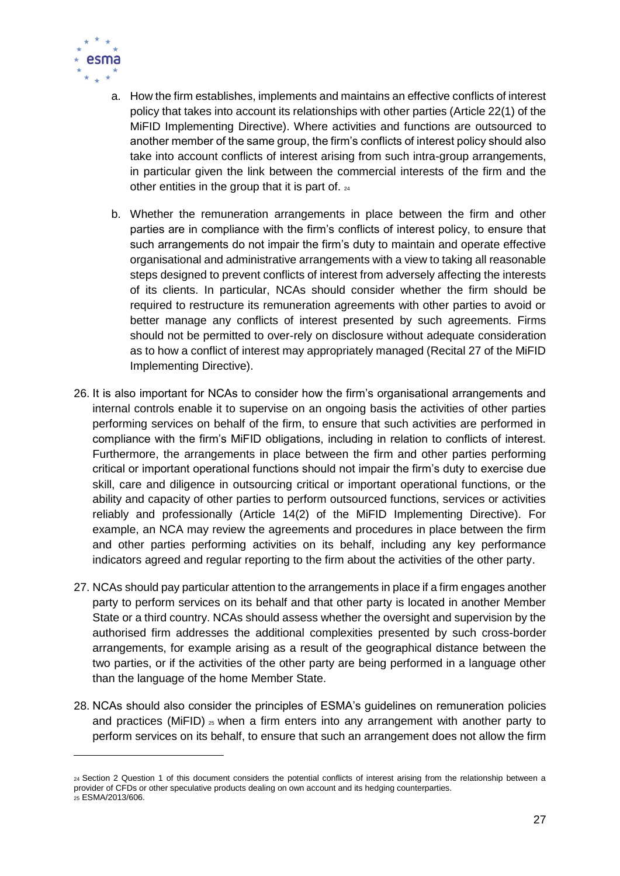

 $\overline{a}$ 

- a. How the firm establishes, implements and maintains an effective conflicts of interest policy that takes into account its relationships with other parties (Article 22(1) of the MiFID Implementing Directive). Where activities and functions are outsourced to another member of the same group, the firm's conflicts of interest policy should also take into account conflicts of interest arising from such intra-group arrangements, in particular given the link between the commercial interests of the firm and the other entities in the group that it is part of. <sup>24</sup>
- b. Whether the remuneration arrangements in place between the firm and other parties are in compliance with the firm's conflicts of interest policy, to ensure that such arrangements do not impair the firm's duty to maintain and operate effective organisational and administrative arrangements with a view to taking all reasonable steps designed to prevent conflicts of interest from adversely affecting the interests of its clients. In particular, NCAs should consider whether the firm should be required to restructure its remuneration agreements with other parties to avoid or better manage any conflicts of interest presented by such agreements. Firms should not be permitted to over-rely on disclosure without adequate consideration as to how a conflict of interest may appropriately managed (Recital 27 of the MiFID Implementing Directive).
- 26. It is also important for NCAs to consider how the firm's organisational arrangements and internal controls enable it to supervise on an ongoing basis the activities of other parties performing services on behalf of the firm, to ensure that such activities are performed in compliance with the firm's MiFID obligations, including in relation to conflicts of interest. Furthermore, the arrangements in place between the firm and other parties performing critical or important operational functions should not impair the firm's duty to exercise due skill, care and diligence in outsourcing critical or important operational functions, or the ability and capacity of other parties to perform outsourced functions, services or activities reliably and professionally (Article 14(2) of the MiFID Implementing Directive). For example, an NCA may review the agreements and procedures in place between the firm and other parties performing activities on its behalf, including any key performance indicators agreed and regular reporting to the firm about the activities of the other party.
- 27. NCAs should pay particular attention to the arrangements in place if a firm engages another party to perform services on its behalf and that other party is located in another Member State or a third country. NCAs should assess whether the oversight and supervision by the authorised firm addresses the additional complexities presented by such cross-border arrangements, for example arising as a result of the geographical distance between the two parties, or if the activities of the other party are being performed in a language other than the language of the home Member State.
- 28. NCAs should also consider the principles of ESMA's guidelines on remuneration policies and practices (MiFID)  $25$  when a firm enters into any arrangement with another party to perform services on its behalf, to ensure that such an arrangement does not allow the firm

<sup>24</sup> Section 2 Question 1 of this document considers the potential conflicts of interest arising from the relationship between a provider of CFDs or other speculative products dealing on own account and its hedging counterparties. <sup>25</sup> ESMA/2013/606.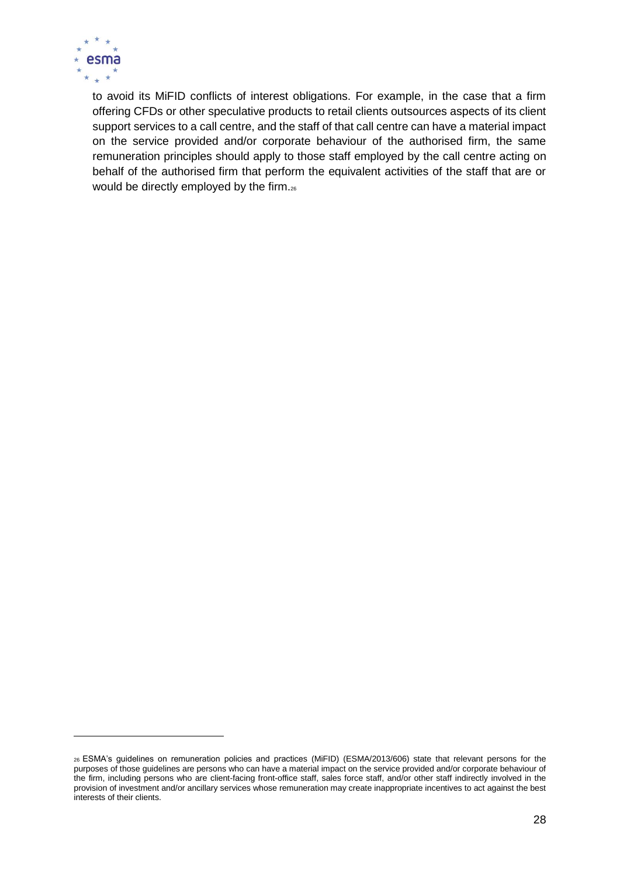

 $\overline{a}$ 

to avoid its MiFID conflicts of interest obligations. For example, in the case that a firm offering CFDs or other speculative products to retail clients outsources aspects of its client support services to a call centre, and the staff of that call centre can have a material impact on the service provided and/or corporate behaviour of the authorised firm, the same remuneration principles should apply to those staff employed by the call centre acting on behalf of the authorised firm that perform the equivalent activities of the staff that are or would be directly employed by the firm.26

<sup>26</sup> ESMA's guidelines on remuneration policies and practices (MiFID) (ESMA/2013/606) state that relevant persons for the purposes of those guidelines are persons who can have a material impact on the service provided and/or corporate behaviour of the firm, including persons who are client-facing front-office staff, sales force staff, and/or other staff indirectly involved in the provision of investment and/or ancillary services whose remuneration may create inappropriate incentives to act against the best interests of their clients.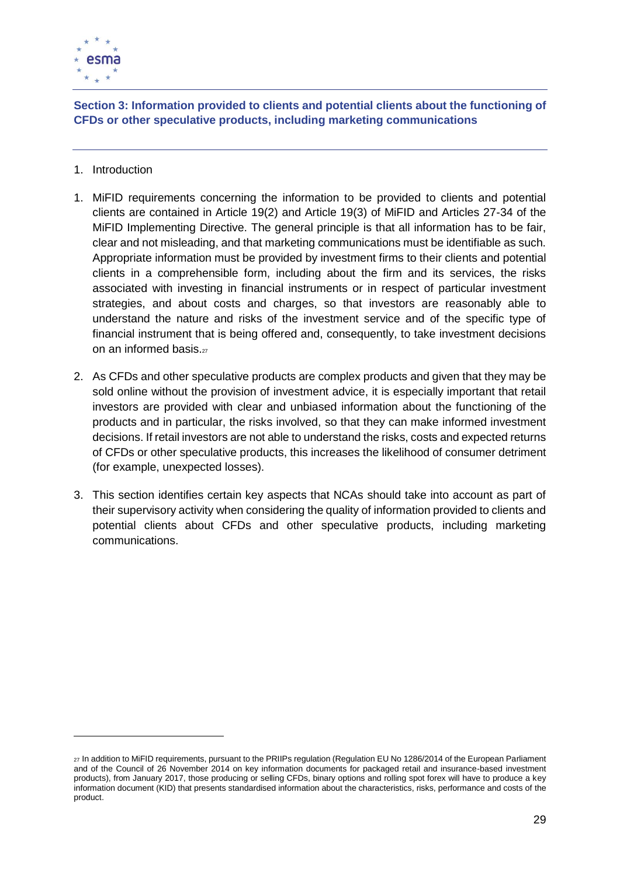

<span id="page-28-0"></span>**Section 3: Information provided to clients and potential clients about the functioning of CFDs or other speculative products, including marketing communications**

1. Introduction

 $\overline{a}$ 

- 1. MiFID requirements concerning the information to be provided to clients and potential clients are contained in Article 19(2) and Article 19(3) of MiFID and Articles 27-34 of the MiFID Implementing Directive. The general principle is that all information has to be fair, clear and not misleading, and that marketing communications must be identifiable as such. Appropriate information must be provided by investment firms to their clients and potential clients in a comprehensible form, including about the firm and its services, the risks associated with investing in financial instruments or in respect of particular investment strategies, and about costs and charges, so that investors are reasonably able to understand the nature and risks of the investment service and of the specific type of financial instrument that is being offered and, consequently, to take investment decisions on an informed basis.<sub>27</sub>
- 2. As CFDs and other speculative products are complex products and given that they may be sold online without the provision of investment advice, it is especially important that retail investors are provided with clear and unbiased information about the functioning of the products and in particular, the risks involved, so that they can make informed investment decisions. If retail investors are not able to understand the risks, costs and expected returns of CFDs or other speculative products, this increases the likelihood of consumer detriment (for example, unexpected losses).
- 3. This section identifies certain key aspects that NCAs should take into account as part of their supervisory activity when considering the quality of information provided to clients and potential clients about CFDs and other speculative products, including marketing communications.

<sup>27</sup> In addition to MiFID requirements, pursuant to the PRIIPs regulation (Regulation EU No 1286/2014 of the European Parliament and of the Council of 26 November 2014 on key information documents for packaged retail and insurance-based investment products), from January 2017, those producing or selling CFDs, binary options and rolling spot forex will have to produce a key information document (KID) that presents standardised information about the characteristics, risks, performance and costs of the product.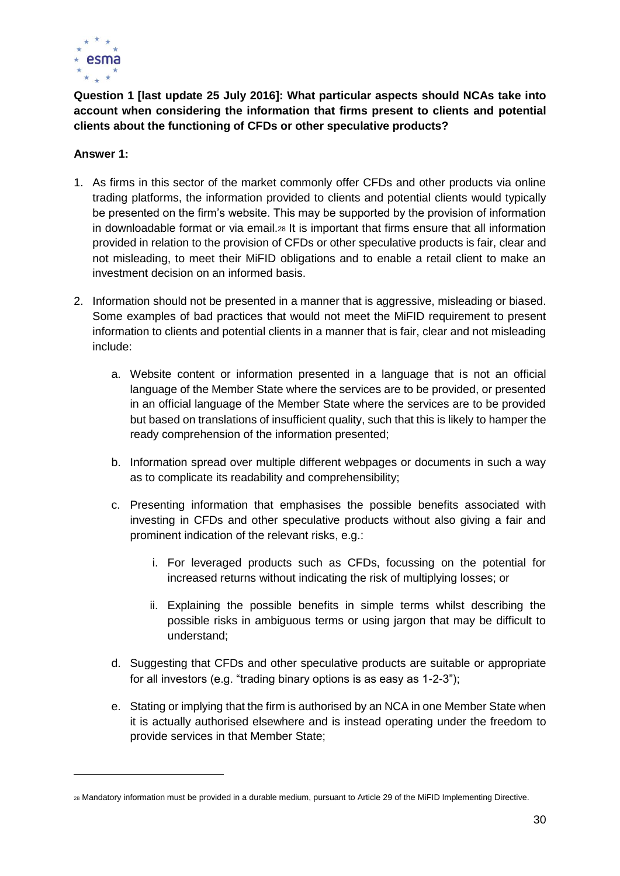

<span id="page-29-0"></span>**Question 1 [last update 25 July 2016]: What particular aspects should NCAs take into account when considering the information that firms present to clients and potential clients about the functioning of CFDs or other speculative products?** 

#### **Answer 1:**

 $\overline{a}$ 

- 1. As firms in this sector of the market commonly offer CFDs and other products via online trading platforms, the information provided to clients and potential clients would typically be presented on the firm's website. This may be supported by the provision of information in downloadable format or via email.<sup>28</sup> It is important that firms ensure that all information provided in relation to the provision of CFDs or other speculative products is fair, clear and not misleading, to meet their MiFID obligations and to enable a retail client to make an investment decision on an informed basis.
- 2. Information should not be presented in a manner that is aggressive, misleading or biased. Some examples of bad practices that would not meet the MiFID requirement to present information to clients and potential clients in a manner that is fair, clear and not misleading include:
	- a. Website content or information presented in a language that is not an official language of the Member State where the services are to be provided, or presented in an official language of the Member State where the services are to be provided but based on translations of insufficient quality, such that this is likely to hamper the ready comprehension of the information presented;
	- b. Information spread over multiple different webpages or documents in such a way as to complicate its readability and comprehensibility;
	- c. Presenting information that emphasises the possible benefits associated with investing in CFDs and other speculative products without also giving a fair and prominent indication of the relevant risks, e.g.:
		- i. For leveraged products such as CFDs, focussing on the potential for increased returns without indicating the risk of multiplying losses; or
		- ii. Explaining the possible benefits in simple terms whilst describing the possible risks in ambiguous terms or using jargon that may be difficult to understand;
	- d. Suggesting that CFDs and other speculative products are suitable or appropriate for all investors (e.g. "trading binary options is as easy as 1-2-3");
	- e. Stating or implying that the firm is authorised by an NCA in one Member State when it is actually authorised elsewhere and is instead operating under the freedom to provide services in that Member State;

<sup>28</sup> Mandatory information must be provided in a durable medium, pursuant to Article 29 of the MiFID Implementing Directive.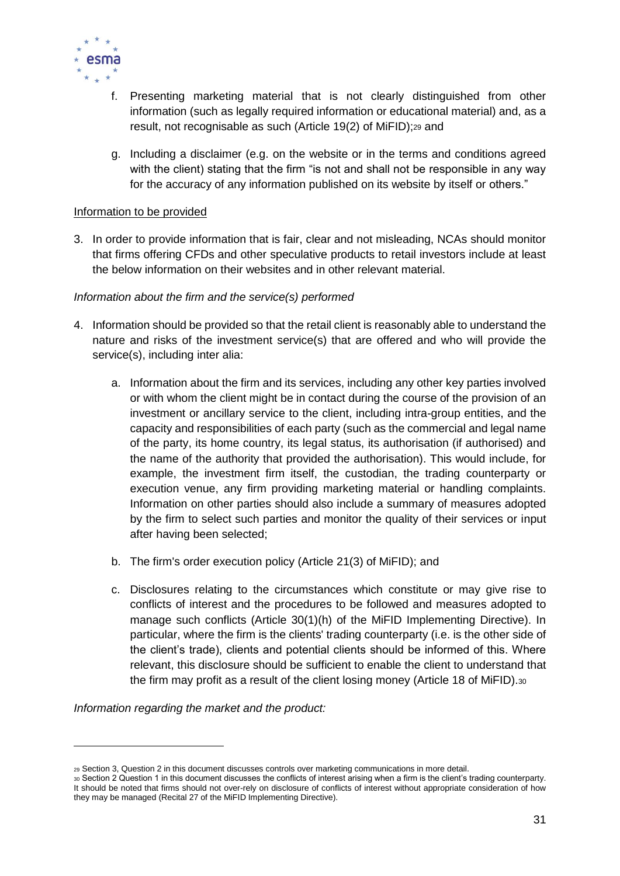

- f. Presenting marketing material that is not clearly distinguished from other information (such as legally required information or educational material) and, as a result, not recognisable as such (Article 19(2) of MiFID);<sup>29</sup> and
- g. Including a disclaimer (e.g. on the website or in the terms and conditions agreed with the client) stating that the firm "is not and shall not be responsible in any way for the accuracy of any information published on its website by itself or others."

#### Information to be provided

3. In order to provide information that is fair, clear and not misleading, NCAs should monitor that firms offering CFDs and other speculative products to retail investors include at least the below information on their websites and in other relevant material.

#### *Information about the firm and the service(s) performed*

- 4. Information should be provided so that the retail client is reasonably able to understand the nature and risks of the investment service(s) that are offered and who will provide the service(s), including inter alia:
	- a. Information about the firm and its services, including any other key parties involved or with whom the client might be in contact during the course of the provision of an investment or ancillary service to the client, including intra-group entities, and the capacity and responsibilities of each party (such as the commercial and legal name of the party, its home country, its legal status, its authorisation (if authorised) and the name of the authority that provided the authorisation). This would include, for example, the investment firm itself, the custodian, the trading counterparty or execution venue, any firm providing marketing material or handling complaints. Information on other parties should also include a summary of measures adopted by the firm to select such parties and monitor the quality of their services or input after having been selected;
	- b. The firm's order execution policy (Article 21(3) of MiFID); and
	- c. Disclosures relating to the circumstances which constitute or may give rise to conflicts of interest and the procedures to be followed and measures adopted to manage such conflicts (Article 30(1)(h) of the MiFID Implementing Directive). In particular, where the firm is the clients' trading counterparty (i.e. is the other side of the client's trade), clients and potential clients should be informed of this. Where relevant, this disclosure should be sufficient to enable the client to understand that the firm may profit as a result of the client losing money (Article 18 of MiFID).<sup>30</sup>

*Information regarding the market and the product:*

<sup>29</sup> Section 3, Question 2 in this document discusses controls over marketing communications in more detail.

<sup>30</sup> Section 2 Question 1 in this document discusses the conflicts of interest arising when a firm is the client's trading counterparty. It should be noted that firms should not over-rely on disclosure of conflicts of interest without appropriate consideration of how they may be managed (Recital 27 of the MiFID Implementing Directive).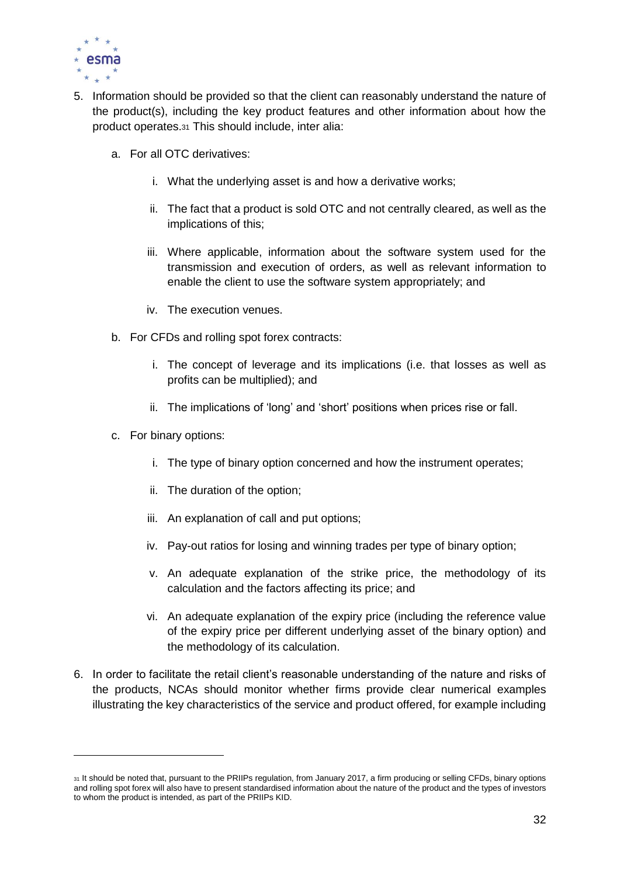

- 5. Information should be provided so that the client can reasonably understand the nature of the product(s), including the key product features and other information about how the product operates.<sup>31</sup> This should include, inter alia:
	- a. For all OTC derivatives:
		- i. What the underlying asset is and how a derivative works;
		- ii. The fact that a product is sold OTC and not centrally cleared, as well as the implications of this;
		- iii. Where applicable, information about the software system used for the transmission and execution of orders, as well as relevant information to enable the client to use the software system appropriately; and
		- iv. The execution venues.
	- b. For CFDs and rolling spot forex contracts:
		- i. The concept of leverage and its implications (i.e. that losses as well as profits can be multiplied); and
		- ii. The implications of 'long' and 'short' positions when prices rise or fall.
	- c. For binary options:

 $\overline{a}$ 

- i. The type of binary option concerned and how the instrument operates;
- ii. The duration of the option;
- iii. An explanation of call and put options;
- iv. Pay-out ratios for losing and winning trades per type of binary option;
- v. An adequate explanation of the strike price, the methodology of its calculation and the factors affecting its price; and
- vi. An adequate explanation of the expiry price (including the reference value of the expiry price per different underlying asset of the binary option) and the methodology of its calculation.
- 6. In order to facilitate the retail client's reasonable understanding of the nature and risks of the products, NCAs should monitor whether firms provide clear numerical examples illustrating the key characteristics of the service and product offered, for example including

<sup>31</sup> It should be noted that, pursuant to the PRIIPs regulation, from January 2017, a firm producing or selling CFDs, binary options and rolling spot forex will also have to present standardised information about the nature of the product and the types of investors to whom the product is intended, as part of the PRIIPs KID.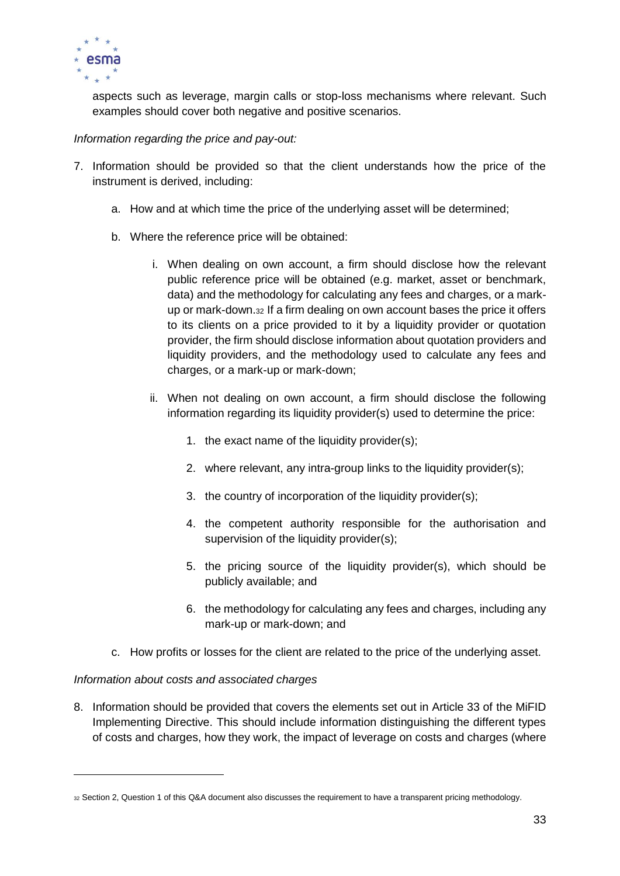

aspects such as leverage, margin calls or stop-loss mechanisms where relevant. Such examples should cover both negative and positive scenarios.

#### *Information regarding the price and pay-out:*

- 7. Information should be provided so that the client understands how the price of the instrument is derived, including:
	- a. How and at which time the price of the underlying asset will be determined;
	- b. Where the reference price will be obtained:
		- i. When dealing on own account, a firm should disclose how the relevant public reference price will be obtained (e.g. market, asset or benchmark, data) and the methodology for calculating any fees and charges, or a markup or mark-down.<sup>32</sup> If a firm dealing on own account bases the price it offers to its clients on a price provided to it by a liquidity provider or quotation provider, the firm should disclose information about quotation providers and liquidity providers, and the methodology used to calculate any fees and charges, or a mark-up or mark-down;
		- ii. When not dealing on own account, a firm should disclose the following information regarding its liquidity provider(s) used to determine the price:
			- 1. the exact name of the liquidity provider(s);
			- 2. where relevant, any intra-group links to the liquidity provider(s);
			- 3. the country of incorporation of the liquidity provider(s);
			- 4. the competent authority responsible for the authorisation and supervision of the liquidity provider(s);
			- 5. the pricing source of the liquidity provider(s), which should be publicly available; and
			- 6. the methodology for calculating any fees and charges, including any mark-up or mark-down; and
	- c. How profits or losses for the client are related to the price of the underlying asset.

#### *Information about costs and associated charges*

 $\overline{a}$ 

8. Information should be provided that covers the elements set out in Article 33 of the MiFID Implementing Directive. This should include information distinguishing the different types of costs and charges, how they work, the impact of leverage on costs and charges (where

<sup>32</sup> Section 2, Question 1 of this Q&A document also discusses the requirement to have a transparent pricing methodology.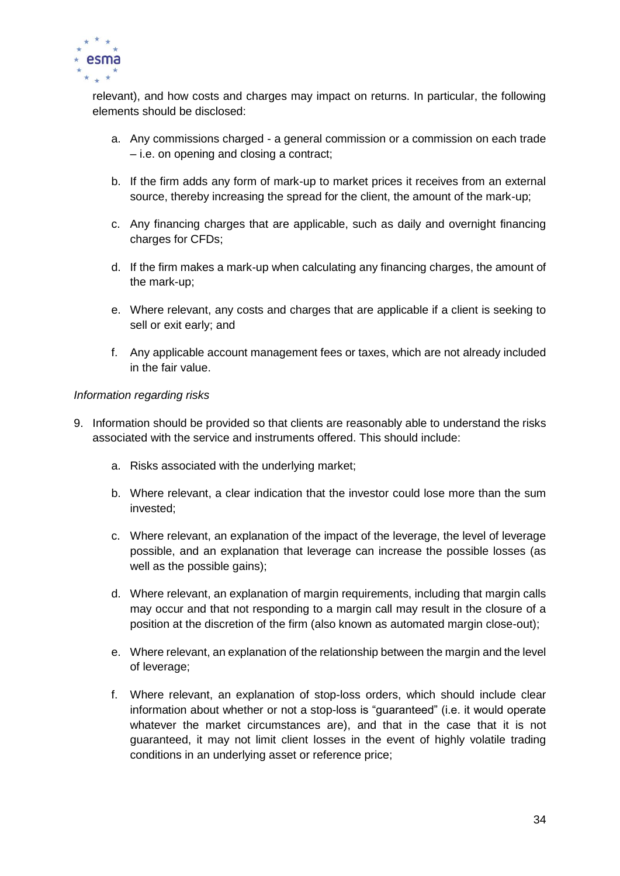

relevant), and how costs and charges may impact on returns. In particular, the following elements should be disclosed:

- a. Any commissions charged a general commission or a commission on each trade – i.e. on opening and closing a contract;
- b. If the firm adds any form of mark-up to market prices it receives from an external source, thereby increasing the spread for the client, the amount of the mark-up;
- c. Any financing charges that are applicable, such as daily and overnight financing charges for CFDs;
- d. If the firm makes a mark-up when calculating any financing charges, the amount of the mark-up;
- e. Where relevant, any costs and charges that are applicable if a client is seeking to sell or exit early; and
- f. Any applicable account management fees or taxes, which are not already included in the fair value.

#### *Information regarding risks*

- 9. Information should be provided so that clients are reasonably able to understand the risks associated with the service and instruments offered. This should include:
	- a. Risks associated with the underlying market;
	- b. Where relevant, a clear indication that the investor could lose more than the sum invested;
	- c. Where relevant, an explanation of the impact of the leverage, the level of leverage possible, and an explanation that leverage can increase the possible losses (as well as the possible gains);
	- d. Where relevant, an explanation of margin requirements, including that margin calls may occur and that not responding to a margin call may result in the closure of a position at the discretion of the firm (also known as automated margin close-out);
	- e. Where relevant, an explanation of the relationship between the margin and the level of leverage;
	- f. Where relevant, an explanation of stop-loss orders, which should include clear information about whether or not a stop-loss is "guaranteed" (i.e. it would operate whatever the market circumstances are), and that in the case that it is not guaranteed, it may not limit client losses in the event of highly volatile trading conditions in an underlying asset or reference price;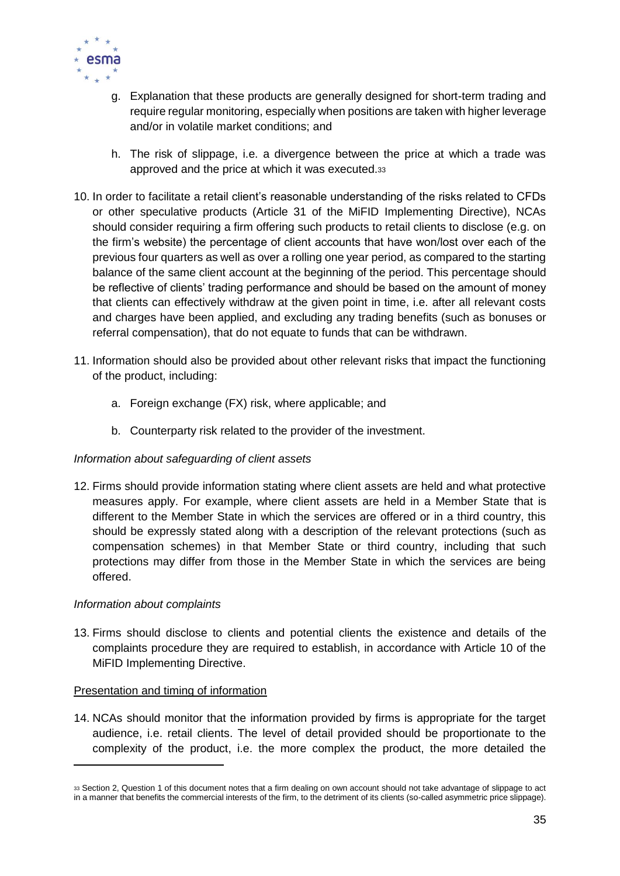

- g. Explanation that these products are generally designed for short-term trading and require regular monitoring, especially when positions are taken with higher leverage and/or in volatile market conditions; and
- h. The risk of slippage, i.e. a divergence between the price at which a trade was approved and the price at which it was executed.<sup>33</sup>
- 10. In order to facilitate a retail client's reasonable understanding of the risks related to CFDs or other speculative products (Article 31 of the MiFID Implementing Directive), NCAs should consider requiring a firm offering such products to retail clients to disclose (e.g. on the firm's website) the percentage of client accounts that have won/lost over each of the previous four quarters as well as over a rolling one year period, as compared to the starting balance of the same client account at the beginning of the period. This percentage should be reflective of clients' trading performance and should be based on the amount of money that clients can effectively withdraw at the given point in time, i.e. after all relevant costs and charges have been applied, and excluding any trading benefits (such as bonuses or referral compensation), that do not equate to funds that can be withdrawn.
- 11. Information should also be provided about other relevant risks that impact the functioning of the product, including:
	- a. Foreign exchange (FX) risk, where applicable; and
	- b. Counterparty risk related to the provider of the investment.

#### *Information about safeguarding of client assets*

12. Firms should provide information stating where client assets are held and what protective measures apply. For example, where client assets are held in a Member State that is different to the Member State in which the services are offered or in a third country, this should be expressly stated along with a description of the relevant protections (such as compensation schemes) in that Member State or third country, including that such protections may differ from those in the Member State in which the services are being offered.

#### *Information about complaints*

13. Firms should disclose to clients and potential clients the existence and details of the complaints procedure they are required to establish, in accordance with Article 10 of the MiFID Implementing Directive.

#### Presentation and timing of information

14. NCAs should monitor that the information provided by firms is appropriate for the target audience, i.e. retail clients. The level of detail provided should be proportionate to the complexity of the product, i.e. the more complex the product, the more detailed the

<sup>33</sup> Section 2, Question 1 of this document notes that a firm dealing on own account should not take advantage of slippage to act in a manner that benefits the commercial interests of the firm, to the detriment of its clients (so-called asymmetric price slippage).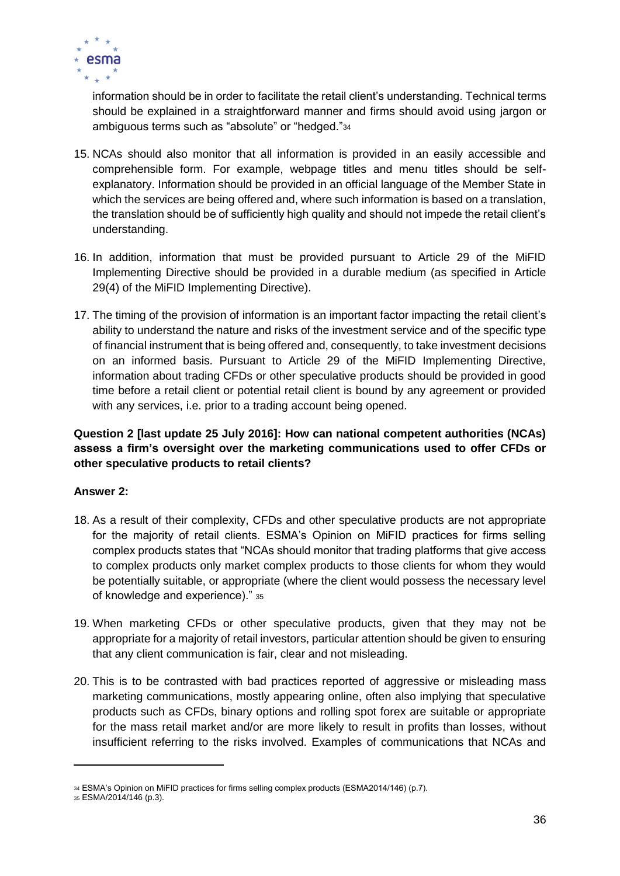

information should be in order to facilitate the retail client's understanding. Technical terms should be explained in a straightforward manner and firms should avoid using jargon or ambiguous terms such as "absolute" or "hedged."<sup>34</sup>

- 15. NCAs should also monitor that all information is provided in an easily accessible and comprehensible form. For example, webpage titles and menu titles should be selfexplanatory. Information should be provided in an official language of the Member State in which the services are being offered and, where such information is based on a translation, the translation should be of sufficiently high quality and should not impede the retail client's understanding.
- 16. In addition, information that must be provided pursuant to Article 29 of the MiFID Implementing Directive should be provided in a durable medium (as specified in Article 29(4) of the MiFID Implementing Directive).
- 17. The timing of the provision of information is an important factor impacting the retail client's ability to understand the nature and risks of the investment service and of the specific type of financial instrument that is being offered and, consequently, to take investment decisions on an informed basis. Pursuant to Article 29 of the MiFID Implementing Directive, information about trading CFDs or other speculative products should be provided in good time before a retail client or potential retail client is bound by any agreement or provided with any services, i.e. prior to a trading account being opened.

#### <span id="page-35-0"></span>**Question 2 [last update 25 July 2016]: How can national competent authorities (NCAs) assess a firm's oversight over the marketing communications used to offer CFDs or other speculative products to retail clients?**

#### **Answer 2:**

- 18. As a result of their complexity, CFDs and other speculative products are not appropriate for the majority of retail clients. ESMA's Opinion on MiFID practices for firms selling complex products states that "NCAs should monitor that trading platforms that give access to complex products only market complex products to those clients for whom they would be potentially suitable, or appropriate (where the client would possess the necessary level of knowledge and experience)." <sup>35</sup>
- 19. When marketing CFDs or other speculative products, given that they may not be appropriate for a majority of retail investors, particular attention should be given to ensuring that any client communication is fair, clear and not misleading.
- 20. This is to be contrasted with bad practices reported of aggressive or misleading mass marketing communications, mostly appearing online, often also implying that speculative products such as CFDs, binary options and rolling spot forex are suitable or appropriate for the mass retail market and/or are more likely to result in profits than losses, without insufficient referring to the risks involved. Examples of communications that NCAs and

<sup>34</sup> ESMA's Opinion on MiFID practices for firms selling complex products (ESMA2014/146) (p.7).

<sup>35</sup> ESMA/2014/146 (p.3).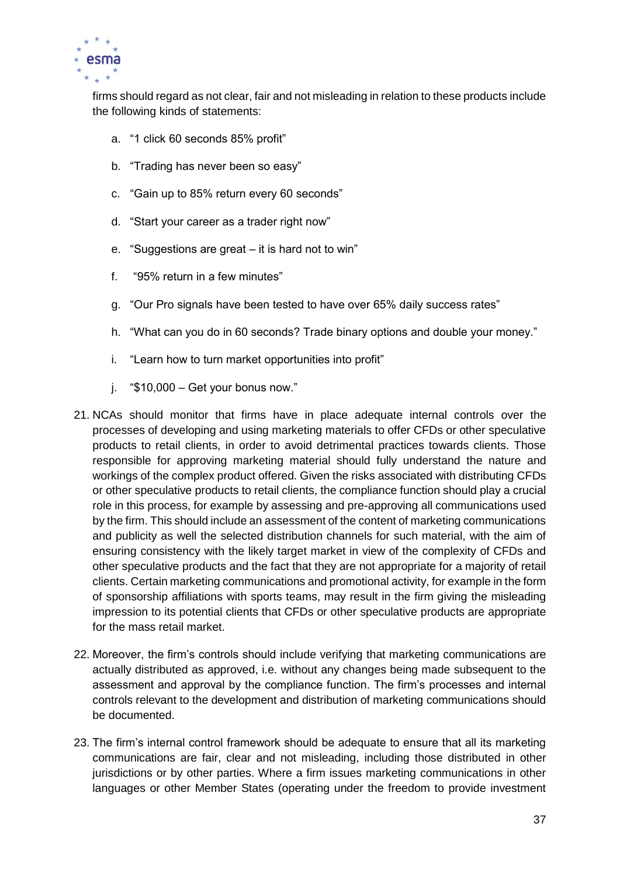

firms should regard as not clear, fair and not misleading in relation to these products include the following kinds of statements:

- a. "1 click 60 seconds 85% profit"
- b. "Trading has never been so easy"
- c. "Gain up to 85% return every 60 seconds"
- d. "Start your career as a trader right now"
- e. "Suggestions are great it is hard not to win"
- f. "95% return in a few minutes"
- g. "Our Pro signals have been tested to have over 65% daily success rates"
- h. "What can you do in 60 seconds? Trade binary options and double your money."
- i. "Learn how to turn market opportunities into profit"
- j.  $\sqrt[4]{510,000} \text{Get}$  your bonus now."
- 21. NCAs should monitor that firms have in place adequate internal controls over the processes of developing and using marketing materials to offer CFDs or other speculative products to retail clients, in order to avoid detrimental practices towards clients. Those responsible for approving marketing material should fully understand the nature and workings of the complex product offered. Given the risks associated with distributing CFDs or other speculative products to retail clients, the compliance function should play a crucial role in this process, for example by assessing and pre-approving all communications used by the firm. This should include an assessment of the content of marketing communications and publicity as well the selected distribution channels for such material, with the aim of ensuring consistency with the likely target market in view of the complexity of CFDs and other speculative products and the fact that they are not appropriate for a majority of retail clients. Certain marketing communications and promotional activity, for example in the form of sponsorship affiliations with sports teams, may result in the firm giving the misleading impression to its potential clients that CFDs or other speculative products are appropriate for the mass retail market.
- 22. Moreover, the firm's controls should include verifying that marketing communications are actually distributed as approved, i.e. without any changes being made subsequent to the assessment and approval by the compliance function. The firm's processes and internal controls relevant to the development and distribution of marketing communications should be documented.
- 23. The firm's internal control framework should be adequate to ensure that all its marketing communications are fair, clear and not misleading, including those distributed in other jurisdictions or by other parties. Where a firm issues marketing communications in other languages or other Member States (operating under the freedom to provide investment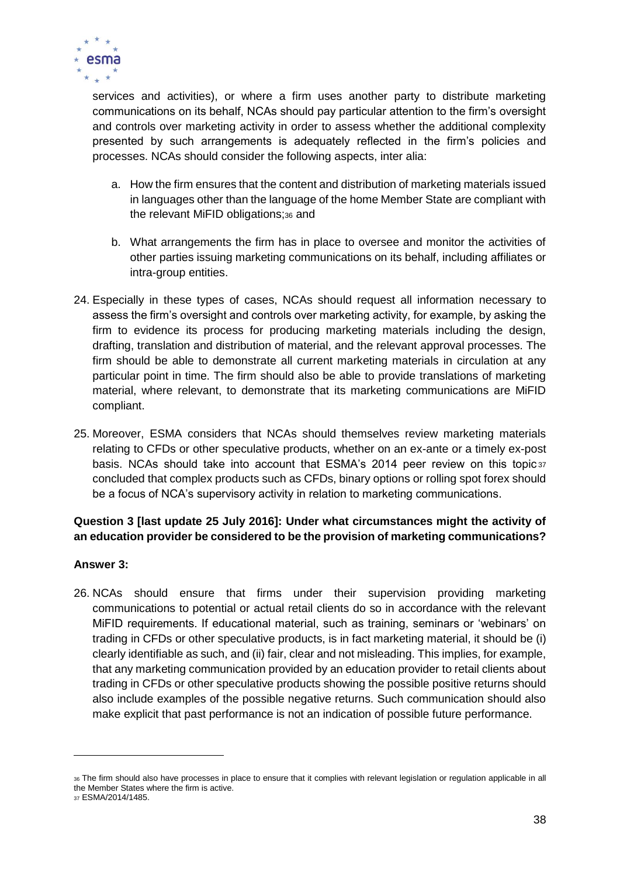

services and activities), or where a firm uses another party to distribute marketing communications on its behalf, NCAs should pay particular attention to the firm's oversight and controls over marketing activity in order to assess whether the additional complexity presented by such arrangements is adequately reflected in the firm's policies and processes. NCAs should consider the following aspects, inter alia:

- a. How the firm ensures that the content and distribution of marketing materials issued in languages other than the language of the home Member State are compliant with the relevant MiFID obligations;<sup>36</sup> and
- b. What arrangements the firm has in place to oversee and monitor the activities of other parties issuing marketing communications on its behalf, including affiliates or intra-group entities.
- 24. Especially in these types of cases, NCAs should request all information necessary to assess the firm's oversight and controls over marketing activity, for example, by asking the firm to evidence its process for producing marketing materials including the design, drafting, translation and distribution of material, and the relevant approval processes. The firm should be able to demonstrate all current marketing materials in circulation at any particular point in time. The firm should also be able to provide translations of marketing material, where relevant, to demonstrate that its marketing communications are MiFID compliant.
- 25. Moreover, ESMA considers that NCAs should themselves review marketing materials relating to CFDs or other speculative products, whether on an ex-ante or a timely ex-post basis. NCAs should take into account that ESMA's 2014 peer review on this topic 37 concluded that complex products such as CFDs, binary options or rolling spot forex should be a focus of NCA's supervisory activity in relation to marketing communications.

# **Question 3 [last update 25 July 2016]: Under what circumstances might the activity of an education provider be considered to be the provision of marketing communications?**

## **Answer 3:**

26. NCAs should ensure that firms under their supervision providing marketing communications to potential or actual retail clients do so in accordance with the relevant MiFID requirements. If educational material, such as training, seminars or 'webinars' on trading in CFDs or other speculative products, is in fact marketing material, it should be (i) clearly identifiable as such, and (ii) fair, clear and not misleading. This implies, for example, that any marketing communication provided by an education provider to retail clients about trading in CFDs or other speculative products showing the possible positive returns should also include examples of the possible negative returns. Such communication should also make explicit that past performance is not an indication of possible future performance.

<sup>36</sup> The firm should also have processes in place to ensure that it complies with relevant legislation or regulation applicable in all the Member States where the firm is active.

<sup>37</sup> ESMA/2014/1485.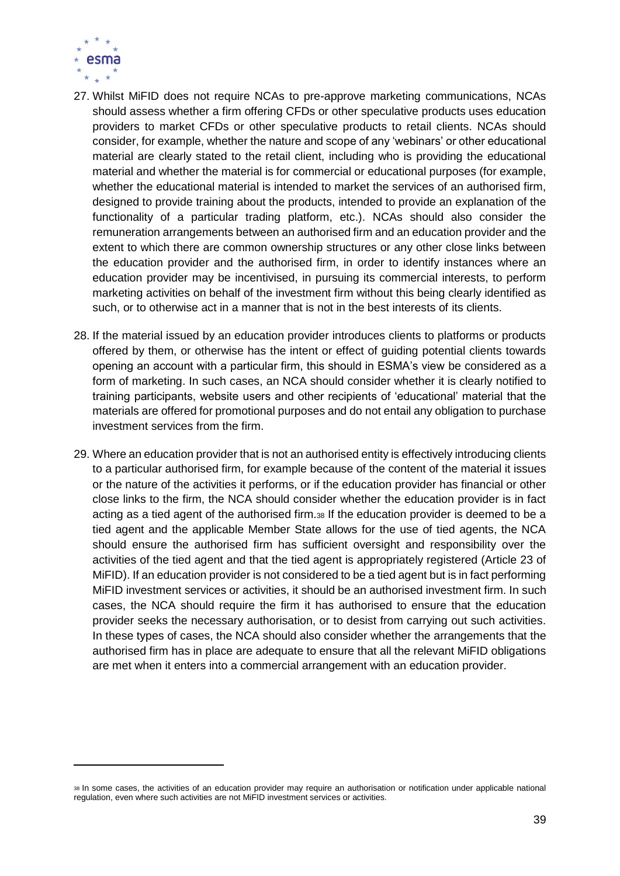

- 27. Whilst MiFID does not require NCAs to pre-approve marketing communications, NCAs should assess whether a firm offering CFDs or other speculative products uses education providers to market CFDs or other speculative products to retail clients. NCAs should consider, for example, whether the nature and scope of any 'webinars' or other educational material are clearly stated to the retail client, including who is providing the educational material and whether the material is for commercial or educational purposes (for example, whether the educational material is intended to market the services of an authorised firm, designed to provide training about the products, intended to provide an explanation of the functionality of a particular trading platform, etc.). NCAs should also consider the remuneration arrangements between an authorised firm and an education provider and the extent to which there are common ownership structures or any other close links between the education provider and the authorised firm, in order to identify instances where an education provider may be incentivised, in pursuing its commercial interests, to perform marketing activities on behalf of the investment firm without this being clearly identified as such, or to otherwise act in a manner that is not in the best interests of its clients.
- 28. If the material issued by an education provider introduces clients to platforms or products offered by them, or otherwise has the intent or effect of guiding potential clients towards opening an account with a particular firm, this should in ESMA's view be considered as a form of marketing. In such cases, an NCA should consider whether it is clearly notified to training participants, website users and other recipients of 'educational' material that the materials are offered for promotional purposes and do not entail any obligation to purchase investment services from the firm.
- 29. Where an education provider that is not an authorised entity is effectively introducing clients to a particular authorised firm, for example because of the content of the material it issues or the nature of the activities it performs, or if the education provider has financial or other close links to the firm, the NCA should consider whether the education provider is in fact acting as a tied agent of the authorised firm.<sup>38</sup> If the education provider is deemed to be a tied agent and the applicable Member State allows for the use of tied agents, the NCA should ensure the authorised firm has sufficient oversight and responsibility over the activities of the tied agent and that the tied agent is appropriately registered (Article 23 of MiFID). If an education provider is not considered to be a tied agent but is in fact performing MiFID investment services or activities, it should be an authorised investment firm. In such cases, the NCA should require the firm it has authorised to ensure that the education provider seeks the necessary authorisation, or to desist from carrying out such activities. In these types of cases, the NCA should also consider whether the arrangements that the authorised firm has in place are adequate to ensure that all the relevant MiFID obligations are met when it enters into a commercial arrangement with an education provider.

<sup>38</sup> In some cases, the activities of an education provider may require an authorisation or notification under applicable national regulation, even where such activities are not MiFID investment services or activities.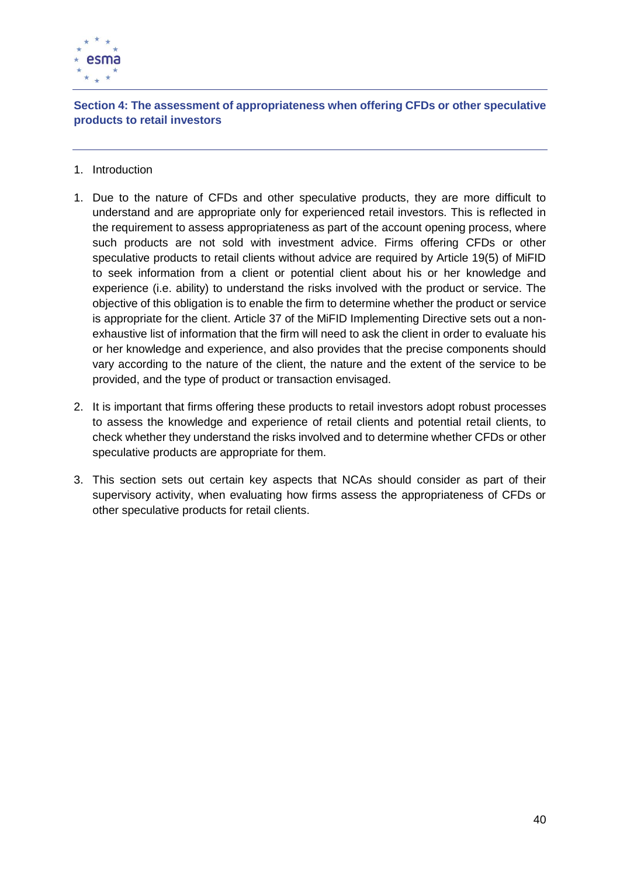

**Section 4: The assessment of appropriateness when offering CFDs or other speculative products to retail investors**

- 1. Introduction
- 1. Due to the nature of CFDs and other speculative products, they are more difficult to understand and are appropriate only for experienced retail investors. This is reflected in the requirement to assess appropriateness as part of the account opening process, where such products are not sold with investment advice. Firms offering CFDs or other speculative products to retail clients without advice are required by Article 19(5) of MiFID to seek information from a client or potential client about his or her knowledge and experience (i.e. ability) to understand the risks involved with the product or service. The objective of this obligation is to enable the firm to determine whether the product or service is appropriate for the client. Article 37 of the MiFID Implementing Directive sets out a nonexhaustive list of information that the firm will need to ask the client in order to evaluate his or her knowledge and experience, and also provides that the precise components should vary according to the nature of the client, the nature and the extent of the service to be provided, and the type of product or transaction envisaged.
- 2. It is important that firms offering these products to retail investors adopt robust processes to assess the knowledge and experience of retail clients and potential retail clients, to check whether they understand the risks involved and to determine whether CFDs or other speculative products are appropriate for them.
- 3. This section sets out certain key aspects that NCAs should consider as part of their supervisory activity, when evaluating how firms assess the appropriateness of CFDs or other speculative products for retail clients.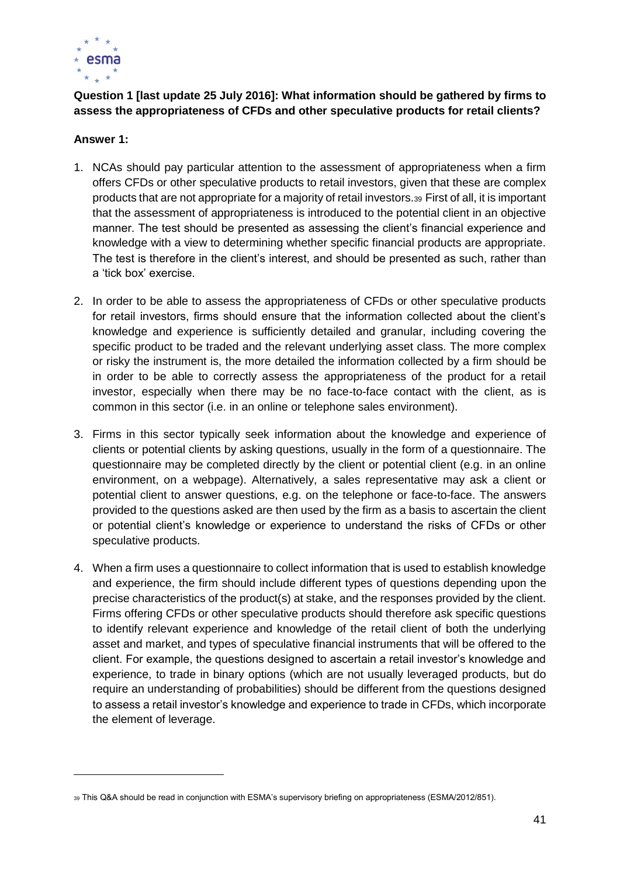

# **Question 1 [last update 25 July 2016]: What information should be gathered by firms to assess the appropriateness of CFDs and other speculative products for retail clients?**

#### **Answer 1:**

- 1. NCAs should pay particular attention to the assessment of appropriateness when a firm offers CFDs or other speculative products to retail investors, given that these are complex products that are not appropriate for a majority of retail investors.<sup>39</sup> First of all, it is important that the assessment of appropriateness is introduced to the potential client in an objective manner. The test should be presented as assessing the client's financial experience and knowledge with a view to determining whether specific financial products are appropriate. The test is therefore in the client's interest, and should be presented as such, rather than a 'tick box' exercise.
- 2. In order to be able to assess the appropriateness of CFDs or other speculative products for retail investors, firms should ensure that the information collected about the client's knowledge and experience is sufficiently detailed and granular, including covering the specific product to be traded and the relevant underlying asset class. The more complex or risky the instrument is, the more detailed the information collected by a firm should be in order to be able to correctly assess the appropriateness of the product for a retail investor, especially when there may be no face-to-face contact with the client, as is common in this sector (i.e. in an online or telephone sales environment).
- 3. Firms in this sector typically seek information about the knowledge and experience of clients or potential clients by asking questions, usually in the form of a questionnaire. The questionnaire may be completed directly by the client or potential client (e.g. in an online environment, on a webpage). Alternatively, a sales representative may ask a client or potential client to answer questions, e.g. on the telephone or face-to-face. The answers provided to the questions asked are then used by the firm as a basis to ascertain the client or potential client's knowledge or experience to understand the risks of CFDs or other speculative products.
- 4. When a firm uses a questionnaire to collect information that is used to establish knowledge and experience, the firm should include different types of questions depending upon the precise characteristics of the product(s) at stake, and the responses provided by the client. Firms offering CFDs or other speculative products should therefore ask specific questions to identify relevant experience and knowledge of the retail client of both the underlying asset and market, and types of speculative financial instruments that will be offered to the client. For example, the questions designed to ascertain a retail investor's knowledge and experience, to trade in binary options (which are not usually leveraged products, but do require an understanding of probabilities) should be different from the questions designed to assess a retail investor's knowledge and experience to trade in CFDs, which incorporate the element of leverage.

<sup>39</sup> This Q&A should be read in conjunction with ESMA's supervisory briefing on appropriateness (ESMA/2012/851).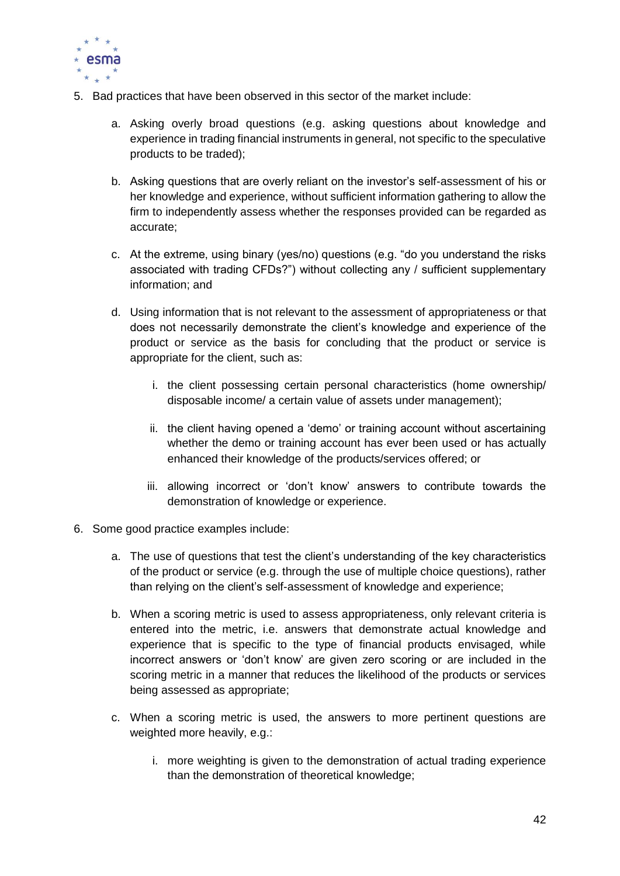

- 5. Bad practices that have been observed in this sector of the market include:
	- a. Asking overly broad questions (e.g. asking questions about knowledge and experience in trading financial instruments in general, not specific to the speculative products to be traded);
	- b. Asking questions that are overly reliant on the investor's self-assessment of his or her knowledge and experience, without sufficient information gathering to allow the firm to independently assess whether the responses provided can be regarded as accurate;
	- c. At the extreme, using binary (yes/no) questions (e.g. "do you understand the risks associated with trading CFDs?") without collecting any / sufficient supplementary information; and
	- d. Using information that is not relevant to the assessment of appropriateness or that does not necessarily demonstrate the client's knowledge and experience of the product or service as the basis for concluding that the product or service is appropriate for the client, such as:
		- i. the client possessing certain personal characteristics (home ownership/ disposable income/ a certain value of assets under management);
		- ii. the client having opened a 'demo' or training account without ascertaining whether the demo or training account has ever been used or has actually enhanced their knowledge of the products/services offered; or
		- iii. allowing incorrect or 'don't know' answers to contribute towards the demonstration of knowledge or experience.
- 6. Some good practice examples include:
	- a. The use of questions that test the client's understanding of the key characteristics of the product or service (e.g. through the use of multiple choice questions), rather than relying on the client's self-assessment of knowledge and experience;
	- b. When a scoring metric is used to assess appropriateness, only relevant criteria is entered into the metric, i.e. answers that demonstrate actual knowledge and experience that is specific to the type of financial products envisaged, while incorrect answers or 'don't know' are given zero scoring or are included in the scoring metric in a manner that reduces the likelihood of the products or services being assessed as appropriate;
	- c. When a scoring metric is used, the answers to more pertinent questions are weighted more heavily, e.g.:
		- i. more weighting is given to the demonstration of actual trading experience than the demonstration of theoretical knowledge;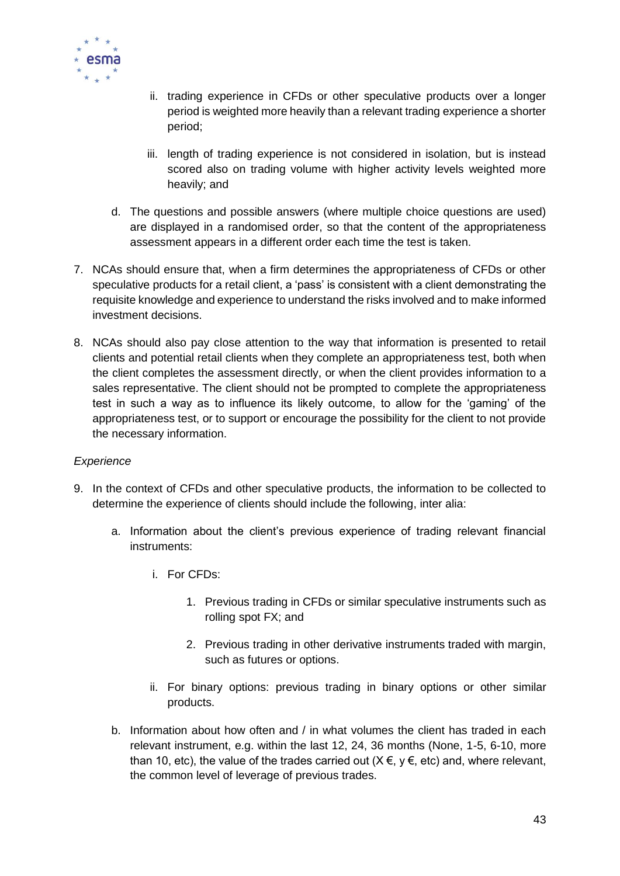

- ii. trading experience in CFDs or other speculative products over a longer period is weighted more heavily than a relevant trading experience a shorter period;
- iii. length of trading experience is not considered in isolation, but is instead scored also on trading volume with higher activity levels weighted more heavily; and
- d. The questions and possible answers (where multiple choice questions are used) are displayed in a randomised order, so that the content of the appropriateness assessment appears in a different order each time the test is taken.
- 7. NCAs should ensure that, when a firm determines the appropriateness of CFDs or other speculative products for a retail client, a 'pass' is consistent with a client demonstrating the requisite knowledge and experience to understand the risks involved and to make informed investment decisions.
- 8. NCAs should also pay close attention to the way that information is presented to retail clients and potential retail clients when they complete an appropriateness test, both when the client completes the assessment directly, or when the client provides information to a sales representative. The client should not be prompted to complete the appropriateness test in such a way as to influence its likely outcome, to allow for the 'gaming' of the appropriateness test, or to support or encourage the possibility for the client to not provide the necessary information.

#### *Experience*

- 9. In the context of CFDs and other speculative products, the information to be collected to determine the experience of clients should include the following, inter alia:
	- a. Information about the client's previous experience of trading relevant financial instruments:
		- i. For CFDs:
			- 1. Previous trading in CFDs or similar speculative instruments such as rolling spot FX; and
			- 2. Previous trading in other derivative instruments traded with margin, such as futures or options.
		- ii. For binary options: previous trading in binary options or other similar products.
	- b. Information about how often and / in what volumes the client has traded in each relevant instrument, e.g. within the last 12, 24, 36 months (None, 1-5, 6-10, more than 10, etc), the value of the trades carried out ( $X \in V$ ,  $y \in E$ , etc) and, where relevant, the common level of leverage of previous trades.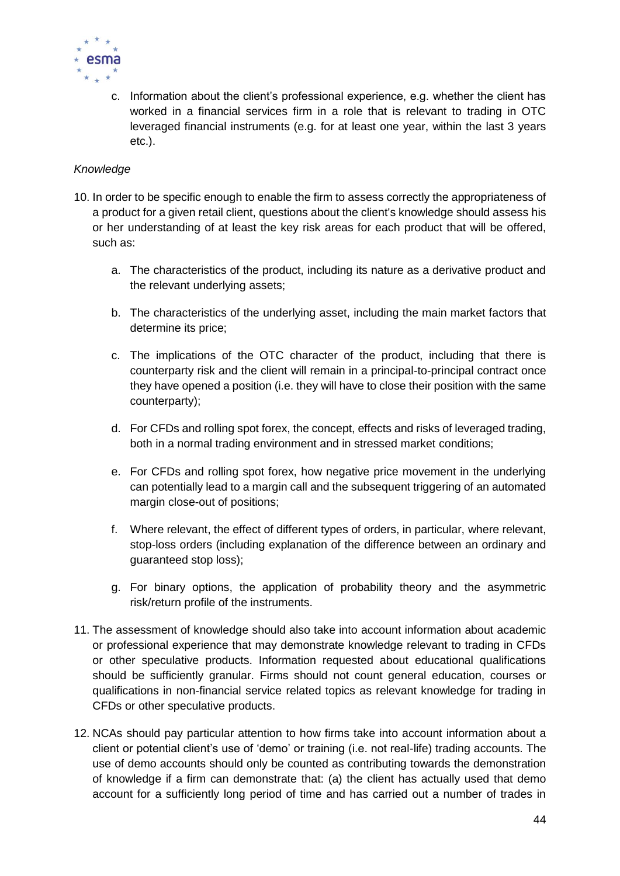

c. Information about the client's professional experience, e.g. whether the client has worked in a financial services firm in a role that is relevant to trading in OTC leveraged financial instruments (e.g. for at least one year, within the last 3 years etc.).

### *Knowledge*

- 10. In order to be specific enough to enable the firm to assess correctly the appropriateness of a product for a given retail client, questions about the client's knowledge should assess his or her understanding of at least the key risk areas for each product that will be offered, such as:
	- a. The characteristics of the product, including its nature as a derivative product and the relevant underlying assets;
	- b. The characteristics of the underlying asset, including the main market factors that determine its price;
	- c. The implications of the OTC character of the product, including that there is counterparty risk and the client will remain in a principal-to-principal contract once they have opened a position (i.e. they will have to close their position with the same counterparty);
	- d. For CFDs and rolling spot forex, the concept, effects and risks of leveraged trading, both in a normal trading environment and in stressed market conditions;
	- e. For CFDs and rolling spot forex, how negative price movement in the underlying can potentially lead to a margin call and the subsequent triggering of an automated margin close-out of positions;
	- f. Where relevant, the effect of different types of orders, in particular, where relevant, stop-loss orders (including explanation of the difference between an ordinary and guaranteed stop loss);
	- g. For binary options, the application of probability theory and the asymmetric risk/return profile of the instruments.
- 11. The assessment of knowledge should also take into account information about academic or professional experience that may demonstrate knowledge relevant to trading in CFDs or other speculative products. Information requested about educational qualifications should be sufficiently granular. Firms should not count general education, courses or qualifications in non-financial service related topics as relevant knowledge for trading in CFDs or other speculative products.
- 12. NCAs should pay particular attention to how firms take into account information about a client or potential client's use of 'demo' or training (i.e. not real-life) trading accounts. The use of demo accounts should only be counted as contributing towards the demonstration of knowledge if a firm can demonstrate that: (a) the client has actually used that demo account for a sufficiently long period of time and has carried out a number of trades in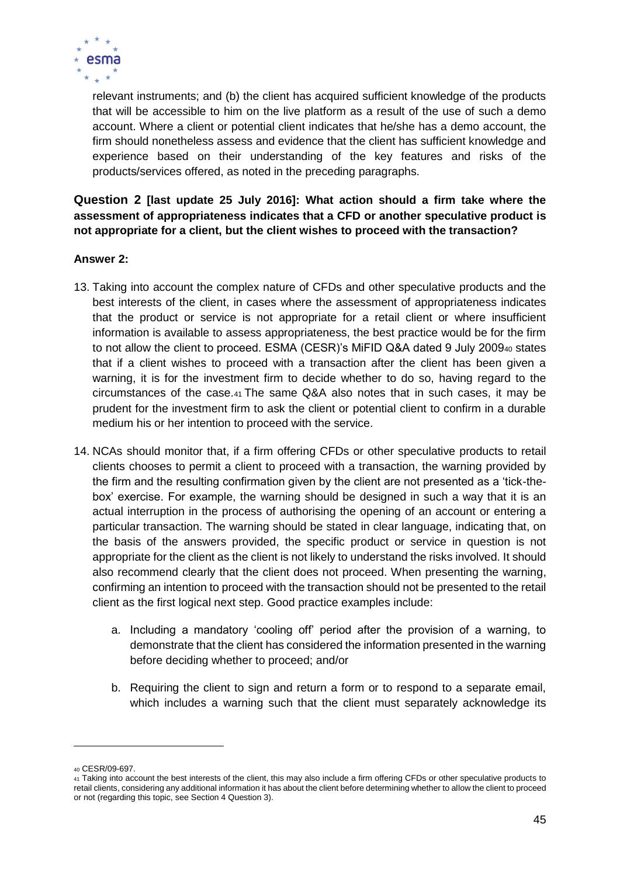

relevant instruments; and (b) the client has acquired sufficient knowledge of the products that will be accessible to him on the live platform as a result of the use of such a demo account. Where a client or potential client indicates that he/she has a demo account, the firm should nonetheless assess and evidence that the client has sufficient knowledge and experience based on their understanding of the key features and risks of the products/services offered, as noted in the preceding paragraphs.

**Question 2 [last update 25 July 2016]: What action should a firm take where the assessment of appropriateness indicates that a CFD or another speculative product is not appropriate for a client, but the client wishes to proceed with the transaction?**

#### **Answer 2:**

- 13. Taking into account the complex nature of CFDs and other speculative products and the best interests of the client, in cases where the assessment of appropriateness indicates that the product or service is not appropriate for a retail client or where insufficient information is available to assess appropriateness, the best practice would be for the firm to not allow the client to proceed. ESMA (CESR)'s MiFID Q&A dated 9 July 2009<sup>40</sup> states that if a client wishes to proceed with a transaction after the client has been given a warning, it is for the investment firm to decide whether to do so, having regard to the circumstances of the case.<sup>41</sup> The same Q&A also notes that in such cases, it may be prudent for the investment firm to ask the client or potential client to confirm in a durable medium his or her intention to proceed with the service.
- 14. NCAs should monitor that, if a firm offering CFDs or other speculative products to retail clients chooses to permit a client to proceed with a transaction, the warning provided by the firm and the resulting confirmation given by the client are not presented as a 'tick-thebox' exercise. For example, the warning should be designed in such a way that it is an actual interruption in the process of authorising the opening of an account or entering a particular transaction. The warning should be stated in clear language, indicating that, on the basis of the answers provided, the specific product or service in question is not appropriate for the client as the client is not likely to understand the risks involved. It should also recommend clearly that the client does not proceed. When presenting the warning, confirming an intention to proceed with the transaction should not be presented to the retail client as the first logical next step. Good practice examples include:
	- a. Including a mandatory 'cooling off' period after the provision of a warning, to demonstrate that the client has considered the information presented in the warning before deciding whether to proceed; and/or
	- b. Requiring the client to sign and return a form or to respond to a separate email, which includes a warning such that the client must separately acknowledge its

<sup>40</sup> CESR/09-697.

<sup>41</sup> Taking into account the best interests of the client, this may also include a firm offering CFDs or other speculative products to retail clients, considering any additional information it has about the client before determining whether to allow the client to proceed or not (regarding this topic, see Section 4 Question 3).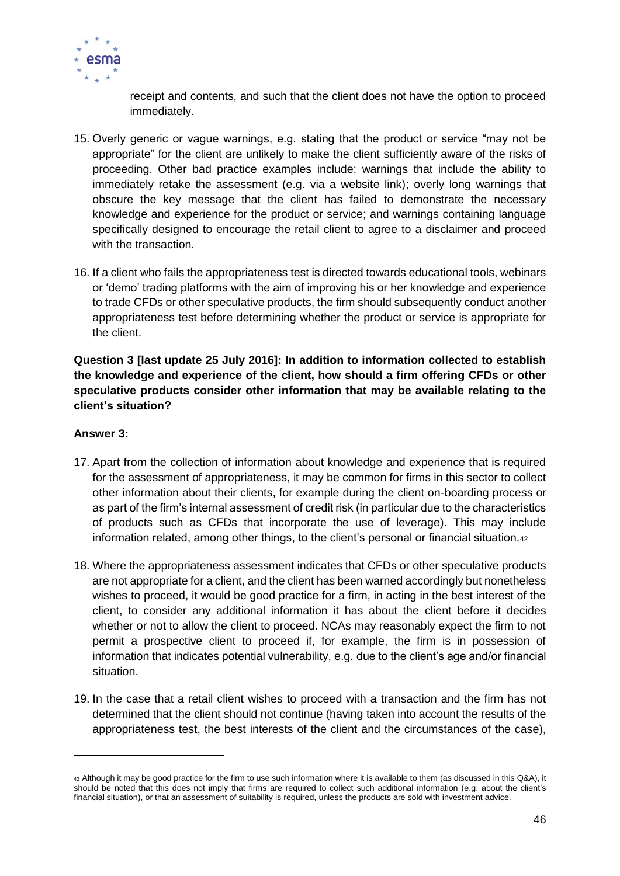

receipt and contents, and such that the client does not have the option to proceed immediately.

- 15. Overly generic or vague warnings, e.g. stating that the product or service "may not be appropriate" for the client are unlikely to make the client sufficiently aware of the risks of proceeding. Other bad practice examples include: warnings that include the ability to immediately retake the assessment (e.g. via a website link); overly long warnings that obscure the key message that the client has failed to demonstrate the necessary knowledge and experience for the product or service; and warnings containing language specifically designed to encourage the retail client to agree to a disclaimer and proceed with the transaction.
- 16. If a client who fails the appropriateness test is directed towards educational tools, webinars or 'demo' trading platforms with the aim of improving his or her knowledge and experience to trade CFDs or other speculative products, the firm should subsequently conduct another appropriateness test before determining whether the product or service is appropriate for the client.

**Question 3 [last update 25 July 2016]: In addition to information collected to establish the knowledge and experience of the client, how should a firm offering CFDs or other speculative products consider other information that may be available relating to the client's situation?**

## **Answer 3:**

- 17. Apart from the collection of information about knowledge and experience that is required for the assessment of appropriateness, it may be common for firms in this sector to collect other information about their clients, for example during the client on-boarding process or as part of the firm's internal assessment of credit risk (in particular due to the characteristics of products such as CFDs that incorporate the use of leverage). This may include information related, among other things, to the client's personal or financial situation.<sup>42</sup>
- 18. Where the appropriateness assessment indicates that CFDs or other speculative products are not appropriate for a client, and the client has been warned accordingly but nonetheless wishes to proceed, it would be good practice for a firm, in acting in the best interest of the client, to consider any additional information it has about the client before it decides whether or not to allow the client to proceed. NCAs may reasonably expect the firm to not permit a prospective client to proceed if, for example, the firm is in possession of information that indicates potential vulnerability, e.g. due to the client's age and/or financial situation.
- 19. In the case that a retail client wishes to proceed with a transaction and the firm has not determined that the client should not continue (having taken into account the results of the appropriateness test, the best interests of the client and the circumstances of the case),

<sup>42</sup> Although it may be good practice for the firm to use such information where it is available to them (as discussed in this Q&A), it should be noted that this does not imply that firms are required to collect such additional information (e.g. about the client's financial situation), or that an assessment of suitability is required, unless the products are sold with investment advice.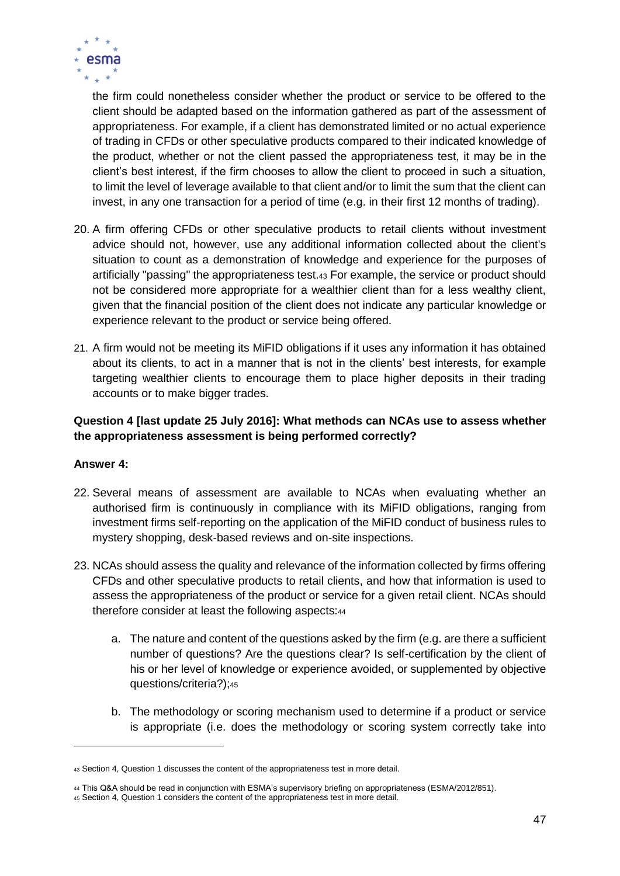

the firm could nonetheless consider whether the product or service to be offered to the client should be adapted based on the information gathered as part of the assessment of appropriateness. For example, if a client has demonstrated limited or no actual experience of trading in CFDs or other speculative products compared to their indicated knowledge of the product, whether or not the client passed the appropriateness test, it may be in the client's best interest, if the firm chooses to allow the client to proceed in such a situation, to limit the level of leverage available to that client and/or to limit the sum that the client can invest, in any one transaction for a period of time (e.g. in their first 12 months of trading).

- 20. A firm offering CFDs or other speculative products to retail clients without investment advice should not, however, use any additional information collected about the client's situation to count as a demonstration of knowledge and experience for the purposes of artificially "passing" the appropriateness test.<sup>43</sup> For example, the service or product should not be considered more appropriate for a wealthier client than for a less wealthy client, given that the financial position of the client does not indicate any particular knowledge or experience relevant to the product or service being offered.
- 21. A firm would not be meeting its MiFID obligations if it uses any information it has obtained about its clients, to act in a manner that is not in the clients' best interests, for example targeting wealthier clients to encourage them to place higher deposits in their trading accounts or to make bigger trades.

### **Question 4 [last update 25 July 2016]: What methods can NCAs use to assess whether the appropriateness assessment is being performed correctly?**

## **Answer 4:**

- 22. Several means of assessment are available to NCAs when evaluating whether an authorised firm is continuously in compliance with its MiFID obligations, ranging from investment firms self-reporting on the application of the MiFID conduct of business rules to mystery shopping, desk-based reviews and on-site inspections.
- 23. NCAs should assess the quality and relevance of the information collected by firms offering CFDs and other speculative products to retail clients, and how that information is used to assess the appropriateness of the product or service for a given retail client. NCAs should therefore consider at least the following aspects:<sup>44</sup>
	- a. The nature and content of the questions asked by the firm (e.g. are there a sufficient number of questions? Are the questions clear? Is self-certification by the client of his or her level of knowledge or experience avoided, or supplemented by objective questions/criteria?);<sup>45</sup>
	- b. The methodology or scoring mechanism used to determine if a product or service is appropriate (i.e. does the methodology or scoring system correctly take into

<sup>43</sup> Section 4, Question 1 discusses the content of the appropriateness test in more detail.

<sup>44</sup> This Q&A should be read in conjunction with ESMA's supervisory briefing on appropriateness (ESMA/2012/851).

<sup>45</sup> Section 4, Question 1 considers the content of the appropriateness test in more detail.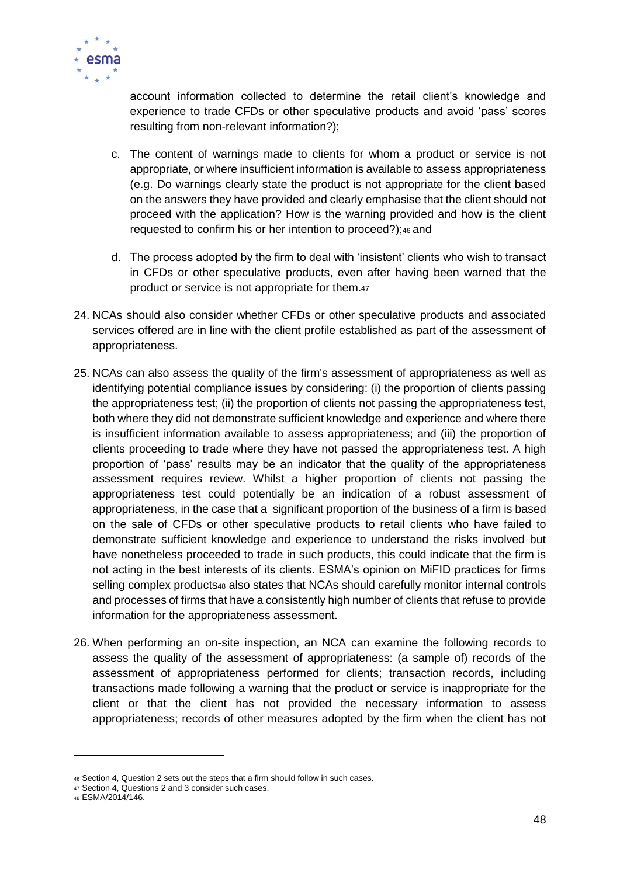

account information collected to determine the retail client's knowledge and experience to trade CFDs or other speculative products and avoid 'pass' scores resulting from non-relevant information?);

- c. The content of warnings made to clients for whom a product or service is not appropriate, or where insufficient information is available to assess appropriateness (e.g. Do warnings clearly state the product is not appropriate for the client based on the answers they have provided and clearly emphasise that the client should not proceed with the application? How is the warning provided and how is the client requested to confirm his or her intention to proceed?);<sup>46</sup> and
- d. The process adopted by the firm to deal with 'insistent' clients who wish to transact in CFDs or other speculative products, even after having been warned that the product or service is not appropriate for them.<sup>47</sup>
- 24. NCAs should also consider whether CFDs or other speculative products and associated services offered are in line with the client profile established as part of the assessment of appropriateness.
- 25. NCAs can also assess the quality of the firm's assessment of appropriateness as well as identifying potential compliance issues by considering: (i) the proportion of clients passing the appropriateness test; (ii) the proportion of clients not passing the appropriateness test, both where they did not demonstrate sufficient knowledge and experience and where there is insufficient information available to assess appropriateness; and (iii) the proportion of clients proceeding to trade where they have not passed the appropriateness test. A high proportion of 'pass' results may be an indicator that the quality of the appropriateness assessment requires review. Whilst a higher proportion of clients not passing the appropriateness test could potentially be an indication of a robust assessment of appropriateness, in the case that a significant proportion of the business of a firm is based on the sale of CFDs or other speculative products to retail clients who have failed to demonstrate sufficient knowledge and experience to understand the risks involved but have nonetheless proceeded to trade in such products, this could indicate that the firm is not acting in the best interests of its clients. ESMA's opinion on MiFID practices for firms selling complex products48 also states that NCAs should carefully monitor internal controls and processes of firms that have a consistently high number of clients that refuse to provide information for the appropriateness assessment.
- 26. When performing an on-site inspection, an NCA can examine the following records to assess the quality of the assessment of appropriateness: (a sample of) records of the assessment of appropriateness performed for clients; transaction records, including transactions made following a warning that the product or service is inappropriate for the client or that the client has not provided the necessary information to assess appropriateness; records of other measures adopted by the firm when the client has not

<sup>46</sup> Section 4, Question 2 sets out the steps that a firm should follow in such cases.

<sup>47</sup> Section 4, Questions 2 and 3 consider such cases.

<sup>48</sup> ESMA/2014/146.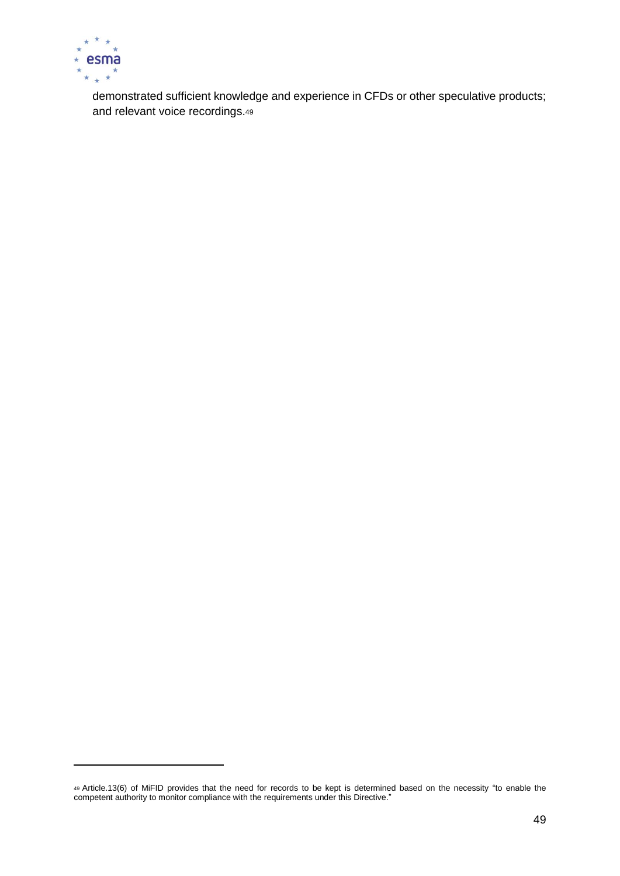

demonstrated sufficient knowledge and experience in CFDs or other speculative products; and relevant voice recordings.<sup>49</sup>

<sup>49</sup> Article.13(6) of MiFID provides that the need for records to be kept is determined based on the necessity "to enable the competent authority to monitor compliance with the requirements under this Directive."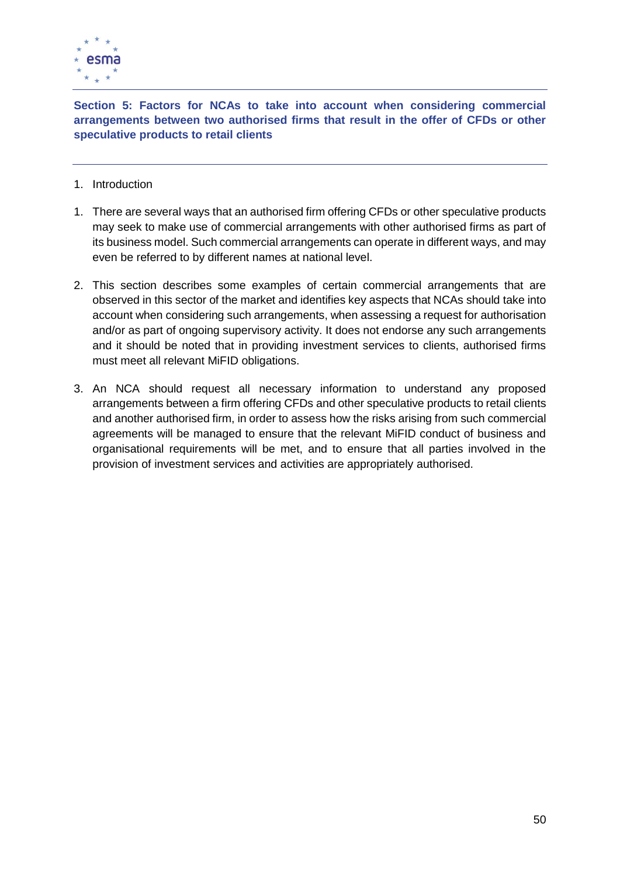

**Section 5: Factors for NCAs to take into account when considering commercial arrangements between two authorised firms that result in the offer of CFDs or other speculative products to retail clients**

- 1. Introduction
- 1. There are several ways that an authorised firm offering CFDs or other speculative products may seek to make use of commercial arrangements with other authorised firms as part of its business model. Such commercial arrangements can operate in different ways, and may even be referred to by different names at national level.
- 2. This section describes some examples of certain commercial arrangements that are observed in this sector of the market and identifies key aspects that NCAs should take into account when considering such arrangements, when assessing a request for authorisation and/or as part of ongoing supervisory activity. It does not endorse any such arrangements and it should be noted that in providing investment services to clients, authorised firms must meet all relevant MiFID obligations.
- 3. An NCA should request all necessary information to understand any proposed arrangements between a firm offering CFDs and other speculative products to retail clients and another authorised firm, in order to assess how the risks arising from such commercial agreements will be managed to ensure that the relevant MiFID conduct of business and organisational requirements will be met, and to ensure that all parties involved in the provision of investment services and activities are appropriately authorised.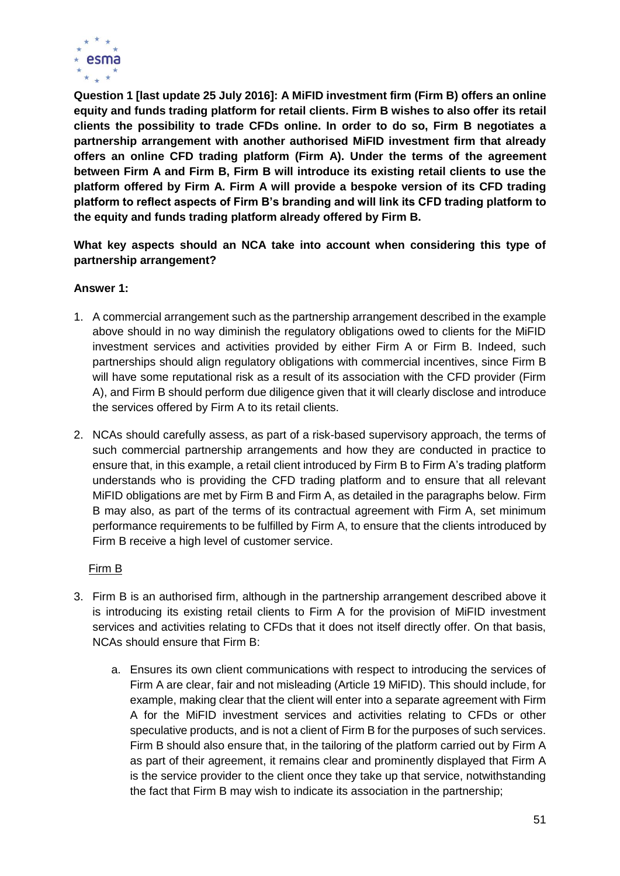

**Question 1 [last update 25 July 2016]: A MiFID investment firm (Firm B) offers an online equity and funds trading platform for retail clients. Firm B wishes to also offer its retail clients the possibility to trade CFDs online. In order to do so, Firm B negotiates a partnership arrangement with another authorised MiFID investment firm that already offers an online CFD trading platform (Firm A). Under the terms of the agreement between Firm A and Firm B, Firm B will introduce its existing retail clients to use the platform offered by Firm A. Firm A will provide a bespoke version of its CFD trading platform to reflect aspects of Firm B's branding and will link its CFD trading platform to the equity and funds trading platform already offered by Firm B.**

**What key aspects should an NCA take into account when considering this type of partnership arrangement?** 

#### **Answer 1:**

- 1. A commercial arrangement such as the partnership arrangement described in the example above should in no way diminish the regulatory obligations owed to clients for the MiFID investment services and activities provided by either Firm A or Firm B. Indeed, such partnerships should align regulatory obligations with commercial incentives, since Firm B will have some reputational risk as a result of its association with the CFD provider (Firm A), and Firm B should perform due diligence given that it will clearly disclose and introduce the services offered by Firm A to its retail clients.
- 2. NCAs should carefully assess, as part of a risk-based supervisory approach, the terms of such commercial partnership arrangements and how they are conducted in practice to ensure that, in this example, a retail client introduced by Firm B to Firm A's trading platform understands who is providing the CFD trading platform and to ensure that all relevant MiFID obligations are met by Firm B and Firm A, as detailed in the paragraphs below. Firm B may also, as part of the terms of its contractual agreement with Firm A, set minimum performance requirements to be fulfilled by Firm A, to ensure that the clients introduced by Firm B receive a high level of customer service.

## Firm B

- 3. Firm B is an authorised firm, although in the partnership arrangement described above it is introducing its existing retail clients to Firm A for the provision of MiFID investment services and activities relating to CFDs that it does not itself directly offer. On that basis, NCAs should ensure that Firm B:
	- a. Ensures its own client communications with respect to introducing the services of Firm A are clear, fair and not misleading (Article 19 MiFID). This should include, for example, making clear that the client will enter into a separate agreement with Firm A for the MiFID investment services and activities relating to CFDs or other speculative products, and is not a client of Firm B for the purposes of such services. Firm B should also ensure that, in the tailoring of the platform carried out by Firm A as part of their agreement, it remains clear and prominently displayed that Firm A is the service provider to the client once they take up that service, notwithstanding the fact that Firm B may wish to indicate its association in the partnership;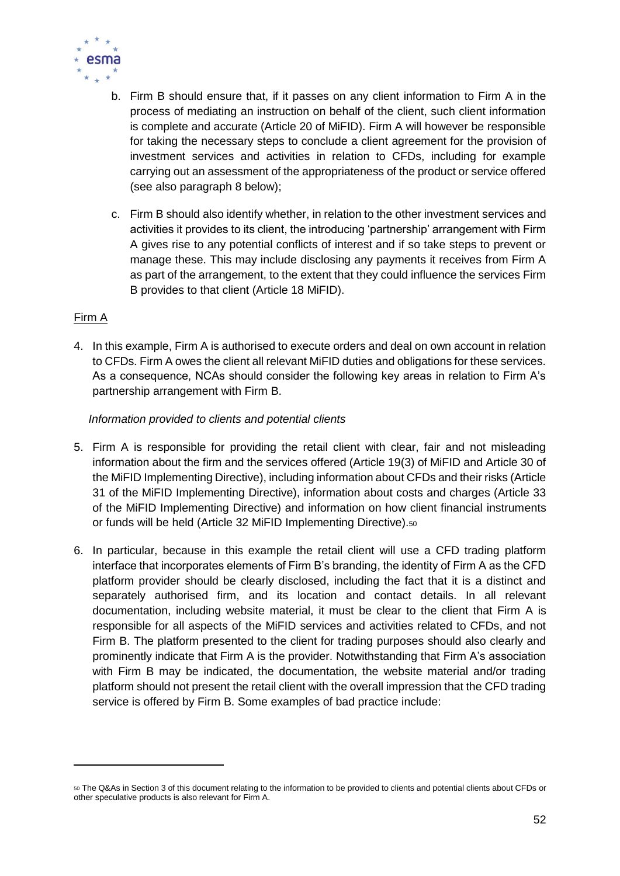

- b. Firm B should ensure that, if it passes on any client information to Firm A in the process of mediating an instruction on behalf of the client, such client information is complete and accurate (Article 20 of MiFID). Firm A will however be responsible for taking the necessary steps to conclude a client agreement for the provision of investment services and activities in relation to CFDs, including for example carrying out an assessment of the appropriateness of the product or service offered (see also paragraph 8 below);
- c. Firm B should also identify whether, in relation to the other investment services and activities it provides to its client, the introducing 'partnership' arrangement with Firm A gives rise to any potential conflicts of interest and if so take steps to prevent or manage these. This may include disclosing any payments it receives from Firm A as part of the arrangement, to the extent that they could influence the services Firm B provides to that client (Article 18 MiFID).

## Firm A

4. In this example, Firm A is authorised to execute orders and deal on own account in relation to CFDs. Firm A owes the client all relevant MiFID duties and obligations for these services. As a consequence, NCAs should consider the following key areas in relation to Firm A's partnership arrangement with Firm B.

## *Information provided to clients and potential clients*

- 5. Firm A is responsible for providing the retail client with clear, fair and not misleading information about the firm and the services offered (Article 19(3) of MiFID and Article 30 of the MiFID Implementing Directive), including information about CFDs and their risks (Article 31 of the MiFID Implementing Directive), information about costs and charges (Article 33 of the MiFID Implementing Directive) and information on how client financial instruments or funds will be held (Article 32 MiFID Implementing Directive).<sup>50</sup>
- 6. In particular, because in this example the retail client will use a CFD trading platform interface that incorporates elements of Firm B's branding, the identity of Firm A as the CFD platform provider should be clearly disclosed, including the fact that it is a distinct and separately authorised firm, and its location and contact details. In all relevant documentation, including website material, it must be clear to the client that Firm A is responsible for all aspects of the MiFID services and activities related to CFDs, and not Firm B. The platform presented to the client for trading purposes should also clearly and prominently indicate that Firm A is the provider. Notwithstanding that Firm A's association with Firm B may be indicated, the documentation, the website material and/or trading platform should not present the retail client with the overall impression that the CFD trading service is offered by Firm B. Some examples of bad practice include:

<sup>50</sup> The Q&As in Section 3 of this document relating to the information to be provided to clients and potential clients about CFDs or other speculative products is also relevant for Firm A.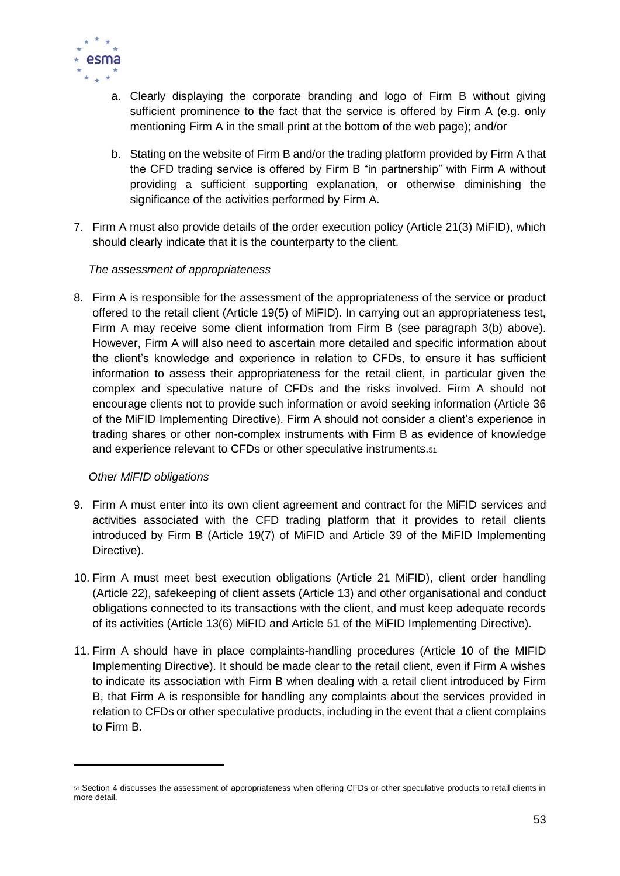

- a. Clearly displaying the corporate branding and logo of Firm B without giving sufficient prominence to the fact that the service is offered by Firm A (e.g. only mentioning Firm A in the small print at the bottom of the web page); and/or
- b. Stating on the website of Firm B and/or the trading platform provided by Firm A that the CFD trading service is offered by Firm B "in partnership" with Firm A without providing a sufficient supporting explanation, or otherwise diminishing the significance of the activities performed by Firm A.
- 7. Firm A must also provide details of the order execution policy (Article 21(3) MiFID), which should clearly indicate that it is the counterparty to the client.

#### *The assessment of appropriateness*

8. Firm A is responsible for the assessment of the appropriateness of the service or product offered to the retail client (Article 19(5) of MiFID). In carrying out an appropriateness test, Firm A may receive some client information from Firm B (see paragraph 3(b) above). However, Firm A will also need to ascertain more detailed and specific information about the client's knowledge and experience in relation to CFDs, to ensure it has sufficient information to assess their appropriateness for the retail client, in particular given the complex and speculative nature of CFDs and the risks involved. Firm A should not encourage clients not to provide such information or avoid seeking information (Article 36 of the MiFID Implementing Directive). Firm A should not consider a client's experience in trading shares or other non-complex instruments with Firm B as evidence of knowledge and experience relevant to CFDs or other speculative instruments.<sup>51</sup>

## *Other MiFID obligations*

- 9. Firm A must enter into its own client agreement and contract for the MiFID services and activities associated with the CFD trading platform that it provides to retail clients introduced by Firm B (Article 19(7) of MiFID and Article 39 of the MiFID Implementing Directive).
- 10. Firm A must meet best execution obligations (Article 21 MiFID), client order handling (Article 22), safekeeping of client assets (Article 13) and other organisational and conduct obligations connected to its transactions with the client, and must keep adequate records of its activities (Article 13(6) MiFID and Article 51 of the MiFID Implementing Directive).
- 11. Firm A should have in place complaints-handling procedures (Article 10 of the MIFID Implementing Directive). It should be made clear to the retail client, even if Firm A wishes to indicate its association with Firm B when dealing with a retail client introduced by Firm B, that Firm A is responsible for handling any complaints about the services provided in relation to CFDs or other speculative products, including in the event that a client complains to Firm B.

<sup>51</sup> Section 4 discusses the assessment of appropriateness when offering CFDs or other speculative products to retail clients in more detail.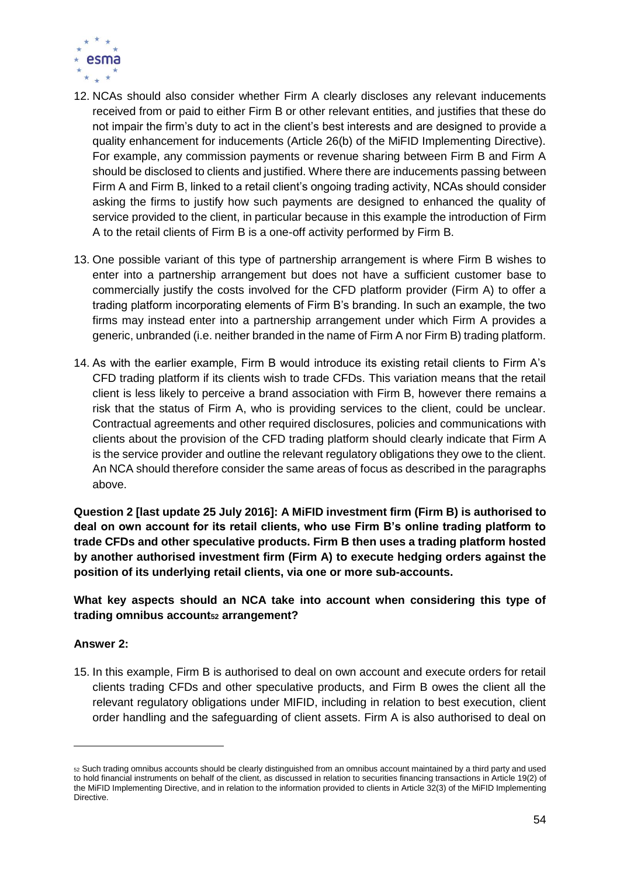

- 12. NCAs should also consider whether Firm A clearly discloses any relevant inducements received from or paid to either Firm B or other relevant entities, and justifies that these do not impair the firm's duty to act in the client's best interests and are designed to provide a quality enhancement for inducements (Article 26(b) of the MiFID Implementing Directive). For example, any commission payments or revenue sharing between Firm B and Firm A should be disclosed to clients and justified. Where there are inducements passing between Firm A and Firm B, linked to a retail client's ongoing trading activity, NCAs should consider asking the firms to justify how such payments are designed to enhanced the quality of service provided to the client, in particular because in this example the introduction of Firm A to the retail clients of Firm B is a one-off activity performed by Firm B.
- 13. One possible variant of this type of partnership arrangement is where Firm B wishes to enter into a partnership arrangement but does not have a sufficient customer base to commercially justify the costs involved for the CFD platform provider (Firm A) to offer a trading platform incorporating elements of Firm B's branding. In such an example, the two firms may instead enter into a partnership arrangement under which Firm A provides a generic, unbranded (i.e. neither branded in the name of Firm A nor Firm B) trading platform.
- 14. As with the earlier example, Firm B would introduce its existing retail clients to Firm A's CFD trading platform if its clients wish to trade CFDs. This variation means that the retail client is less likely to perceive a brand association with Firm B, however there remains a risk that the status of Firm A, who is providing services to the client, could be unclear. Contractual agreements and other required disclosures, policies and communications with clients about the provision of the CFD trading platform should clearly indicate that Firm A is the service provider and outline the relevant regulatory obligations they owe to the client. An NCA should therefore consider the same areas of focus as described in the paragraphs above.

**Question 2 [last update 25 July 2016]: A MiFID investment firm (Firm B) is authorised to deal on own account for its retail clients, who use Firm B's online trading platform to trade CFDs and other speculative products. Firm B then uses a trading platform hosted by another authorised investment firm (Firm A) to execute hedging orders against the position of its underlying retail clients, via one or more sub-accounts.**

**What key aspects should an NCA take into account when considering this type of trading omnibus account<sup>52</sup> arrangement?**

## **Answer 2:**

15. In this example, Firm B is authorised to deal on own account and execute orders for retail clients trading CFDs and other speculative products, and Firm B owes the client all the relevant regulatory obligations under MIFID, including in relation to best execution, client order handling and the safeguarding of client assets. Firm A is also authorised to deal on

<sup>52</sup> Such trading omnibus accounts should be clearly distinguished from an omnibus account maintained by a third party and used to hold financial instruments on behalf of the client, as discussed in relation to securities financing transactions in Article 19(2) of the MiFID Implementing Directive, and in relation to the information provided to clients in Article 32(3) of the MiFID Implementing Directive.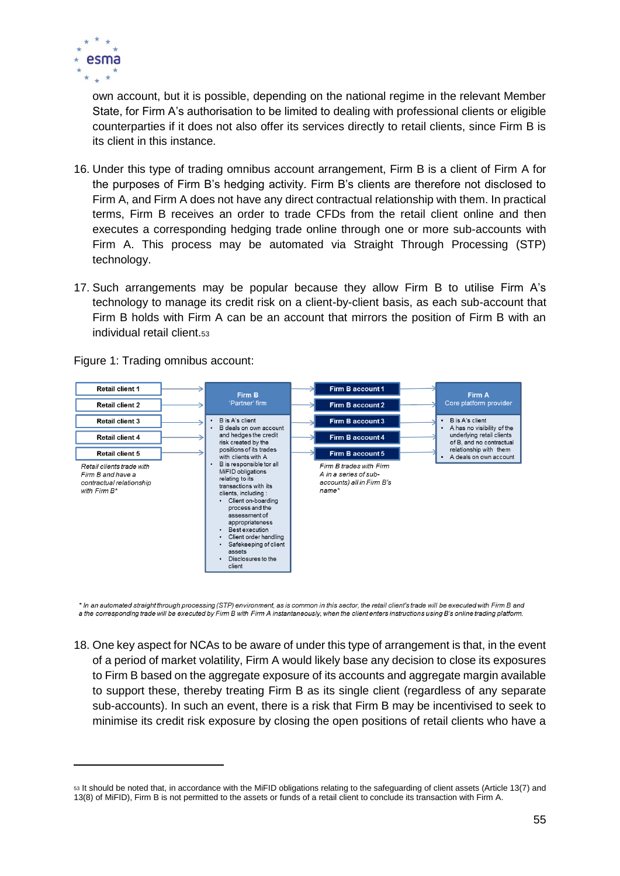

own account, but it is possible, depending on the national regime in the relevant Member State, for Firm A's authorisation to be limited to dealing with professional clients or eligible counterparties if it does not also offer its services directly to retail clients, since Firm B is its client in this instance.

- 16. Under this type of trading omnibus account arrangement, Firm B is a client of Firm A for the purposes of Firm B's hedging activity. Firm B's clients are therefore not disclosed to Firm A, and Firm A does not have any direct contractual relationship with them. In practical terms, Firm B receives an order to trade CFDs from the retail client online and then executes a corresponding hedging trade online through one or more sub-accounts with Firm A. This process may be automated via Straight Through Processing (STP) technology.
- 17. Such arrangements may be popular because they allow Firm B to utilise Firm A's technology to manage its credit risk on a client-by-client basis, as each sub-account that Firm B holds with Firm A can be an account that mirrors the position of Firm B with an individual retail client.<sup>53</sup>

Retail client 1 Firm B account 1 Firm B Firm A Partner' firm Core platform provider Retail client 2 Firm B account 2 Retail client 3  $\overline{a}$ B is A's client Firm B account 3 B is A's client B deals on own account A has no visibility of the and hedges the credit underlying retail clients Firm B account 4 Retail client A risk created by the of B and no contractual positions of its trades relationship with them **Retail client 5** Firm B account 5 with clients with A A deals on own account B is responsible tor all Firm B trades with Firm Retail clients trade with **Distributions**<br>MiFID obligations Firm B and have a A in a series of subrelating to its contractual relationship accounts) all in Firm B's transactions with its with Firm B\* name\* clients, including · Client on-boarding process and the assessment of appropriateness Best execution Dest execution<br>Client order handling Safekeeping of client accote Disclosures to the client

Figure 1: Trading omnibus account:

\* In an automated straight through processing (STP) environment, as is common in this sector, the retail client's trade will be executed with Firm B and a the corresponding trade will be executed by Firm B with Firm A instantaneously, when the client enters instructions using B's online trading platform.

18. One key aspect for NCAs to be aware of under this type of arrangement is that, in the event of a period of market volatility, Firm A would likely base any decision to close its exposures to Firm B based on the aggregate exposure of its accounts and aggregate margin available to support these, thereby treating Firm B as its single client (regardless of any separate sub-accounts). In such an event, there is a risk that Firm B may be incentivised to seek to minimise its credit risk exposure by closing the open positions of retail clients who have a

<sup>53</sup> It should be noted that, in accordance with the MiFID obligations relating to the safeguarding of client assets (Article 13(7) and 13(8) of MiFID), Firm B is not permitted to the assets or funds of a retail client to conclude its transaction with Firm A.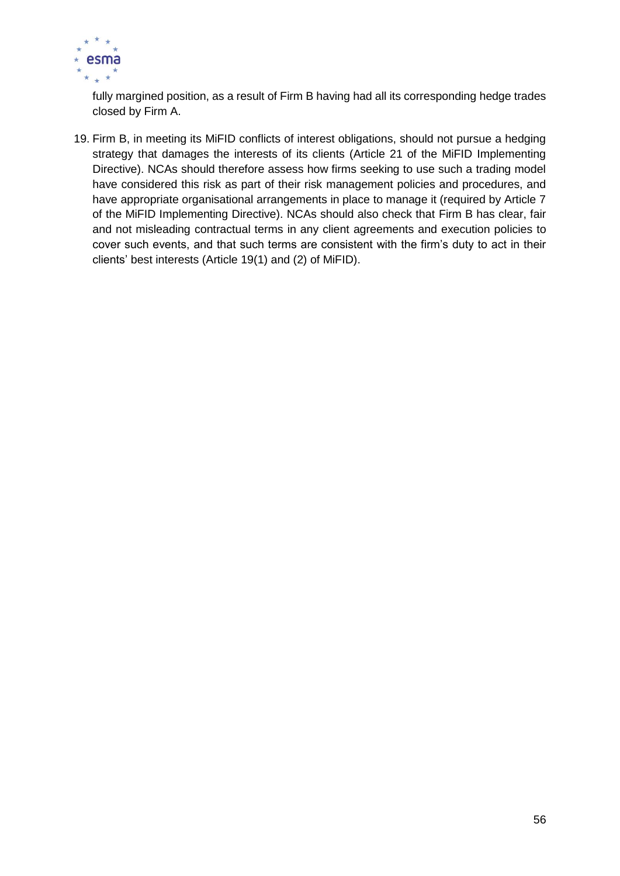

fully margined position, as a result of Firm B having had all its corresponding hedge trades closed by Firm A.

19. Firm B, in meeting its MiFID conflicts of interest obligations, should not pursue a hedging strategy that damages the interests of its clients (Article 21 of the MiFID Implementing Directive). NCAs should therefore assess how firms seeking to use such a trading model have considered this risk as part of their risk management policies and procedures, and have appropriate organisational arrangements in place to manage it (required by Article 7 of the MiFID Implementing Directive). NCAs should also check that Firm B has clear, fair and not misleading contractual terms in any client agreements and execution policies to cover such events, and that such terms are consistent with the firm's duty to act in their clients' best interests (Article 19(1) and (2) of MiFID).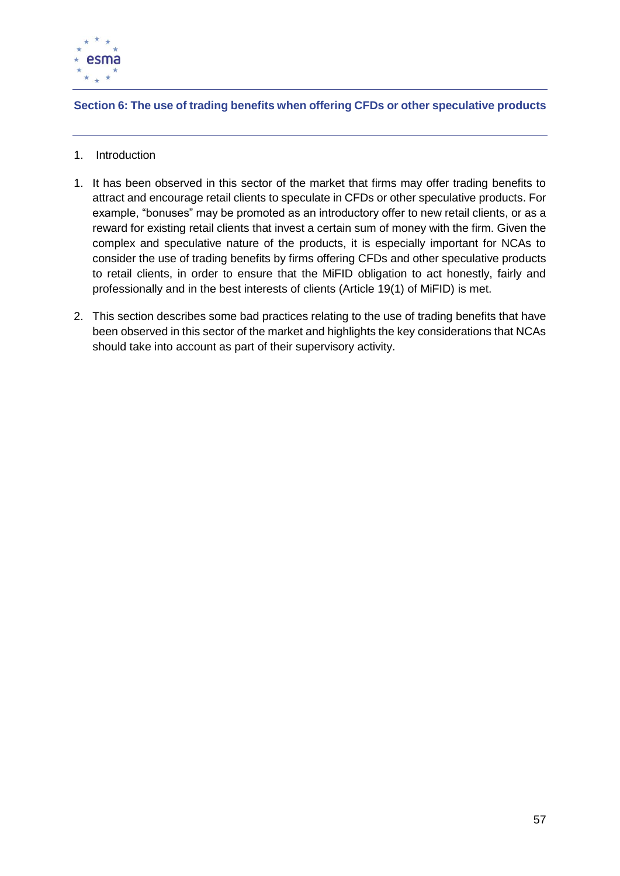

## **Section 6: The use of trading benefits when offering CFDs or other speculative products**

- 1. Introduction
- 1. It has been observed in this sector of the market that firms may offer trading benefits to attract and encourage retail clients to speculate in CFDs or other speculative products. For example, "bonuses" may be promoted as an introductory offer to new retail clients, or as a reward for existing retail clients that invest a certain sum of money with the firm. Given the complex and speculative nature of the products, it is especially important for NCAs to consider the use of trading benefits by firms offering CFDs and other speculative products to retail clients, in order to ensure that the MiFID obligation to act honestly, fairly and professionally and in the best interests of clients (Article 19(1) of MiFID) is met.
- 2. This section describes some bad practices relating to the use of trading benefits that have been observed in this sector of the market and highlights the key considerations that NCAs should take into account as part of their supervisory activity.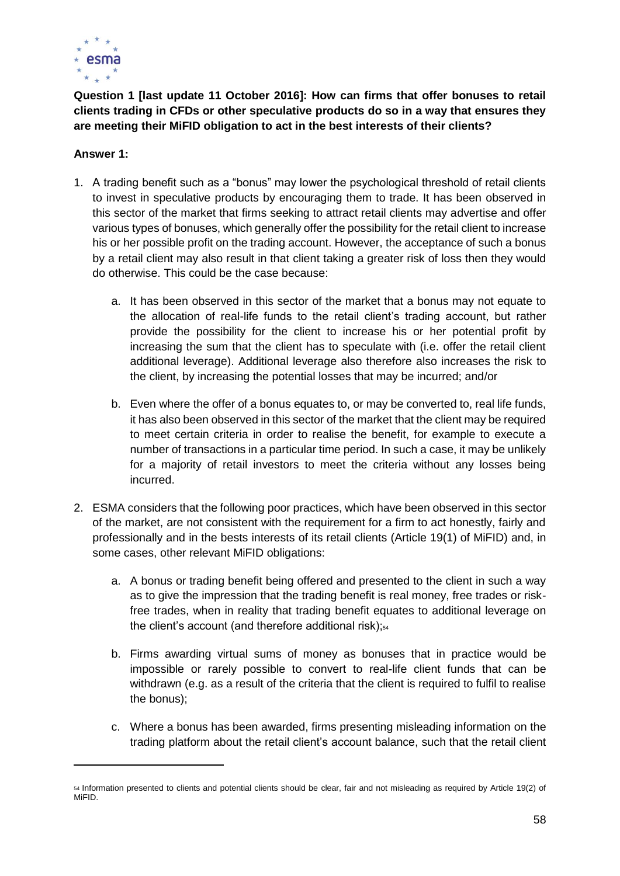

**Question 1 [last update 11 October 2016]: How can firms that offer bonuses to retail clients trading in CFDs or other speculative products do so in a way that ensures they are meeting their MiFID obligation to act in the best interests of their clients?**

## **Answer 1:**

- 1. A trading benefit such as a "bonus" may lower the psychological threshold of retail clients to invest in speculative products by encouraging them to trade. It has been observed in this sector of the market that firms seeking to attract retail clients may advertise and offer various types of bonuses, which generally offer the possibility for the retail client to increase his or her possible profit on the trading account. However, the acceptance of such a bonus by a retail client may also result in that client taking a greater risk of loss then they would do otherwise. This could be the case because:
	- a. It has been observed in this sector of the market that a bonus may not equate to the allocation of real-life funds to the retail client's trading account, but rather provide the possibility for the client to increase his or her potential profit by increasing the sum that the client has to speculate with (i.e. offer the retail client additional leverage). Additional leverage also therefore also increases the risk to the client, by increasing the potential losses that may be incurred; and/or
	- b. Even where the offer of a bonus equates to, or may be converted to, real life funds, it has also been observed in this sector of the market that the client may be required to meet certain criteria in order to realise the benefit, for example to execute a number of transactions in a particular time period. In such a case, it may be unlikely for a majority of retail investors to meet the criteria without any losses being incurred.
- 2. ESMA considers that the following poor practices, which have been observed in this sector of the market, are not consistent with the requirement for a firm to act honestly, fairly and professionally and in the bests interests of its retail clients (Article 19(1) of MiFID) and, in some cases, other relevant MiFID obligations:
	- a. A bonus or trading benefit being offered and presented to the client in such a way as to give the impression that the trading benefit is real money, free trades or riskfree trades, when in reality that trading benefit equates to additional leverage on the client's account (and therefore additional risk); $54$
	- b. Firms awarding virtual sums of money as bonuses that in practice would be impossible or rarely possible to convert to real-life client funds that can be withdrawn (e.g. as a result of the criteria that the client is required to fulfil to realise the bonus);
	- c. Where a bonus has been awarded, firms presenting misleading information on the trading platform about the retail client's account balance, such that the retail client

<sup>54</sup> Information presented to clients and potential clients should be clear, fair and not misleading as required by Article 19(2) of MiFID.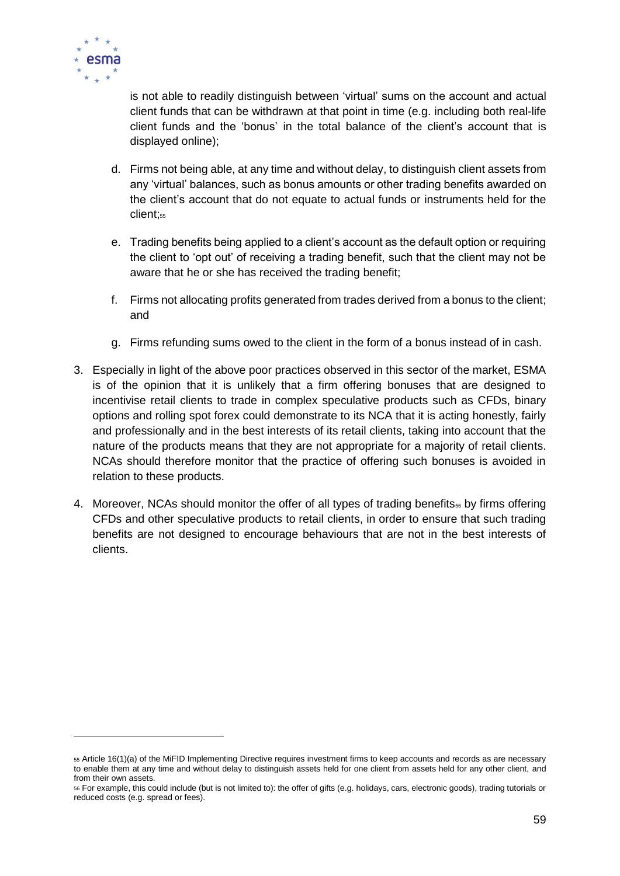

 $\overline{a}$ 

is not able to readily distinguish between 'virtual' sums on the account and actual client funds that can be withdrawn at that point in time (e.g. including both real-life client funds and the 'bonus' in the total balance of the client's account that is displayed online);

- d. Firms not being able, at any time and without delay, to distinguish client assets from any 'virtual' balances, such as bonus amounts or other trading benefits awarded on the client's account that do not equate to actual funds or instruments held for the client;<sub>55</sub>
- e. Trading benefits being applied to a client's account as the default option or requiring the client to 'opt out' of receiving a trading benefit, such that the client may not be aware that he or she has received the trading benefit;
- f. Firms not allocating profits generated from trades derived from a bonus to the client; and
- g. Firms refunding sums owed to the client in the form of a bonus instead of in cash.
- 3. Especially in light of the above poor practices observed in this sector of the market, ESMA is of the opinion that it is unlikely that a firm offering bonuses that are designed to incentivise retail clients to trade in complex speculative products such as CFDs, binary options and rolling spot forex could demonstrate to its NCA that it is acting honestly, fairly and professionally and in the best interests of its retail clients, taking into account that the nature of the products means that they are not appropriate for a majority of retail clients. NCAs should therefore monitor that the practice of offering such bonuses is avoided in relation to these products.
- 4. Moreover, NCAs should monitor the offer of all types of trading benefits<sub>56</sub> by firms offering CFDs and other speculative products to retail clients, in order to ensure that such trading benefits are not designed to encourage behaviours that are not in the best interests of clients.

<sup>55</sup> Article 16(1)(a) of the MiFID Implementing Directive requires investment firms to keep accounts and records as are necessary to enable them at any time and without delay to distinguish assets held for one client from assets held for any other client, and from their own assets.

<sup>56</sup> For example, this could include (but is not limited to): the offer of gifts (e.g. holidays, cars, electronic goods), trading tutorials or reduced costs (e.g. spread or fees).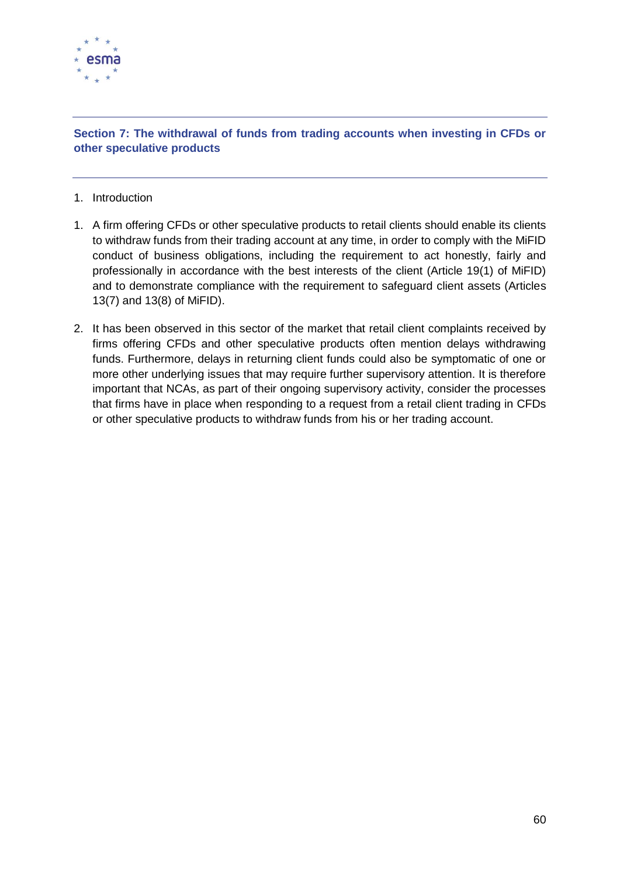

## **Section 7: The withdrawal of funds from trading accounts when investing in CFDs or other speculative products**

- 1. Introduction
- 1. A firm offering CFDs or other speculative products to retail clients should enable its clients to withdraw funds from their trading account at any time, in order to comply with the MiFID conduct of business obligations, including the requirement to act honestly, fairly and professionally in accordance with the best interests of the client (Article 19(1) of MiFID) and to demonstrate compliance with the requirement to safeguard client assets (Articles 13(7) and 13(8) of MiFID).
- 2. It has been observed in this sector of the market that retail client complaints received by firms offering CFDs and other speculative products often mention delays withdrawing funds. Furthermore, delays in returning client funds could also be symptomatic of one or more other underlying issues that may require further supervisory attention. It is therefore important that NCAs, as part of their ongoing supervisory activity, consider the processes that firms have in place when responding to a request from a retail client trading in CFDs or other speculative products to withdraw funds from his or her trading account.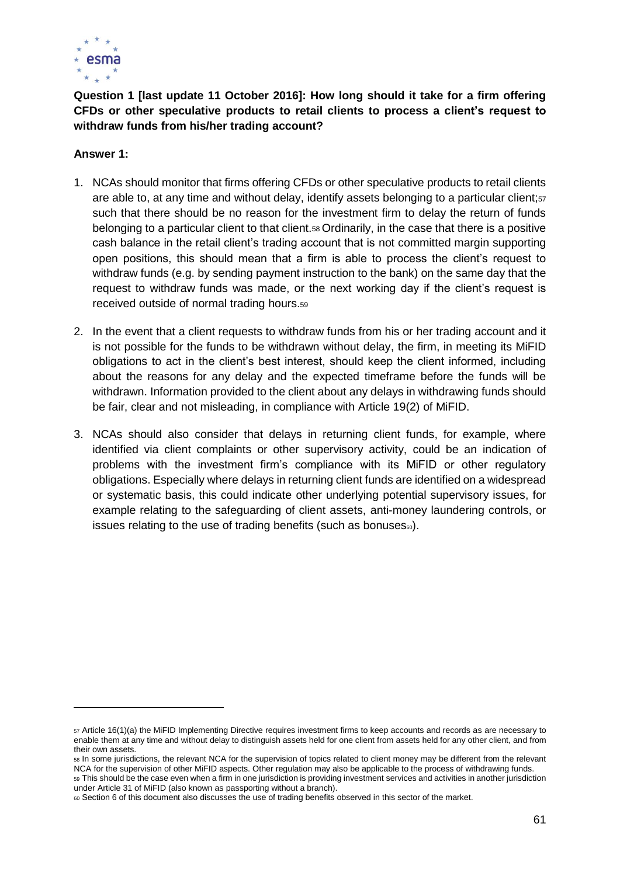

**Question 1 [last update 11 October 2016]: How long should it take for a firm offering CFDs or other speculative products to retail clients to process a client's request to withdraw funds from his/her trading account?**

#### **Answer 1:**

- 1. NCAs should monitor that firms offering CFDs or other speculative products to retail clients are able to, at any time and without delay, identify assets belonging to a particular client;<sup>57</sup> such that there should be no reason for the investment firm to delay the return of funds belonging to a particular client to that client.<sup>58</sup> Ordinarily, in the case that there is a positive cash balance in the retail client's trading account that is not committed margin supporting open positions, this should mean that a firm is able to process the client's request to withdraw funds (e.g. by sending payment instruction to the bank) on the same day that the request to withdraw funds was made, or the next working day if the client's request is received outside of normal trading hours.<sup>59</sup>
- 2. In the event that a client requests to withdraw funds from his or her trading account and it is not possible for the funds to be withdrawn without delay, the firm, in meeting its MiFID obligations to act in the client's best interest, should keep the client informed, including about the reasons for any delay and the expected timeframe before the funds will be withdrawn. Information provided to the client about any delays in withdrawing funds should be fair, clear and not misleading, in compliance with Article 19(2) of MiFID.
- 3. NCAs should also consider that delays in returning client funds, for example, where identified via client complaints or other supervisory activity, could be an indication of problems with the investment firm's compliance with its MiFID or other regulatory obligations. Especially where delays in returning client funds are identified on a widespread or systematic basis, this could indicate other underlying potential supervisory issues, for example relating to the safeguarding of client assets, anti-money laundering controls, or issues relating to the use of trading benefits (such as bonuses $\omega$ ).

<sup>57</sup> Article 16(1)(a) the MiFID Implementing Directive requires investment firms to keep accounts and records as are necessary to enable them at any time and without delay to distinguish assets held for one client from assets held for any other client, and from their own assets.

<sup>58</sup> In some jurisdictions, the relevant NCA for the supervision of topics related to client money may be different from the relevant NCA for the supervision of other MiFID aspects. Other regulation may also be applicable to the process of withdrawing funds. 59 This should be the case even when a firm in one jurisdiction is providing investment services and activities in another jurisdiction under Article 31 of MiFID (also known as passporting without a branch).

<sup>60</sup> Section 6 of this document also discusses the use of trading benefits observed in this sector of the market.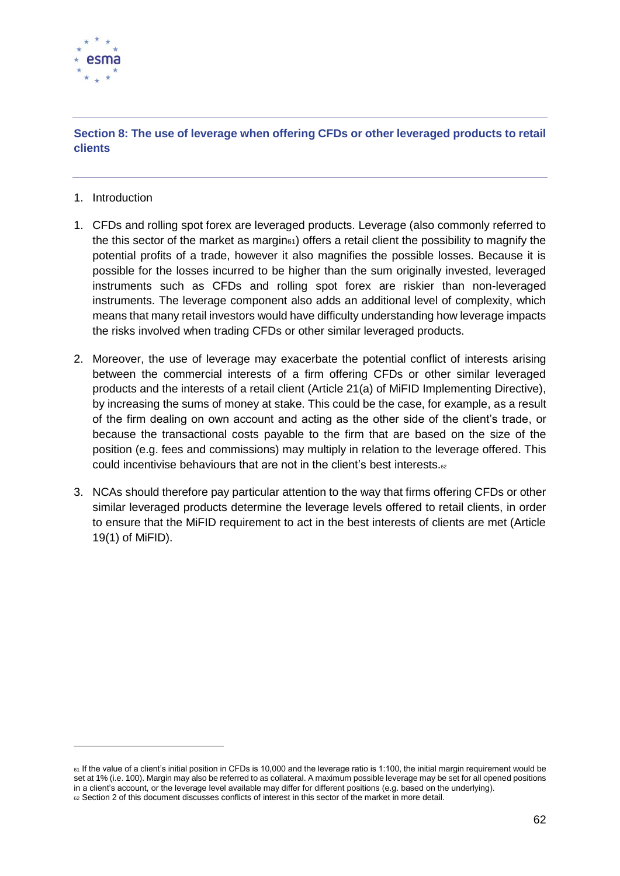

## **Section 8: The use of leverage when offering CFDs or other leveraged products to retail clients**

1. Introduction

- 1. CFDs and rolling spot forex are leveraged products. Leverage (also commonly referred to the this sector of the market as margin<sub>61</sub>) offers a retail client the possibility to magnify the potential profits of a trade, however it also magnifies the possible losses. Because it is possible for the losses incurred to be higher than the sum originally invested, leveraged instruments such as CFDs and rolling spot forex are riskier than non-leveraged instruments. The leverage component also adds an additional level of complexity, which means that many retail investors would have difficulty understanding how leverage impacts the risks involved when trading CFDs or other similar leveraged products.
- 2. Moreover, the use of leverage may exacerbate the potential conflict of interests arising between the commercial interests of a firm offering CFDs or other similar leveraged products and the interests of a retail client (Article 21(a) of MiFID Implementing Directive), by increasing the sums of money at stake. This could be the case, for example, as a result of the firm dealing on own account and acting as the other side of the client's trade, or because the transactional costs payable to the firm that are based on the size of the position (e.g. fees and commissions) may multiply in relation to the leverage offered. This could incentivise behaviours that are not in the client's best interests.<sup>62</sup>
- 3. NCAs should therefore pay particular attention to the way that firms offering CFDs or other similar leveraged products determine the leverage levels offered to retail clients, in order to ensure that the MiFID requirement to act in the best interests of clients are met (Article 19(1) of MiFID).

<sup>61</sup> If the value of a client's initial position in CFDs is 10,000 and the leverage ratio is 1:100, the initial margin requirement would be set at 1% (i.e. 100). Margin may also be referred to as collateral. A maximum possible leverage may be set for all opened positions in a client's account, or the leverage level available may differ for different positions (e.g. based on the underlying). <sup>62</sup> Section 2 of this document discusses conflicts of interest in this sector of the market in more detail.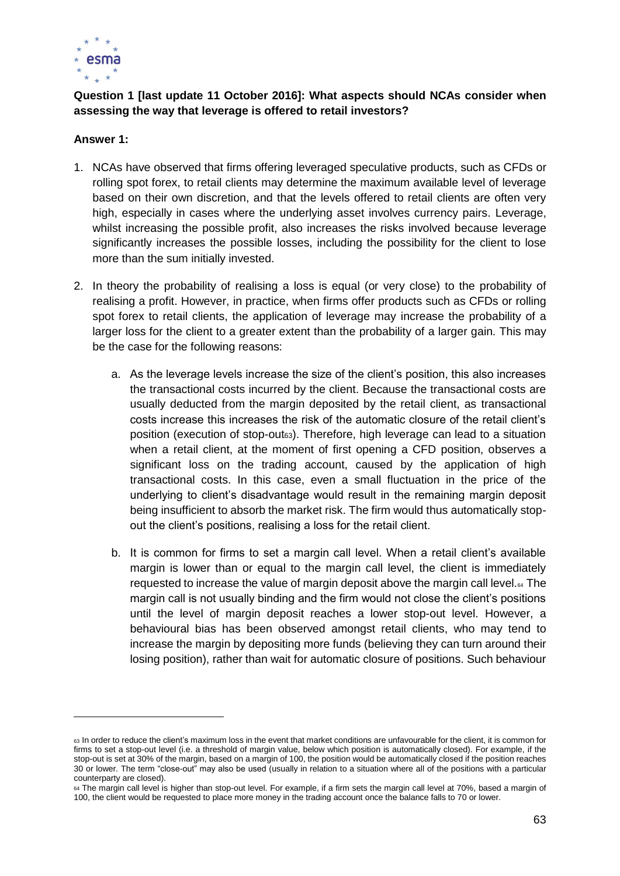

## **Question 1 [last update 11 October 2016]: What aspects should NCAs consider when assessing the way that leverage is offered to retail investors?**

#### **Answer 1:**

- 1. NCAs have observed that firms offering leveraged speculative products, such as CFDs or rolling spot forex, to retail clients may determine the maximum available level of leverage based on their own discretion, and that the levels offered to retail clients are often very high, especially in cases where the underlying asset involves currency pairs. Leverage, whilst increasing the possible profit, also increases the risks involved because leverage significantly increases the possible losses, including the possibility for the client to lose more than the sum initially invested.
- 2. In theory the probability of realising a loss is equal (or very close) to the probability of realising a profit. However, in practice, when firms offer products such as CFDs or rolling spot forex to retail clients, the application of leverage may increase the probability of a larger loss for the client to a greater extent than the probability of a larger gain. This may be the case for the following reasons:
	- a. As the leverage levels increase the size of the client's position, this also increases the transactional costs incurred by the client. Because the transactional costs are usually deducted from the margin deposited by the retail client, as transactional costs increase this increases the risk of the automatic closure of the retail client's position (execution of stop-out63). Therefore, high leverage can lead to a situation when a retail client, at the moment of first opening a CFD position, observes a significant loss on the trading account, caused by the application of high transactional costs. In this case, even a small fluctuation in the price of the underlying to client's disadvantage would result in the remaining margin deposit being insufficient to absorb the market risk. The firm would thus automatically stopout the client's positions, realising a loss for the retail client.
	- b. It is common for firms to set a margin call level. When a retail client's available margin is lower than or equal to the margin call level, the client is immediately requested to increase the value of margin deposit above the margin call level.<sup>64</sup> The margin call is not usually binding and the firm would not close the client's positions until the level of margin deposit reaches a lower stop-out level. However, a behavioural bias has been observed amongst retail clients, who may tend to increase the margin by depositing more funds (believing they can turn around their losing position), rather than wait for automatic closure of positions. Such behaviour

<sup>63</sup> In order to reduce the client's maximum loss in the event that market conditions are unfavourable for the client, it is common for firms to set a stop-out level (i.e. a threshold of margin value, below which position is automatically closed). For example, if the stop-out is set at 30% of the margin, based on a margin of 100, the position would be automatically closed if the position reaches 30 or lower. The term "close-out" may also be used (usually in relation to a situation where all of the positions with a particular counterparty are closed).

<sup>64</sup> The margin call level is higher than stop-out level. For example, if a firm sets the margin call level at 70%, based a margin of 100, the client would be requested to place more money in the trading account once the balance falls to 70 or lower.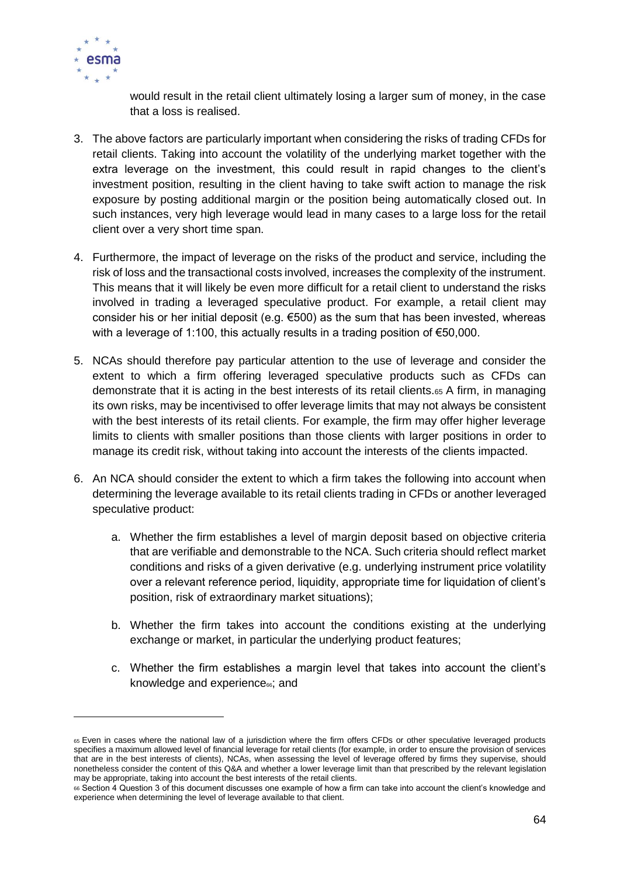

 $\overline{a}$ 

would result in the retail client ultimately losing a larger sum of money, in the case that a loss is realised.

- 3. The above factors are particularly important when considering the risks of trading CFDs for retail clients. Taking into account the volatility of the underlying market together with the extra leverage on the investment, this could result in rapid changes to the client's investment position, resulting in the client having to take swift action to manage the risk exposure by posting additional margin or the position being automatically closed out. In such instances, very high leverage would lead in many cases to a large loss for the retail client over a very short time span.
- 4. Furthermore, the impact of leverage on the risks of the product and service, including the risk of loss and the transactional costs involved, increases the complexity of the instrument. This means that it will likely be even more difficult for a retail client to understand the risks involved in trading a leveraged speculative product. For example, a retail client may consider his or her initial deposit (e.g.  $\epsilon$ 500) as the sum that has been invested, whereas with a leverage of 1:100, this actually results in a trading position of €50,000.
- 5. NCAs should therefore pay particular attention to the use of leverage and consider the extent to which a firm offering leveraged speculative products such as CFDs can demonstrate that it is acting in the best interests of its retail clients.<sup>65</sup> A firm, in managing its own risks, may be incentivised to offer leverage limits that may not always be consistent with the best interests of its retail clients. For example, the firm may offer higher leverage limits to clients with smaller positions than those clients with larger positions in order to manage its credit risk, without taking into account the interests of the clients impacted.
- 6. An NCA should consider the extent to which a firm takes the following into account when determining the leverage available to its retail clients trading in CFDs or another leveraged speculative product:
	- a. Whether the firm establishes a level of margin deposit based on objective criteria that are verifiable and demonstrable to the NCA. Such criteria should reflect market conditions and risks of a given derivative (e.g. underlying instrument price volatility over a relevant reference period, liquidity, appropriate time for liquidation of client's position, risk of extraordinary market situations);
	- b. Whether the firm takes into account the conditions existing at the underlying exchange or market, in particular the underlying product features;
	- c. Whether the firm establishes a margin level that takes into account the client's knowledge and experience $\epsilon$ ; and

<sup>65</sup> Even in cases where the national law of a jurisdiction where the firm offers CFDs or other speculative leveraged products specifies a maximum allowed level of financial leverage for retail clients (for example, in order to ensure the provision of services that are in the best interests of clients), NCAs, when assessing the level of leverage offered by firms they supervise, should nonetheless consider the content of this Q&A and whether a lower leverage limit than that prescribed by the relevant legislation may be appropriate, taking into account the best interests of the retail clients.

<sup>66</sup> Section 4 Question 3 of this document discusses one example of how a firm can take into account the client's knowledge and experience when determining the level of leverage available to that client.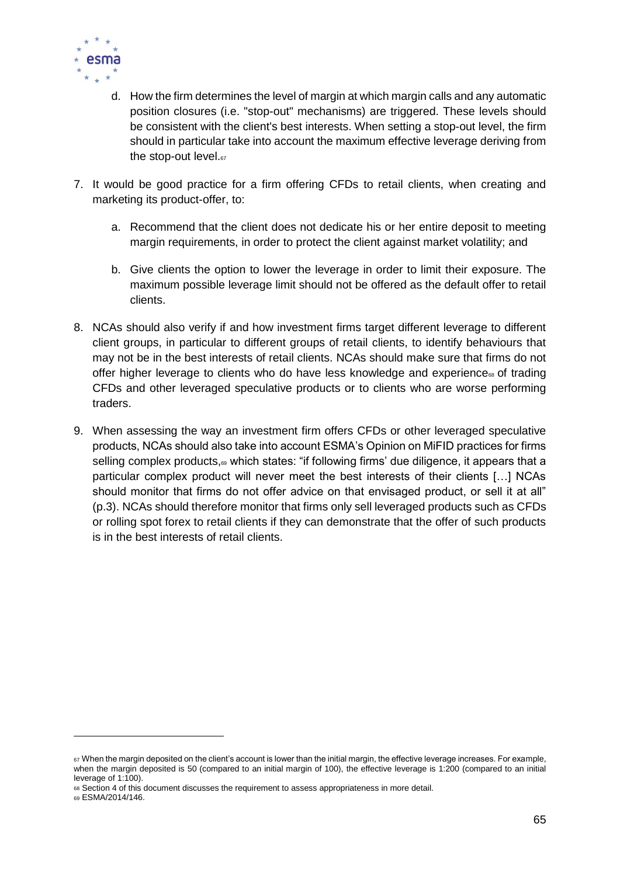

- d. How the firm determines the level of margin at which margin calls and any automatic position closures (i.e. "stop-out" mechanisms) are triggered. These levels should be consistent with the client's best interests. When setting a stop-out level, the firm should in particular take into account the maximum effective leverage deriving from the stop-out level.67
- 7. It would be good practice for a firm offering CFDs to retail clients, when creating and marketing its product-offer, to:
	- a. Recommend that the client does not dedicate his or her entire deposit to meeting margin requirements, in order to protect the client against market volatility; and
	- b. Give clients the option to lower the leverage in order to limit their exposure. The maximum possible leverage limit should not be offered as the default offer to retail clients.
- 8. NCAs should also verify if and how investment firms target different leverage to different client groups, in particular to different groups of retail clients, to identify behaviours that may not be in the best interests of retail clients. NCAs should make sure that firms do not offer higher leverage to clients who do have less knowledge and experience<sup>®</sup> of trading CFDs and other leveraged speculative products or to clients who are worse performing traders.
- 9. When assessing the way an investment firm offers CFDs or other leveraged speculative products, NCAs should also take into account ESMA's Opinion on MiFID practices for firms selling complex products,<sup>69</sup> which states: "if following firms' due diligence, it appears that a particular complex product will never meet the best interests of their clients […] NCAs should monitor that firms do not offer advice on that envisaged product, or sell it at all" (p.3). NCAs should therefore monitor that firms only sell leveraged products such as CFDs or rolling spot forex to retail clients if they can demonstrate that the offer of such products is in the best interests of retail clients.

<sup>67</sup> When the margin deposited on the client's account is lower than the initial margin, the effective leverage increases. For example, when the margin deposited is 50 (compared to an initial margin of 100), the effective leverage is 1:200 (compared to an initial leverage of 1:100).

<sup>68</sup> Section 4 of this document discusses the requirement to assess appropriateness in more detail.

<sup>69</sup> ESMA/2014/146.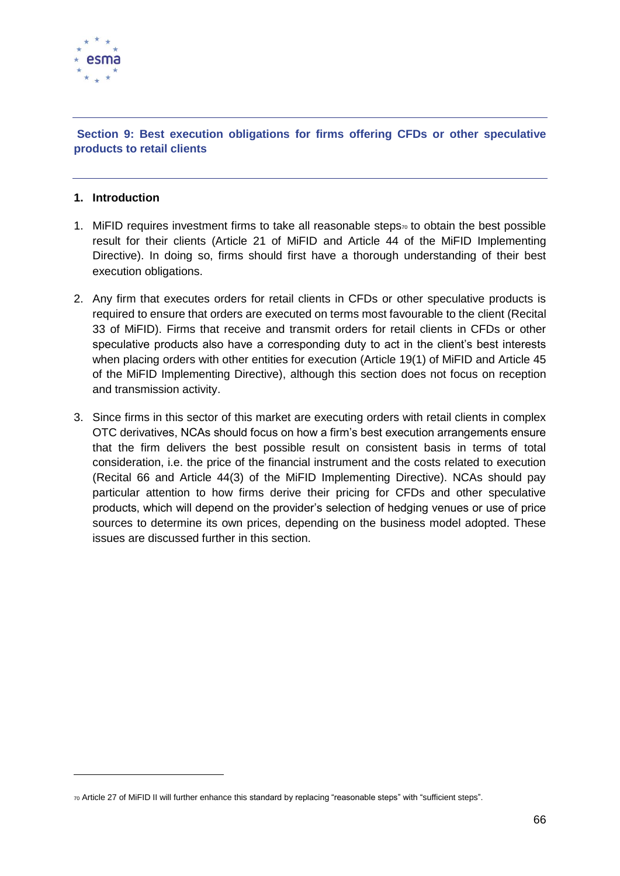

### **Section 9: Best execution obligations for firms offering CFDs or other speculative products to retail clients**

#### **1. Introduction**

- 1. MiFID requires investment firms to take all reasonable steps<sub>70</sub> to obtain the best possible result for their clients (Article 21 of MiFID and Article 44 of the MiFID Implementing Directive). In doing so, firms should first have a thorough understanding of their best execution obligations.
- 2. Any firm that executes orders for retail clients in CFDs or other speculative products is required to ensure that orders are executed on terms most favourable to the client (Recital 33 of MiFID). Firms that receive and transmit orders for retail clients in CFDs or other speculative products also have a corresponding duty to act in the client's best interests when placing orders with other entities for execution (Article 19(1) of MiFID and Article 45 of the MiFID Implementing Directive), although this section does not focus on reception and transmission activity.
- 3. Since firms in this sector of this market are executing orders with retail clients in complex OTC derivatives, NCAs should focus on how a firm's best execution arrangements ensure that the firm delivers the best possible result on consistent basis in terms of total consideration, i.e. the price of the financial instrument and the costs related to execution (Recital 66 and Article 44(3) of the MiFID Implementing Directive). NCAs should pay particular attention to how firms derive their pricing for CFDs and other speculative products, which will depend on the provider's selection of hedging venues or use of price sources to determine its own prices, depending on the business model adopted. These issues are discussed further in this section.

<sup>70</sup> Article 27 of MiFID II will further enhance this standard by replacing "reasonable steps" with "sufficient steps".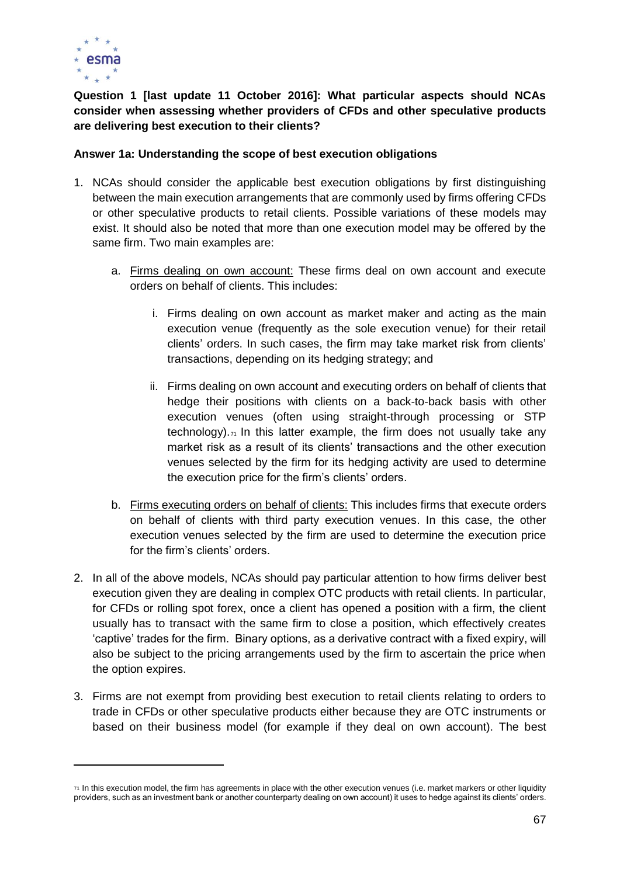

**Question 1 [last update 11 October 2016]: What particular aspects should NCAs consider when assessing whether providers of CFDs and other speculative products are delivering best execution to their clients?** 

#### **Answer 1a: Understanding the scope of best execution obligations**

- 1. NCAs should consider the applicable best execution obligations by first distinguishing between the main execution arrangements that are commonly used by firms offering CFDs or other speculative products to retail clients. Possible variations of these models may exist. It should also be noted that more than one execution model may be offered by the same firm. Two main examples are:
	- a. Firms dealing on own account: These firms deal on own account and execute orders on behalf of clients. This includes:
		- i. Firms dealing on own account as market maker and acting as the main execution venue (frequently as the sole execution venue) for their retail clients' orders. In such cases, the firm may take market risk from clients' transactions, depending on its hedging strategy; and
		- ii. Firms dealing on own account and executing orders on behalf of clients that hedge their positions with clients on a back-to-back basis with other execution venues (often using straight-through processing or STP technology).  $\tau_1$  In this latter example, the firm does not usually take any market risk as a result of its clients' transactions and the other execution venues selected by the firm for its hedging activity are used to determine the execution price for the firm's clients' orders.
	- b. Firms executing orders on behalf of clients: This includes firms that execute orders on behalf of clients with third party execution venues. In this case, the other execution venues selected by the firm are used to determine the execution price for the firm's clients' orders.
- 2. In all of the above models, NCAs should pay particular attention to how firms deliver best execution given they are dealing in complex OTC products with retail clients. In particular, for CFDs or rolling spot forex, once a client has opened a position with a firm, the client usually has to transact with the same firm to close a position, which effectively creates 'captive' trades for the firm. Binary options, as a derivative contract with a fixed expiry, will also be subject to the pricing arrangements used by the firm to ascertain the price when the option expires.
- 3. Firms are not exempt from providing best execution to retail clients relating to orders to trade in CFDs or other speculative products either because they are OTC instruments or based on their business model (for example if they deal on own account). The best

<sup>71</sup> In this execution model, the firm has agreements in place with the other execution venues (i.e. market markers or other liquidity providers, such as an investment bank or another counterparty dealing on own account) it uses to hedge against its clients' orders.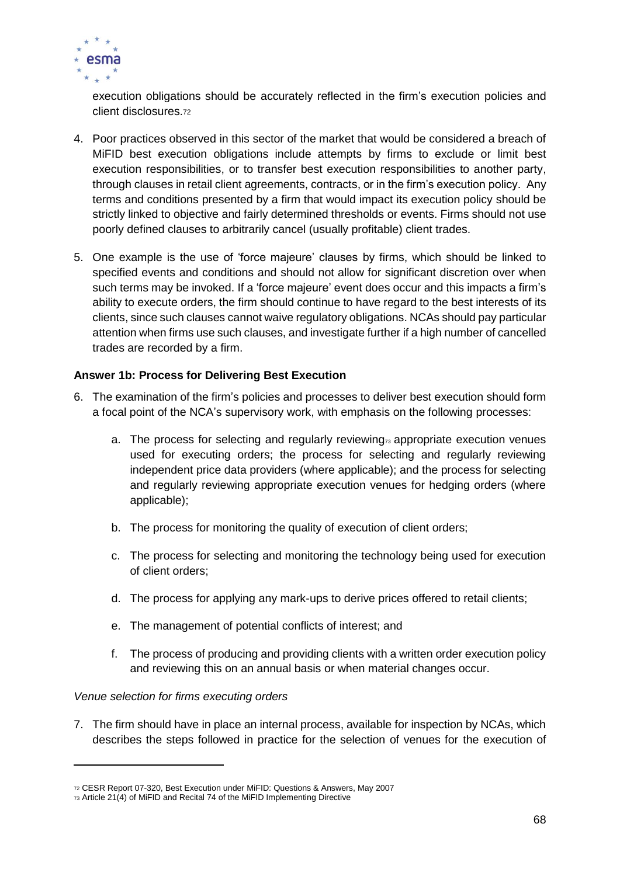

execution obligations should be accurately reflected in the firm's execution policies and client disclosures.<sup>72</sup>

- 4. Poor practices observed in this sector of the market that would be considered a breach of MiFID best execution obligations include attempts by firms to exclude or limit best execution responsibilities, or to transfer best execution responsibilities to another party, through clauses in retail client agreements, contracts, or in the firm's execution policy. Any terms and conditions presented by a firm that would impact its execution policy should be strictly linked to objective and fairly determined thresholds or events. Firms should not use poorly defined clauses to arbitrarily cancel (usually profitable) client trades.
- 5. One example is the use of 'force majeure' clauses by firms, which should be linked to specified events and conditions and should not allow for significant discretion over when such terms may be invoked. If a 'force majeure' event does occur and this impacts a firm's ability to execute orders, the firm should continue to have regard to the best interests of its clients, since such clauses cannot waive regulatory obligations. NCAs should pay particular attention when firms use such clauses, and investigate further if a high number of cancelled trades are recorded by a firm.

## **Answer 1b: Process for Delivering Best Execution**

- 6. The examination of the firm's policies and processes to deliver best execution should form a focal point of the NCA's supervisory work, with emphasis on the following processes:
	- a. The process for selecting and regularly reviewing<sub>73</sub> appropriate execution venues used for executing orders; the process for selecting and regularly reviewing independent price data providers (where applicable); and the process for selecting and regularly reviewing appropriate execution venues for hedging orders (where applicable);
	- b. The process for monitoring the quality of execution of client orders;
	- c. The process for selecting and monitoring the technology being used for execution of client orders;
	- d. The process for applying any mark-ups to derive prices offered to retail clients;
	- e. The management of potential conflicts of interest; and
	- f. The process of producing and providing clients with a written order execution policy and reviewing this on an annual basis or when material changes occur.

#### *Venue selection for firms executing orders*

7. The firm should have in place an internal process, available for inspection by NCAs, which describes the steps followed in practice for the selection of venues for the execution of

<sup>72</sup> CESR Report 07-320, Best Execution under MiFID: Questions & Answers, May 2007

<sup>73</sup> Article 21(4) of MiFID and Recital 74 of the MiFID Implementing Directive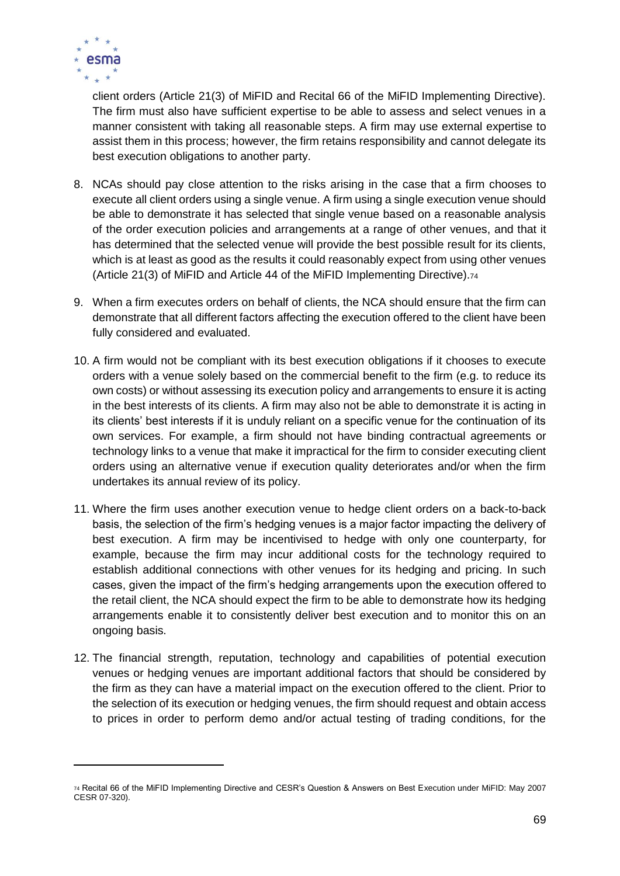

client orders (Article 21(3) of MiFID and Recital 66 of the MiFID Implementing Directive). The firm must also have sufficient expertise to be able to assess and select venues in a manner consistent with taking all reasonable steps. A firm may use external expertise to assist them in this process; however, the firm retains responsibility and cannot delegate its best execution obligations to another party.

- 8. NCAs should pay close attention to the risks arising in the case that a firm chooses to execute all client orders using a single venue. A firm using a single execution venue should be able to demonstrate it has selected that single venue based on a reasonable analysis of the order execution policies and arrangements at a range of other venues, and that it has determined that the selected venue will provide the best possible result for its clients, which is at least as good as the results it could reasonably expect from using other venues (Article 21(3) of MiFID and Article 44 of the MiFID Implementing Directive).<sup>74</sup>
- 9. When a firm executes orders on behalf of clients, the NCA should ensure that the firm can demonstrate that all different factors affecting the execution offered to the client have been fully considered and evaluated.
- 10. A firm would not be compliant with its best execution obligations if it chooses to execute orders with a venue solely based on the commercial benefit to the firm (e.g. to reduce its own costs) or without assessing its execution policy and arrangements to ensure it is acting in the best interests of its clients. A firm may also not be able to demonstrate it is acting in its clients' best interests if it is unduly reliant on a specific venue for the continuation of its own services. For example, a firm should not have binding contractual agreements or technology links to a venue that make it impractical for the firm to consider executing client orders using an alternative venue if execution quality deteriorates and/or when the firm undertakes its annual review of its policy.
- 11. Where the firm uses another execution venue to hedge client orders on a back-to-back basis, the selection of the firm's hedging venues is a major factor impacting the delivery of best execution. A firm may be incentivised to hedge with only one counterparty, for example, because the firm may incur additional costs for the technology required to establish additional connections with other venues for its hedging and pricing. In such cases, given the impact of the firm's hedging arrangements upon the execution offered to the retail client, the NCA should expect the firm to be able to demonstrate how its hedging arrangements enable it to consistently deliver best execution and to monitor this on an ongoing basis.
- 12. The financial strength, reputation, technology and capabilities of potential execution venues or hedging venues are important additional factors that should be considered by the firm as they can have a material impact on the execution offered to the client. Prior to the selection of its execution or hedging venues, the firm should request and obtain access to prices in order to perform demo and/or actual testing of trading conditions, for the

<sup>74</sup> Recital 66 of the MiFID Implementing Directive and CESR's Question & Answers on Best Execution under MiFID: May 2007 CESR 07-320).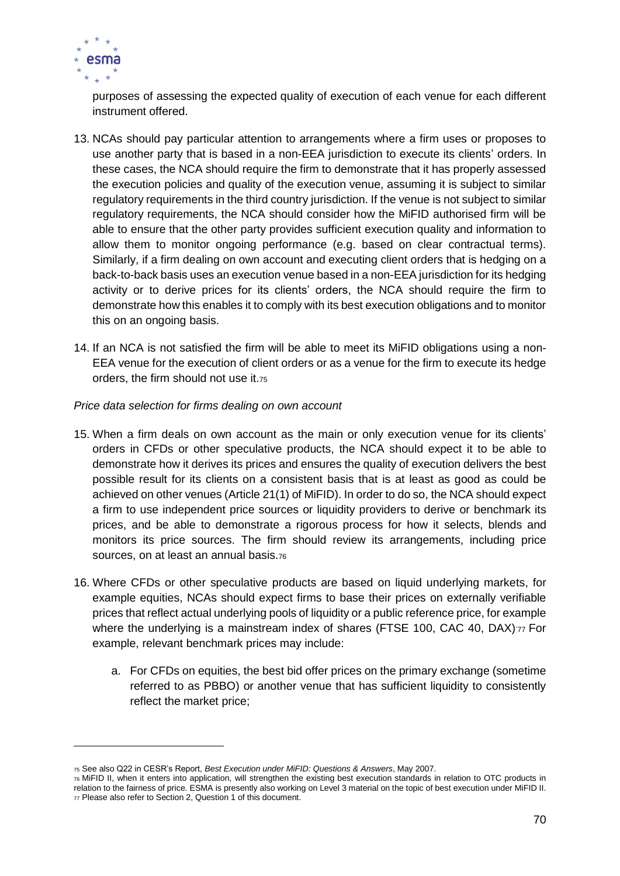

purposes of assessing the expected quality of execution of each venue for each different instrument offered.

- 13. NCAs should pay particular attention to arrangements where a firm uses or proposes to use another party that is based in a non-EEA jurisdiction to execute its clients' orders. In these cases, the NCA should require the firm to demonstrate that it has properly assessed the execution policies and quality of the execution venue, assuming it is subject to similar regulatory requirements in the third country jurisdiction. If the venue is not subject to similar regulatory requirements, the NCA should consider how the MiFID authorised firm will be able to ensure that the other party provides sufficient execution quality and information to allow them to monitor ongoing performance (e.g. based on clear contractual terms). Similarly, if a firm dealing on own account and executing client orders that is hedging on a back-to-back basis uses an execution venue based in a non-EEA jurisdiction for its hedging activity or to derive prices for its clients' orders, the NCA should require the firm to demonstrate how this enables it to comply with its best execution obligations and to monitor this on an ongoing basis.
- 14. If an NCA is not satisfied the firm will be able to meet its MiFID obligations using a non-EEA venue for the execution of client orders or as a venue for the firm to execute its hedge orders, the firm should not use it.<sup>75</sup>

#### *Price data selection for firms dealing on own account*

- 15. When a firm deals on own account as the main or only execution venue for its clients' orders in CFDs or other speculative products, the NCA should expect it to be able to demonstrate how it derives its prices and ensures the quality of execution delivers the best possible result for its clients on a consistent basis that is at least as good as could be achieved on other venues (Article 21(1) of MiFID). In order to do so, the NCA should expect a firm to use independent price sources or liquidity providers to derive or benchmark its prices, and be able to demonstrate a rigorous process for how it selects, blends and monitors its price sources. The firm should review its arrangements, including price sources, on at least an annual basis.<sup>76</sup>
- 16. Where CFDs or other speculative products are based on liquid underlying markets, for example equities, NCAs should expect firms to base their prices on externally verifiable prices that reflect actual underlying pools of liquidity or a public reference price, for example where the underlying is a mainstream index of shares (FTSE 100, CAC 40, DAX)77 For example, relevant benchmark prices may include:
	- a. For CFDs on equities, the best bid offer prices on the primary exchange (sometime referred to as PBBO) or another venue that has sufficient liquidity to consistently reflect the market price;

<sup>75</sup> See also Q22 in CESR's Report, *Best Execution under MiFID: Questions & Answers*, May 2007.

<sup>76</sup> MiFID II, when it enters into application, will strengthen the existing best execution standards in relation to OTC products in relation to the fairness of price. ESMA is presently also working on Level 3 material on the topic of best execution under MiFID II. <sup>77</sup> Please also refer to Section 2, Question 1 of this document.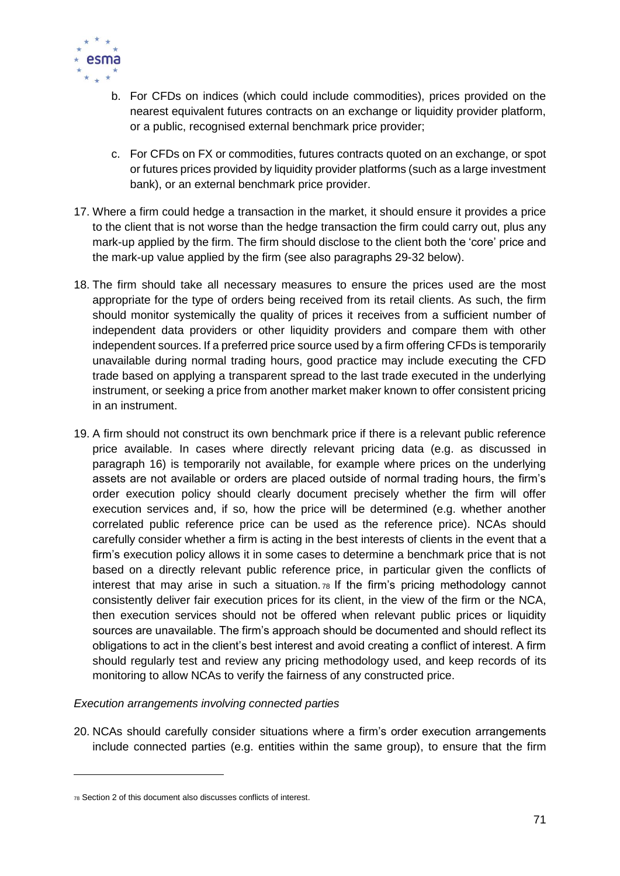

- b. For CFDs on indices (which could include commodities), prices provided on the nearest equivalent futures contracts on an exchange or liquidity provider platform, or a public, recognised external benchmark price provider;
- c. For CFDs on FX or commodities, futures contracts quoted on an exchange, or spot or futures prices provided by liquidity provider platforms (such as a large investment bank), or an external benchmark price provider.
- 17. Where a firm could hedge a transaction in the market, it should ensure it provides a price to the client that is not worse than the hedge transaction the firm could carry out, plus any mark-up applied by the firm. The firm should disclose to the client both the 'core' price and the mark-up value applied by the firm (see also paragraphs 29-32 below).
- 18. The firm should take all necessary measures to ensure the prices used are the most appropriate for the type of orders being received from its retail clients. As such, the firm should monitor systemically the quality of prices it receives from a sufficient number of independent data providers or other liquidity providers and compare them with other independent sources. If a preferred price source used by a firm offering CFDs is temporarily unavailable during normal trading hours, good practice may include executing the CFD trade based on applying a transparent spread to the last trade executed in the underlying instrument, or seeking a price from another market maker known to offer consistent pricing in an instrument.
- 19. A firm should not construct its own benchmark price if there is a relevant public reference price available. In cases where directly relevant pricing data (e.g. as discussed in paragraph 16) is temporarily not available, for example where prices on the underlying assets are not available or orders are placed outside of normal trading hours, the firm's order execution policy should clearly document precisely whether the firm will offer execution services and, if so, how the price will be determined (e.g. whether another correlated public reference price can be used as the reference price). NCAs should carefully consider whether a firm is acting in the best interests of clients in the event that a firm's execution policy allows it in some cases to determine a benchmark price that is not based on a directly relevant public reference price, in particular given the conflicts of interest that may arise in such a situation. <sup>78</sup> If the firm's pricing methodology cannot consistently deliver fair execution prices for its client, in the view of the firm or the NCA, then execution services should not be offered when relevant public prices or liquidity sources are unavailable. The firm's approach should be documented and should reflect its obligations to act in the client's best interest and avoid creating a conflict of interest. A firm should regularly test and review any pricing methodology used, and keep records of its monitoring to allow NCAs to verify the fairness of any constructed price.

*Execution arrangements involving connected parties*

20. NCAs should carefully consider situations where a firm's order execution arrangements include connected parties (e.g. entities within the same group), to ensure that the firm

<sup>78</sup> Section 2 of this document also discusses conflicts of interest.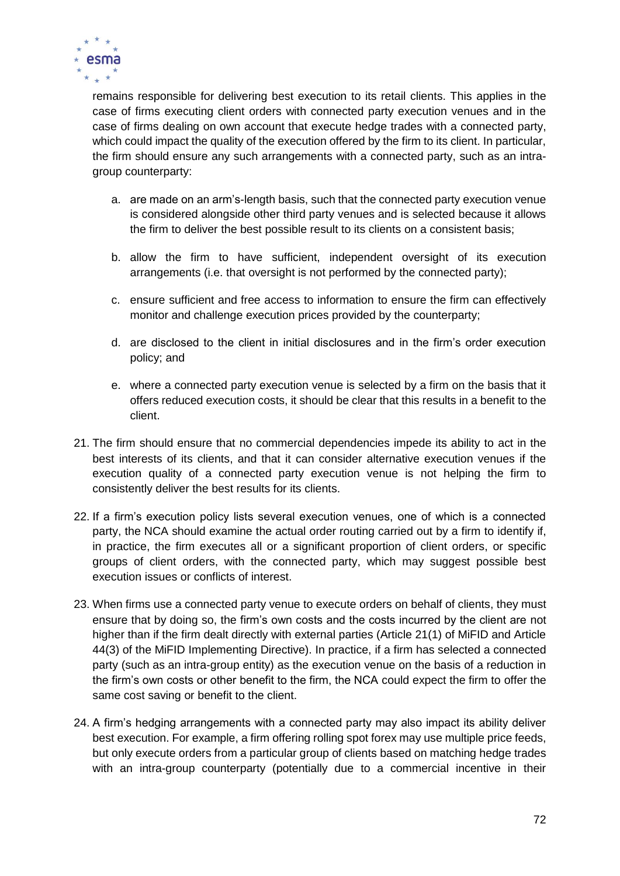

remains responsible for delivering best execution to its retail clients. This applies in the case of firms executing client orders with connected party execution venues and in the case of firms dealing on own account that execute hedge trades with a connected party, which could impact the quality of the execution offered by the firm to its client. In particular, the firm should ensure any such arrangements with a connected party, such as an intragroup counterparty:

- a. are made on an arm's-length basis, such that the connected party execution venue is considered alongside other third party venues and is selected because it allows the firm to deliver the best possible result to its clients on a consistent basis;
- b. allow the firm to have sufficient, independent oversight of its execution arrangements (i.e. that oversight is not performed by the connected party);
- c. ensure sufficient and free access to information to ensure the firm can effectively monitor and challenge execution prices provided by the counterparty;
- d. are disclosed to the client in initial disclosures and in the firm's order execution policy; and
- e. where a connected party execution venue is selected by a firm on the basis that it offers reduced execution costs, it should be clear that this results in a benefit to the client.
- 21. The firm should ensure that no commercial dependencies impede its ability to act in the best interests of its clients, and that it can consider alternative execution venues if the execution quality of a connected party execution venue is not helping the firm to consistently deliver the best results for its clients.
- 22. If a firm's execution policy lists several execution venues, one of which is a connected party, the NCA should examine the actual order routing carried out by a firm to identify if, in practice, the firm executes all or a significant proportion of client orders, or specific groups of client orders, with the connected party, which may suggest possible best execution issues or conflicts of interest.
- 23. When firms use a connected party venue to execute orders on behalf of clients, they must ensure that by doing so, the firm's own costs and the costs incurred by the client are not higher than if the firm dealt directly with external parties (Article 21(1) of MiFID and Article 44(3) of the MiFID Implementing Directive). In practice, if a firm has selected a connected party (such as an intra-group entity) as the execution venue on the basis of a reduction in the firm's own costs or other benefit to the firm, the NCA could expect the firm to offer the same cost saving or benefit to the client.
- 24. A firm's hedging arrangements with a connected party may also impact its ability deliver best execution. For example, a firm offering rolling spot forex may use multiple price feeds, but only execute orders from a particular group of clients based on matching hedge trades with an intra-group counterparty (potentially due to a commercial incentive in their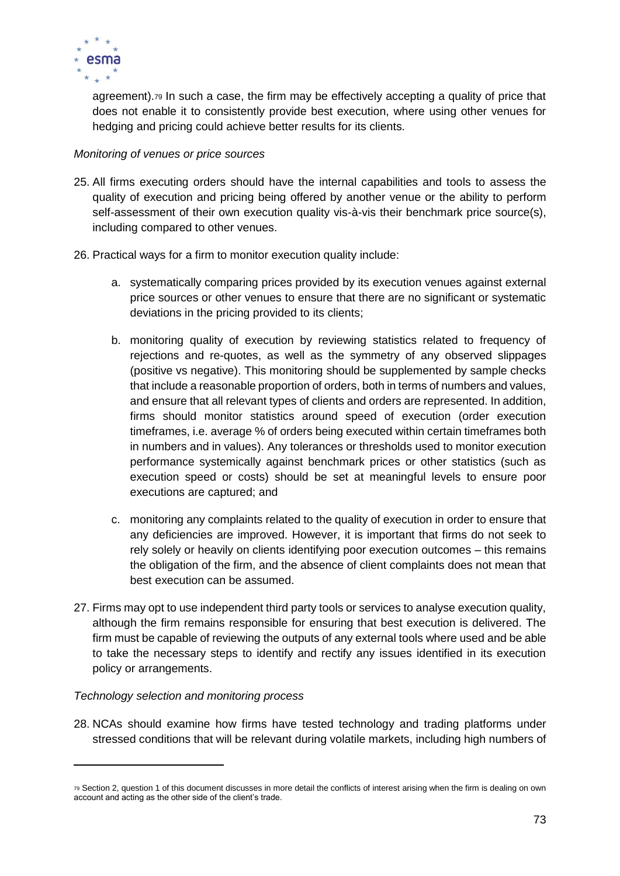

agreement).<sup>79</sup> In such a case, the firm may be effectively accepting a quality of price that does not enable it to consistently provide best execution, where using other venues for hedging and pricing could achieve better results for its clients.

## *Monitoring of venues or price sources*

- 25. All firms executing orders should have the internal capabilities and tools to assess the quality of execution and pricing being offered by another venue or the ability to perform self-assessment of their own execution quality vis-à-vis their benchmark price source(s), including compared to other venues.
- 26. Practical ways for a firm to monitor execution quality include:
	- a. systematically comparing prices provided by its execution venues against external price sources or other venues to ensure that there are no significant or systematic deviations in the pricing provided to its clients;
	- b. monitoring quality of execution by reviewing statistics related to frequency of rejections and re-quotes, as well as the symmetry of any observed slippages (positive vs negative). This monitoring should be supplemented by sample checks that include a reasonable proportion of orders, both in terms of numbers and values, and ensure that all relevant types of clients and orders are represented. In addition, firms should monitor statistics around speed of execution (order execution timeframes, i.e. average % of orders being executed within certain timeframes both in numbers and in values). Any tolerances or thresholds used to monitor execution performance systemically against benchmark prices or other statistics (such as execution speed or costs) should be set at meaningful levels to ensure poor executions are captured; and
	- c. monitoring any complaints related to the quality of execution in order to ensure that any deficiencies are improved. However, it is important that firms do not seek to rely solely or heavily on clients identifying poor execution outcomes – this remains the obligation of the firm, and the absence of client complaints does not mean that best execution can be assumed.
- 27. Firms may opt to use independent third party tools or services to analyse execution quality, although the firm remains responsible for ensuring that best execution is delivered. The firm must be capable of reviewing the outputs of any external tools where used and be able to take the necessary steps to identify and rectify any issues identified in its execution policy or arrangements.

# *Technology selection and monitoring process*

28. NCAs should examine how firms have tested technology and trading platforms under stressed conditions that will be relevant during volatile markets, including high numbers of

<sup>79</sup> Section 2, question 1 of this document discusses in more detail the conflicts of interest arising when the firm is dealing on own account and acting as the other side of the client's trade.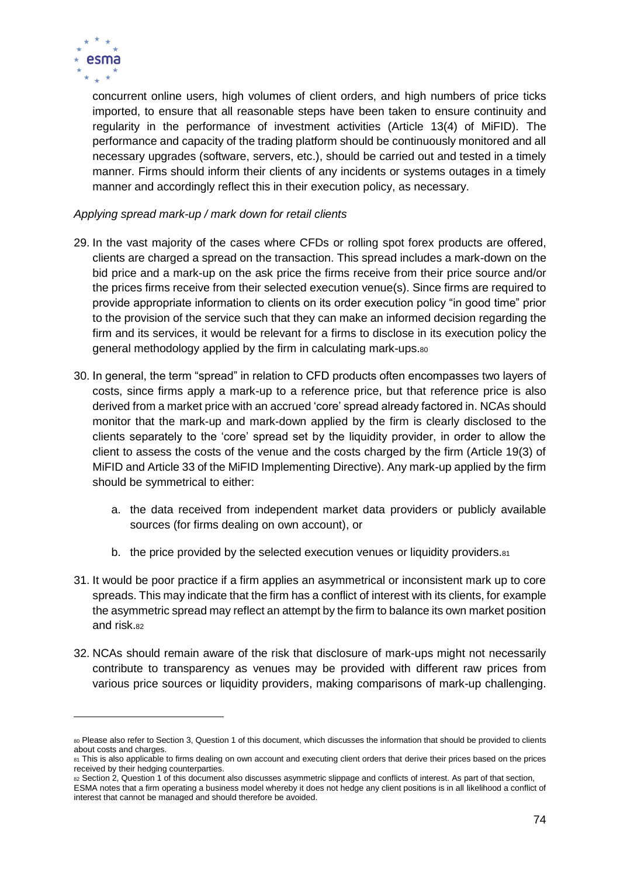

 $\overline{a}$ 

concurrent online users, high volumes of client orders, and high numbers of price ticks imported, to ensure that all reasonable steps have been taken to ensure continuity and regularity in the performance of investment activities (Article 13(4) of MiFID). The performance and capacity of the trading platform should be continuously monitored and all necessary upgrades (software, servers, etc.), should be carried out and tested in a timely manner. Firms should inform their clients of any incidents or systems outages in a timely manner and accordingly reflect this in their execution policy, as necessary.

## *Applying spread mark-up / mark down for retail clients*

- 29. In the vast majority of the cases where CFDs or rolling spot forex products are offered, clients are charged a spread on the transaction. This spread includes a mark-down on the bid price and a mark-up on the ask price the firms receive from their price source and/or the prices firms receive from their selected execution venue(s). Since firms are required to provide appropriate information to clients on its order execution policy "in good time" prior to the provision of the service such that they can make an informed decision regarding the firm and its services, it would be relevant for a firms to disclose in its execution policy the general methodology applied by the firm in calculating mark-ups.<sup>80</sup>
- 30. In general, the term "spread" in relation to CFD products often encompasses two layers of costs, since firms apply a mark-up to a reference price, but that reference price is also derived from a market price with an accrued 'core' spread already factored in. NCAs should monitor that the mark-up and mark-down applied by the firm is clearly disclosed to the clients separately to the 'core' spread set by the liquidity provider, in order to allow the client to assess the costs of the venue and the costs charged by the firm (Article 19(3) of MiFID and Article 33 of the MiFID Implementing Directive). Any mark-up applied by the firm should be symmetrical to either:
	- a. the data received from independent market data providers or publicly available sources (for firms dealing on own account), or
	- b. the price provided by the selected execution venues or liquidity providers.<sup>81</sup>
- 31. It would be poor practice if a firm applies an asymmetrical or inconsistent mark up to core spreads. This may indicate that the firm has a conflict of interest with its clients, for example the asymmetric spread may reflect an attempt by the firm to balance its own market position and risk.<sup>82</sup>
- 32. NCAs should remain aware of the risk that disclosure of mark-ups might not necessarily contribute to transparency as venues may be provided with different raw prices from various price sources or liquidity providers, making comparisons of mark-up challenging.

<sup>80</sup> Please also refer to Section 3, Question 1 of this document, which discusses the information that should be provided to clients about costs and charges.

<sup>81</sup> This is also applicable to firms dealing on own account and executing client orders that derive their prices based on the prices received by their hedging counterparties.

<sup>82</sup> Section 2, Question 1 of this document also discusses asymmetric slippage and conflicts of interest. As part of that section,

ESMA notes that a firm operating a business model whereby it does not hedge any client positions is in all likelihood a conflict of interest that cannot be managed and should therefore be avoided.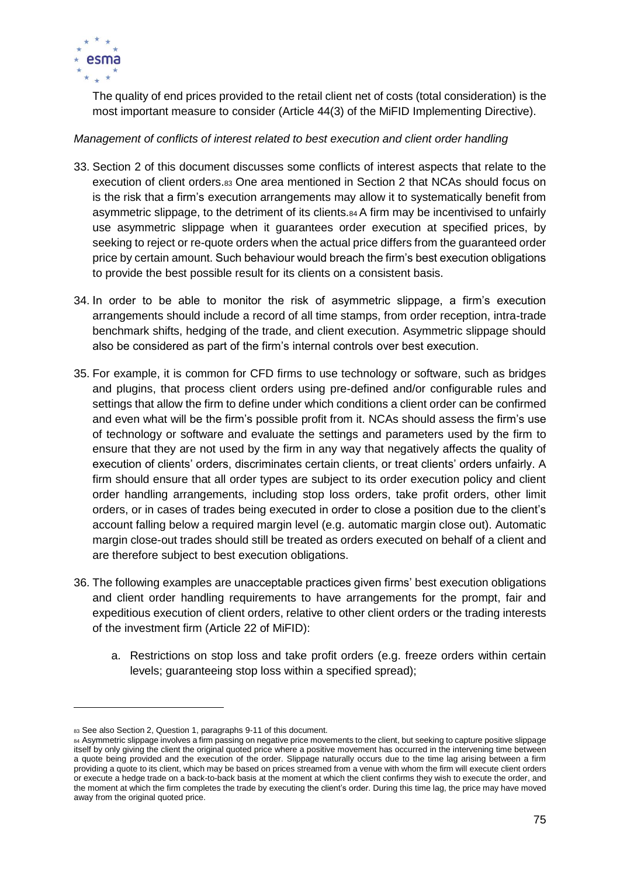

The quality of end prices provided to the retail client net of costs (total consideration) is the most important measure to consider (Article 44(3) of the MiFID Implementing Directive).

## *Management of conflicts of interest related to best execution and client order handling*

- 33. Section 2 of this document discusses some conflicts of interest aspects that relate to the execution of client orders.<sup>83</sup> One area mentioned in Section 2 that NCAs should focus on is the risk that a firm's execution arrangements may allow it to systematically benefit from asymmetric slippage, to the detriment of its clients.<sup>84</sup> A firm may be incentivised to unfairly use asymmetric slippage when it guarantees order execution at specified prices, by seeking to reject or re-quote orders when the actual price differs from the guaranteed order price by certain amount. Such behaviour would breach the firm's best execution obligations to provide the best possible result for its clients on a consistent basis.
- 34. In order to be able to monitor the risk of asymmetric slippage, a firm's execution arrangements should include a record of all time stamps, from order reception, intra-trade benchmark shifts, hedging of the trade, and client execution. Asymmetric slippage should also be considered as part of the firm's internal controls over best execution.
- 35. For example, it is common for CFD firms to use technology or software, such as bridges and plugins, that process client orders using pre-defined and/or configurable rules and settings that allow the firm to define under which conditions a client order can be confirmed and even what will be the firm's possible profit from it. NCAs should assess the firm's use of technology or software and evaluate the settings and parameters used by the firm to ensure that they are not used by the firm in any way that negatively affects the quality of execution of clients' orders, discriminates certain clients, or treat clients' orders unfairly. A firm should ensure that all order types are subject to its order execution policy and client order handling arrangements, including stop loss orders, take profit orders, other limit orders, or in cases of trades being executed in order to close a position due to the client's account falling below a required margin level (e.g. automatic margin close out). Automatic margin close-out trades should still be treated as orders executed on behalf of a client and are therefore subject to best execution obligations.
- 36. The following examples are unacceptable practices given firms' best execution obligations and client order handling requirements to have arrangements for the prompt, fair and expeditious execution of client orders, relative to other client orders or the trading interests of the investment firm (Article 22 of MiFID):
	- a. Restrictions on stop loss and take profit orders (e.g. freeze orders within certain levels; guaranteeing stop loss within a specified spread);

<sup>83</sup> See also Section 2, Question 1, paragraphs 9-11 of this document.

<sup>84</sup> Asymmetric slippage involves a firm passing on negative price movements to the client, but seeking to capture positive slippage itself by only giving the client the original quoted price where a positive movement has occurred in the intervening time between a quote being provided and the execution of the order. Slippage naturally occurs due to the time lag arising between a firm providing a quote to its client, which may be based on prices streamed from a venue with whom the firm will execute client orders or execute a hedge trade on a back-to-back basis at the moment at which the client confirms they wish to execute the order, and the moment at which the firm completes the trade by executing the client's order. During this time lag, the price may have moved away from the original quoted price.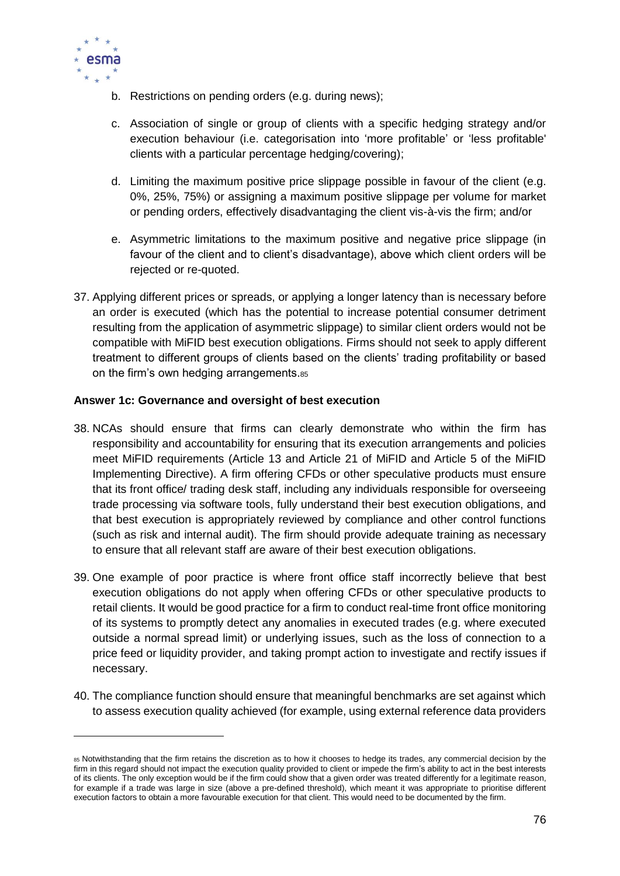

 $\overline{a}$ 

- b. Restrictions on pending orders (e.g. during news);
- c. Association of single or group of clients with a specific hedging strategy and/or execution behaviour (i.e. categorisation into 'more profitable' or 'less profitable' clients with a particular percentage hedging/covering);
- d. Limiting the maximum positive price slippage possible in favour of the client (e.g. 0%, 25%, 75%) or assigning a maximum positive slippage per volume for market or pending orders, effectively disadvantaging the client vis-à-vis the firm; and/or
- e. Asymmetric limitations to the maximum positive and negative price slippage (in favour of the client and to client's disadvantage), above which client orders will be rejected or re-quoted.
- 37. Applying different prices or spreads, or applying a longer latency than is necessary before an order is executed (which has the potential to increase potential consumer detriment resulting from the application of asymmetric slippage) to similar client orders would not be compatible with MiFID best execution obligations. Firms should not seek to apply different treatment to different groups of clients based on the clients' trading profitability or based on the firm's own hedging arrangements.<sup>85</sup>

## **Answer 1c: Governance and oversight of best execution**

- 38. NCAs should ensure that firms can clearly demonstrate who within the firm has responsibility and accountability for ensuring that its execution arrangements and policies meet MiFID requirements (Article 13 and Article 21 of MiFID and Article 5 of the MiFID Implementing Directive). A firm offering CFDs or other speculative products must ensure that its front office/ trading desk staff, including any individuals responsible for overseeing trade processing via software tools, fully understand their best execution obligations, and that best execution is appropriately reviewed by compliance and other control functions (such as risk and internal audit). The firm should provide adequate training as necessary to ensure that all relevant staff are aware of their best execution obligations.
- 39. One example of poor practice is where front office staff incorrectly believe that best execution obligations do not apply when offering CFDs or other speculative products to retail clients. It would be good practice for a firm to conduct real-time front office monitoring of its systems to promptly detect any anomalies in executed trades (e.g. where executed outside a normal spread limit) or underlying issues, such as the loss of connection to a price feed or liquidity provider, and taking prompt action to investigate and rectify issues if necessary.
- 40. The compliance function should ensure that meaningful benchmarks are set against which to assess execution quality achieved (for example, using external reference data providers

<sup>85</sup> Notwithstanding that the firm retains the discretion as to how it chooses to hedge its trades, any commercial decision by the firm in this regard should not impact the execution quality provided to client or impede the firm's ability to act in the best interests of its clients. The only exception would be if the firm could show that a given order was treated differently for a legitimate reason, for example if a trade was large in size (above a pre-defined threshold), which meant it was appropriate to prioritise different execution factors to obtain a more favourable execution for that client. This would need to be documented by the firm.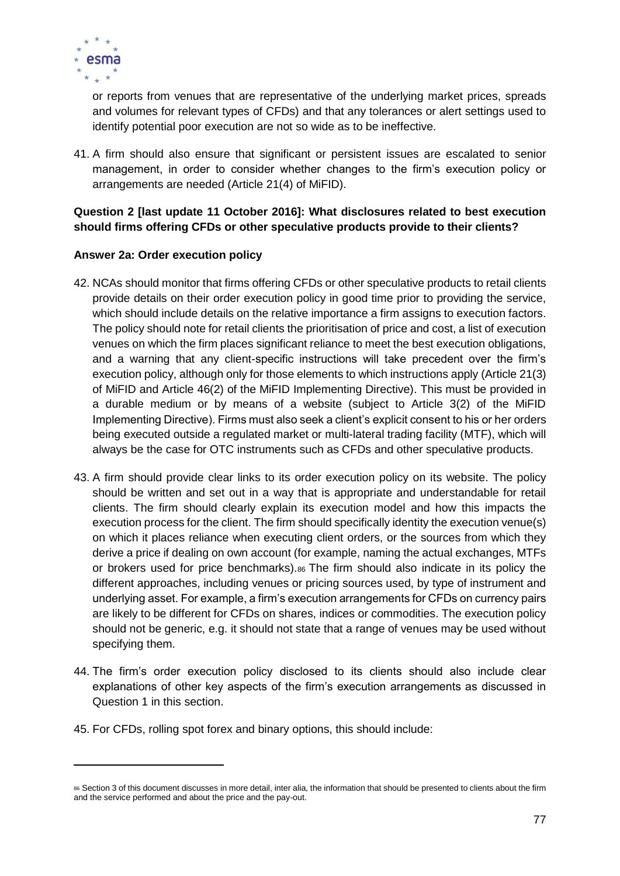

or reports from venues that are representative of the underlying market prices, spreads and volumes for relevant types of CFDs) and that any tolerances or alert settings used to identify potential poor execution are not so wide as to be ineffective.

41. A firm should also ensure that significant or persistent issues are escalated to senior management, in order to consider whether changes to the firm's execution policy or arrangements are needed (Article 21(4) of MiFID).

# **Question 2 [last update 11 October 2016]: What disclosures related to best execution should firms offering CFDs or other speculative products provide to their clients?**

# **Answer 2a: Order execution policy**

- 42. NCAs should monitor that firms offering CFDs or other speculative products to retail clients provide details on their order execution policy in good time prior to providing the service, which should include details on the relative importance a firm assigns to execution factors. The policy should note for retail clients the prioritisation of price and cost, a list of execution venues on which the firm places significant reliance to meet the best execution obligations, and a warning that any client-specific instructions will take precedent over the firm's execution policy, although only for those elements to which instructions apply (Article 21(3) of MiFID and Article 46(2) of the MiFID Implementing Directive). This must be provided in a durable medium or by means of a website (subject to Article 3(2) of the MiFID Implementing Directive). Firms must also seek a client's explicit consent to his or her orders being executed outside a regulated market or multi-lateral trading facility (MTF), which will always be the case for OTC instruments such as CFDs and other speculative products.
- 43. A firm should provide clear links to its order execution policy on its website. The policy should be written and set out in a way that is appropriate and understandable for retail clients. The firm should clearly explain its execution model and how this impacts the execution process for the client. The firm should specifically identity the execution venue(s) on which it places reliance when executing client orders, or the sources from which they derive a price if dealing on own account (for example, naming the actual exchanges, MTFs or brokers used for price benchmarks).<sup>86</sup> The firm should also indicate in its policy the different approaches, including venues or pricing sources used, by type of instrument and underlying asset. For example, a firm's execution arrangements for CFDs on currency pairs are likely to be different for CFDs on shares, indices or commodities. The execution policy should not be generic, e.g. it should not state that a range of venues may be used without specifying them.
- 44. The firm's order execution policy disclosed to its clients should also include clear explanations of other key aspects of the firm's execution arrangements as discussed in Question 1 in this section.
- 45. For CFDs, rolling spot forex and binary options, this should include:

<sup>86</sup> Section 3 of this document discusses in more detail, inter alia, the information that should be presented to clients about the firm and the service performed and about the price and the pay-out.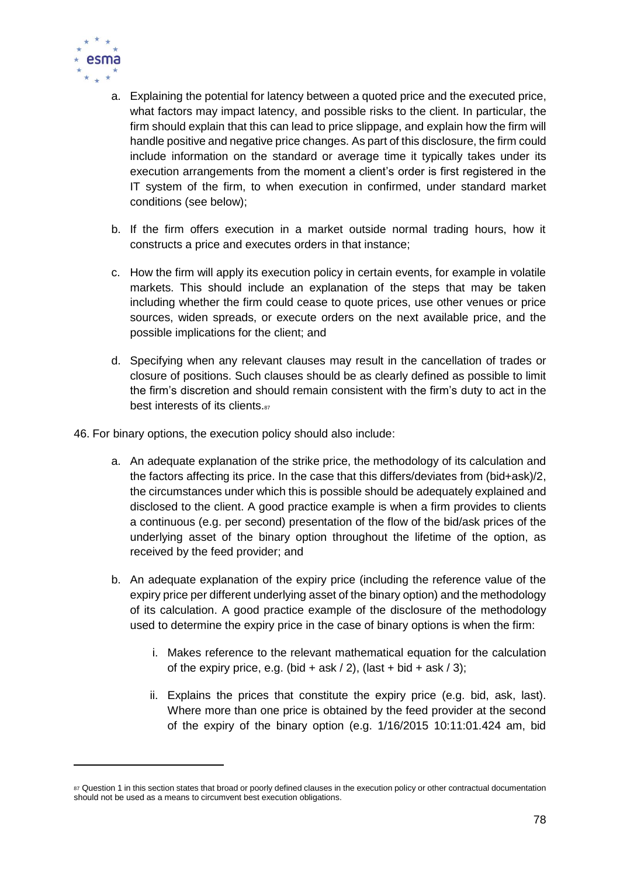

- a. Explaining the potential for latency between a quoted price and the executed price, what factors may impact latency, and possible risks to the client. In particular, the firm should explain that this can lead to price slippage, and explain how the firm will handle positive and negative price changes. As part of this disclosure, the firm could include information on the standard or average time it typically takes under its execution arrangements from the moment a client's order is first registered in the IT system of the firm, to when execution in confirmed, under standard market conditions (see below);
- b. If the firm offers execution in a market outside normal trading hours, how it constructs a price and executes orders in that instance;
- c. How the firm will apply its execution policy in certain events, for example in volatile markets. This should include an explanation of the steps that may be taken including whether the firm could cease to quote prices, use other venues or price sources, widen spreads, or execute orders on the next available price, and the possible implications for the client; and
- d. Specifying when any relevant clauses may result in the cancellation of trades or closure of positions. Such clauses should be as clearly defined as possible to limit the firm's discretion and should remain consistent with the firm's duty to act in the best interests of its clients.<sup>87</sup>
- 46. For binary options, the execution policy should also include:
	- a. An adequate explanation of the strike price, the methodology of its calculation and the factors affecting its price. In the case that this differs/deviates from (bid+ask)/2, the circumstances under which this is possible should be adequately explained and disclosed to the client. A good practice example is when a firm provides to clients a continuous (e.g. per second) presentation of the flow of the bid/ask prices of the underlying asset of the binary option throughout the lifetime of the option, as received by the feed provider; and
	- b. An adequate explanation of the expiry price (including the reference value of the expiry price per different underlying asset of the binary option) and the methodology of its calculation. A good practice example of the disclosure of the methodology used to determine the expiry price in the case of binary options is when the firm:
		- i. Makes reference to the relevant mathematical equation for the calculation of the expiry price, e.g. (bid + ask  $/$  2), (last + bid + ask  $/$  3);
		- ii. Explains the prices that constitute the expiry price (e.g. bid, ask, last). Where more than one price is obtained by the feed provider at the second of the expiry of the binary option (e.g. 1/16/2015 10:11:01.424 am, bid

<sup>87</sup> Question 1 in this section states that broad or poorly defined clauses in the execution policy or other contractual documentation should not be used as a means to circumvent best execution obligations.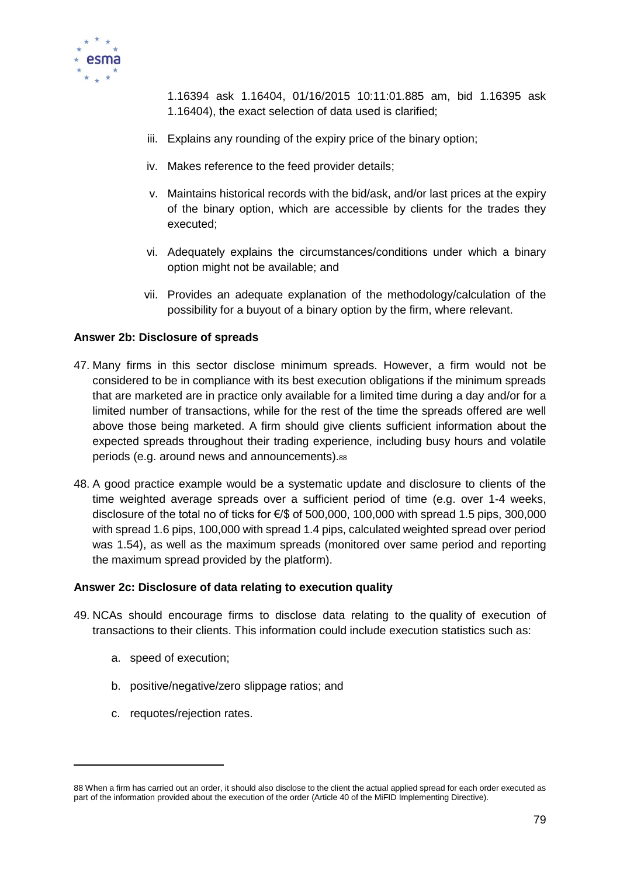

1.16394 ask 1.16404, 01/16/2015 10:11:01.885 am, bid 1.16395 ask 1.16404), the exact selection of data used is clarified;

- iii. Explains any rounding of the expiry price of the binary option;
- iv. Makes reference to the feed provider details;
- v. Maintains historical records with the bid/ask, and/or last prices at the expiry of the binary option, which are accessible by clients for the trades they executed;
- vi. Adequately explains the circumstances/conditions under which a binary option might not be available; and
- vii. Provides an adequate explanation of the methodology/calculation of the possibility for a buyout of a binary option by the firm, where relevant.

## **Answer 2b: Disclosure of spreads**

- 47. Many firms in this sector disclose minimum spreads. However, a firm would not be considered to be in compliance with its best execution obligations if the minimum spreads that are marketed are in practice only available for a limited time during a day and/or for a limited number of transactions, while for the rest of the time the spreads offered are well above those being marketed. A firm should give clients sufficient information about the expected spreads throughout their trading experience, including busy hours and volatile periods (e.g. around news and announcements).<sup>88</sup>
- 48. A good practice example would be a systematic update and disclosure to clients of the time weighted average spreads over a sufficient period of time (e.g. over 1-4 weeks, disclosure of the total no of ticks for  $\epsilon$ /\$ of 500,000, 100,000 with spread 1.5 pips, 300,000 with spread 1.6 pips, 100,000 with spread 1.4 pips, calculated weighted spread over period was 1.54), as well as the maximum spreads (monitored over same period and reporting the maximum spread provided by the platform).

#### **Answer 2c: Disclosure of data relating to execution quality**

- 49. NCAs should encourage firms to disclose data relating to the quality of execution of transactions to their clients. This information could include execution statistics such as:
	- a. speed of execution;

- b. positive/negative/zero slippage ratios; and
- c. requotes/rejection rates.

<sup>88</sup> When a firm has carried out an order, it should also disclose to the client the actual applied spread for each order executed as part of the information provided about the execution of the order (Article 40 of the MiFID Implementing Directive).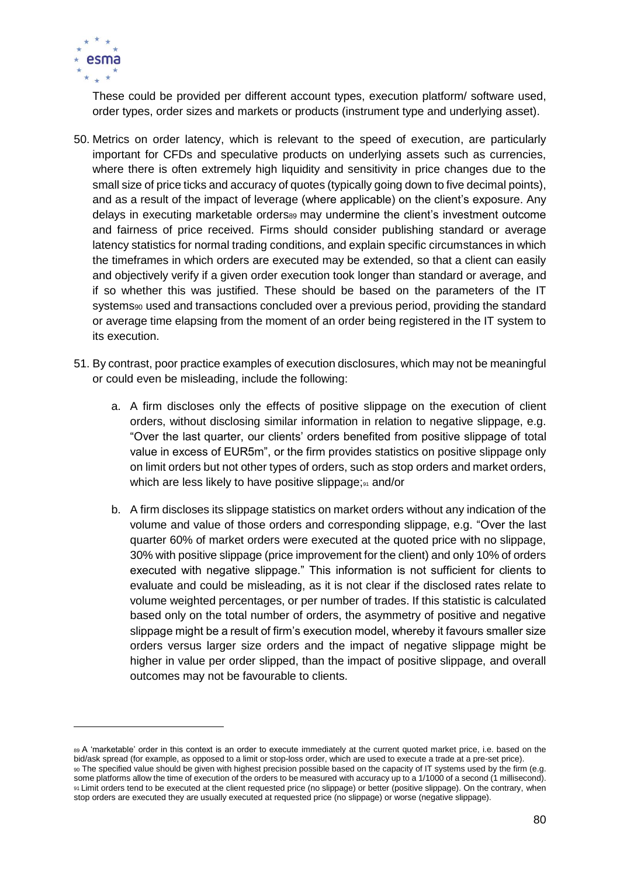

These could be provided per different account types, execution platform/ software used, order types, order sizes and markets or products (instrument type and underlying asset).

- 50. Metrics on order latency, which is relevant to the speed of execution, are particularly important for CFDs and speculative products on underlying assets such as currencies, where there is often extremely high liquidity and sensitivity in price changes due to the small size of price ticks and accuracy of quotes (typically going down to five decimal points), and as a result of the impact of leverage (where applicable) on the client's exposure. Any delays in executing marketable orders<sup>89</sup> may undermine the client's investment outcome and fairness of price received. Firms should consider publishing standard or average latency statistics for normal trading conditions, and explain specific circumstances in which the timeframes in which orders are executed may be extended, so that a client can easily and objectively verify if a given order execution took longer than standard or average, and if so whether this was justified. These should be based on the parameters of the IT systems<sub>90</sub> used and transactions concluded over a previous period, providing the standard or average time elapsing from the moment of an order being registered in the IT system to its execution.
- 51. By contrast, poor practice examples of execution disclosures, which may not be meaningful or could even be misleading, include the following:
	- a. A firm discloses only the effects of positive slippage on the execution of client orders, without disclosing similar information in relation to negative slippage, e.g. "Over the last quarter, our clients' orders benefited from positive slippage of total value in excess of EUR5m", or the firm provides statistics on positive slippage only on limit orders but not other types of orders, such as stop orders and market orders, which are less likely to have positive slippage;<sup>91</sup> and/or
	- b. A firm discloses its slippage statistics on market orders without any indication of the volume and value of those orders and corresponding slippage, e.g. "Over the last quarter 60% of market orders were executed at the quoted price with no slippage, 30% with positive slippage (price improvement for the client) and only 10% of orders executed with negative slippage." This information is not sufficient for clients to evaluate and could be misleading, as it is not clear if the disclosed rates relate to volume weighted percentages, or per number of trades. If this statistic is calculated based only on the total number of orders, the asymmetry of positive and negative slippage might be a result of firm's execution model, whereby it favours smaller size orders versus larger size orders and the impact of negative slippage might be higher in value per order slipped, than the impact of positive slippage, and overall outcomes may not be favourable to clients.

<sup>89</sup> A 'marketable' order in this context is an order to execute immediately at the current quoted market price, i.e. based on the bid/ask spread (for example, as opposed to a limit or stop-loss order, which are used to execute a trade at a pre-set price). <sup>90</sup> The specified value should be given with highest precision possible based on the capacity of IT systems used by the firm (e.g. some platforms allow the time of execution of the orders to be measured with accuracy up to a 1/1000 of a second (1 millisecond). 91 Limit orders tend to be executed at the client requested price (no slippage) or better (positive slippage). On the contrary, when stop orders are executed they are usually executed at requested price (no slippage) or worse (negative slippage).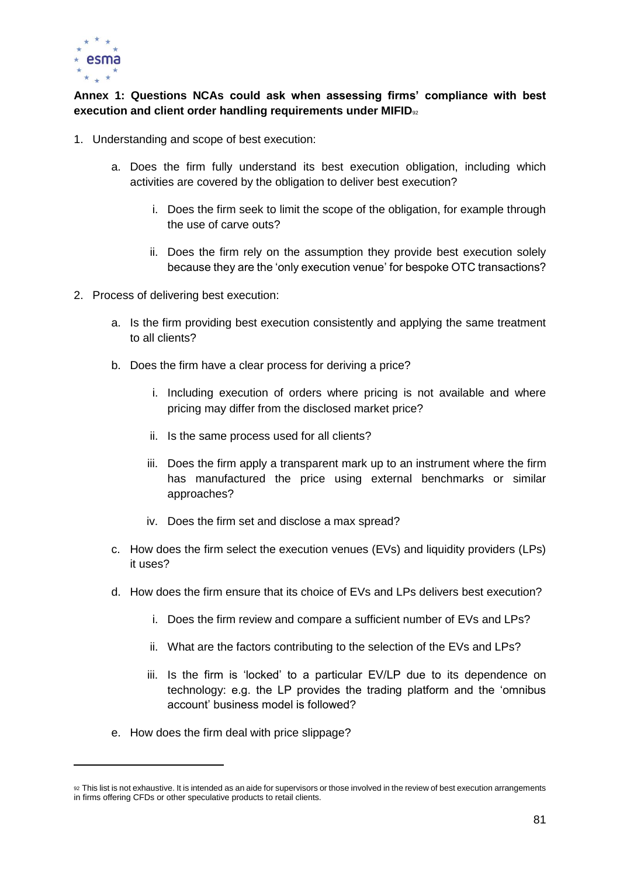

# **Annex 1: Questions NCAs could ask when assessing firms' compliance with best execution and client order handling requirements under MIFID**<sub>92</sub>

- 1. Understanding and scope of best execution:
	- a. Does the firm fully understand its best execution obligation, including which activities are covered by the obligation to deliver best execution?
		- i. Does the firm seek to limit the scope of the obligation, for example through the use of carve outs?
		- ii. Does the firm rely on the assumption they provide best execution solely because they are the 'only execution venue' for bespoke OTC transactions?
- 2. Process of delivering best execution:
	- a. Is the firm providing best execution consistently and applying the same treatment to all clients?
	- b. Does the firm have a clear process for deriving a price?
		- i. Including execution of orders where pricing is not available and where pricing may differ from the disclosed market price?
		- ii. Is the same process used for all clients?
		- iii. Does the firm apply a transparent mark up to an instrument where the firm has manufactured the price using external benchmarks or similar approaches?
		- iv. Does the firm set and disclose a max spread?
	- c. How does the firm select the execution venues (EVs) and liquidity providers (LPs) it uses?
	- d. How does the firm ensure that its choice of EVs and LPs delivers best execution?
		- i. Does the firm review and compare a sufficient number of EVs and LPs?
		- ii. What are the factors contributing to the selection of the EVs and LPs?
		- iii. Is the firm is 'locked' to a particular EV/LP due to its dependence on technology: e.g. the LP provides the trading platform and the 'omnibus account' business model is followed?
	- e. How does the firm deal with price slippage?

<sup>92</sup> This list is not exhaustive. It is intended as an aide for supervisors or those involved in the review of best execution arrangements in firms offering CFDs or other speculative products to retail clients.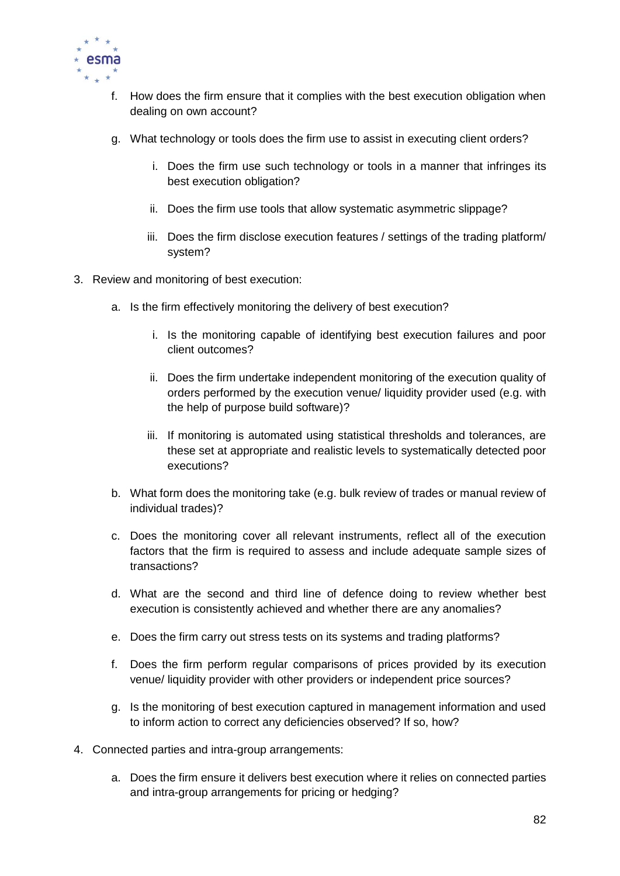

- f. How does the firm ensure that it complies with the best execution obligation when dealing on own account?
- g. What technology or tools does the firm use to assist in executing client orders?
	- i. Does the firm use such technology or tools in a manner that infringes its best execution obligation?
	- ii. Does the firm use tools that allow systematic asymmetric slippage?
	- iii. Does the firm disclose execution features / settings of the trading platform/ system?
- 3. Review and monitoring of best execution:
	- a. Is the firm effectively monitoring the delivery of best execution?
		- i. Is the monitoring capable of identifying best execution failures and poor client outcomes?
		- ii. Does the firm undertake independent monitoring of the execution quality of orders performed by the execution venue/ liquidity provider used (e.g. with the help of purpose build software)?
		- iii. If monitoring is automated using statistical thresholds and tolerances, are these set at appropriate and realistic levels to systematically detected poor executions?
	- b. What form does the monitoring take (e.g. bulk review of trades or manual review of individual trades)?
	- c. Does the monitoring cover all relevant instruments, reflect all of the execution factors that the firm is required to assess and include adequate sample sizes of transactions?
	- d. What are the second and third line of defence doing to review whether best execution is consistently achieved and whether there are any anomalies?
	- e. Does the firm carry out stress tests on its systems and trading platforms?
	- f. Does the firm perform regular comparisons of prices provided by its execution venue/ liquidity provider with other providers or independent price sources?
	- g. Is the monitoring of best execution captured in management information and used to inform action to correct any deficiencies observed? If so, how?
- 4. Connected parties and intra-group arrangements:
	- a. Does the firm ensure it delivers best execution where it relies on connected parties and intra-group arrangements for pricing or hedging?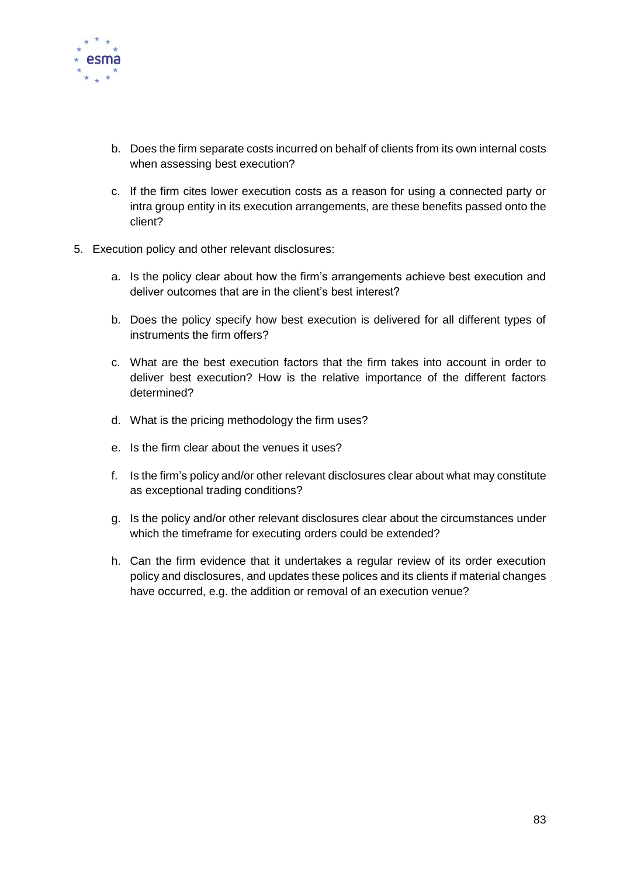

- b. Does the firm separate costs incurred on behalf of clients from its own internal costs when assessing best execution?
- c. If the firm cites lower execution costs as a reason for using a connected party or intra group entity in its execution arrangements, are these benefits passed onto the client?
- 5. Execution policy and other relevant disclosures:
	- a. Is the policy clear about how the firm's arrangements achieve best execution and deliver outcomes that are in the client's best interest?
	- b. Does the policy specify how best execution is delivered for all different types of instruments the firm offers?
	- c. What are the best execution factors that the firm takes into account in order to deliver best execution? How is the relative importance of the different factors determined?
	- d. What is the pricing methodology the firm uses?
	- e. Is the firm clear about the venues it uses?
	- f. Is the firm's policy and/or other relevant disclosures clear about what may constitute as exceptional trading conditions?
	- g. Is the policy and/or other relevant disclosures clear about the circumstances under which the timeframe for executing orders could be extended?
	- h. Can the firm evidence that it undertakes a regular review of its order execution policy and disclosures, and updates these polices and its clients if material changes have occurred, e.g. the addition or removal of an execution venue?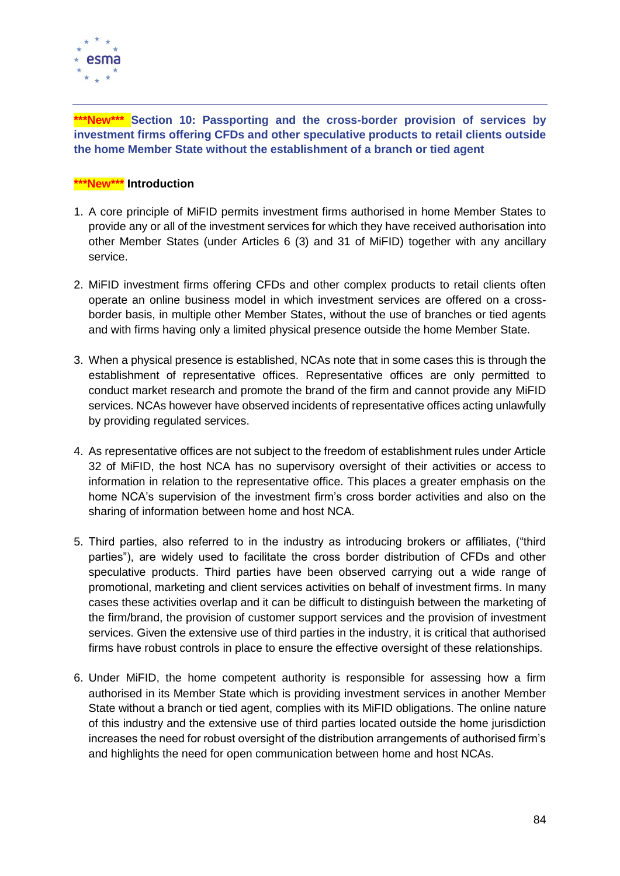

**\*\*\*New\*\*\* Section 10: Passporting and the cross-border provision of services by investment firms offering CFDs and other speculative products to retail clients outside the home Member State without the establishment of a branch or tied agent**

## **\*\*\*New\*\*\* Introduction**

- 1. A core principle of MiFID permits investment firms authorised in home Member States to provide any or all of the investment services for which they have received authorisation into other Member States (under Articles 6 (3) and 31 of MiFID) together with any ancillary service.
- 2. MiFID investment firms offering CFDs and other complex products to retail clients often operate an online business model in which investment services are offered on a crossborder basis, in multiple other Member States, without the use of branches or tied agents and with firms having only a limited physical presence outside the home Member State.
- 3. When a physical presence is established, NCAs note that in some cases this is through the establishment of representative offices. Representative offices are only permitted to conduct market research and promote the brand of the firm and cannot provide any MiFID services. NCAs however have observed incidents of representative offices acting unlawfully by providing regulated services.
- 4. As representative offices are not subject to the freedom of establishment rules under Article 32 of MiFID, the host NCA has no supervisory oversight of their activities or access to information in relation to the representative office. This places a greater emphasis on the home NCA's supervision of the investment firm's cross border activities and also on the sharing of information between home and host NCA.
- 5. Third parties, also referred to in the industry as introducing brokers or affiliates, ("third parties"), are widely used to facilitate the cross border distribution of CFDs and other speculative products. Third parties have been observed carrying out a wide range of promotional, marketing and client services activities on behalf of investment firms. In many cases these activities overlap and it can be difficult to distinguish between the marketing of the firm/brand, the provision of customer support services and the provision of investment services. Given the extensive use of third parties in the industry, it is critical that authorised firms have robust controls in place to ensure the effective oversight of these relationships.
- 6. Under MiFID, the home competent authority is responsible for assessing how a firm authorised in its Member State which is providing investment services in another Member State without a branch or tied agent, complies with its MiFID obligations. The online nature of this industry and the extensive use of third parties located outside the home jurisdiction increases the need for robust oversight of the distribution arrangements of authorised firm's and highlights the need for open communication between home and host NCAs.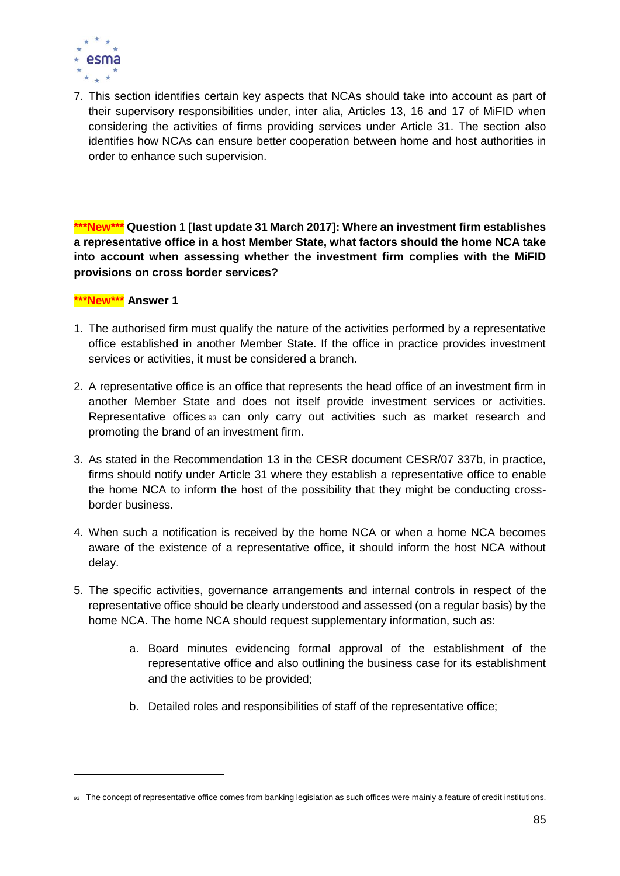

7. This section identifies certain key aspects that NCAs should take into account as part of their supervisory responsibilities under, inter alia, Articles 13, 16 and 17 of MiFID when considering the activities of firms providing services under Article 31. The section also identifies how NCAs can ensure better cooperation between home and host authorities in order to enhance such supervision.

**\*\*\*New\*\*\* Question 1 [last update 31 March 2017]: Where an investment firm establishes a representative office in a host Member State, what factors should the home NCA take into account when assessing whether the investment firm complies with the MiFID provisions on cross border services?**

#### **\*\*\*New\*\*\* Answer 1**

- 1. The authorised firm must qualify the nature of the activities performed by a representative office established in another Member State. If the office in practice provides investment services or activities, it must be considered a branch.
- 2. A representative office is an office that represents the head office of an investment firm in another Member State and does not itself provide investment services or activities. Representative offices <sup>93</sup> can only carry out activities such as market research and promoting the brand of an investment firm.
- 3. As stated in the Recommendation 13 in the CESR document CESR/07 337b, in practice, firms should notify under Article 31 where they establish a representative office to enable the home NCA to inform the host of the possibility that they might be conducting crossborder business.
- 4. When such a notification is received by the home NCA or when a home NCA becomes aware of the existence of a representative office, it should inform the host NCA without delay.
- 5. The specific activities, governance arrangements and internal controls in respect of the representative office should be clearly understood and assessed (on a regular basis) by the home NCA. The home NCA should request supplementary information, such as:
	- a. Board minutes evidencing formal approval of the establishment of the representative office and also outlining the business case for its establishment and the activities to be provided;
	- b. Detailed roles and responsibilities of staff of the representative office;

<sup>93</sup> The concept of representative office comes from banking legislation as such offices were mainly a feature of credit institutions.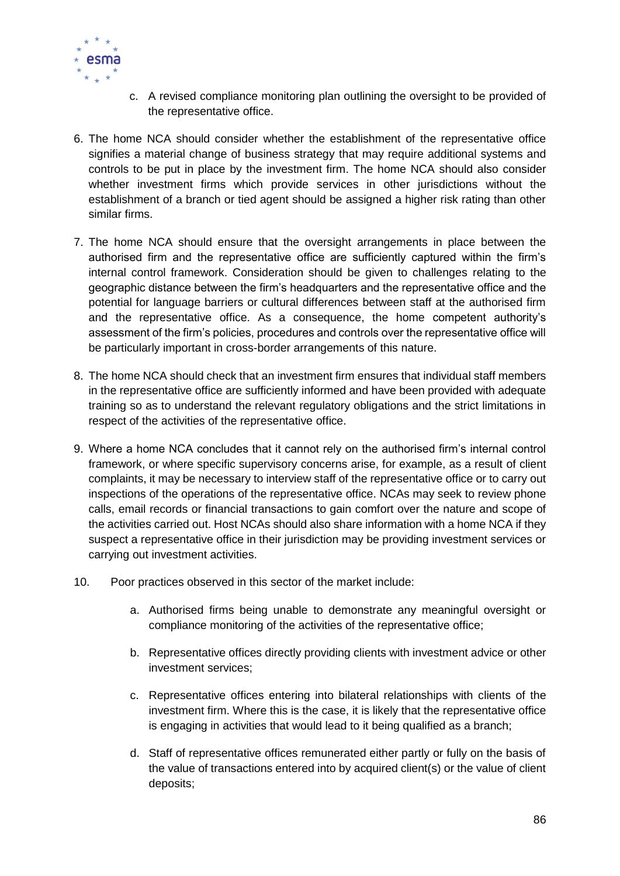

- c. A revised compliance monitoring plan outlining the oversight to be provided of the representative office.
- 6. The home NCA should consider whether the establishment of the representative office signifies a material change of business strategy that may require additional systems and controls to be put in place by the investment firm. The home NCA should also consider whether investment firms which provide services in other jurisdictions without the establishment of a branch or tied agent should be assigned a higher risk rating than other similar firms.
- 7. The home NCA should ensure that the oversight arrangements in place between the authorised firm and the representative office are sufficiently captured within the firm's internal control framework. Consideration should be given to challenges relating to the geographic distance between the firm's headquarters and the representative office and the potential for language barriers or cultural differences between staff at the authorised firm and the representative office. As a consequence, the home competent authority's assessment of the firm's policies, procedures and controls over the representative office will be particularly important in cross-border arrangements of this nature.
- 8. The home NCA should check that an investment firm ensures that individual staff members in the representative office are sufficiently informed and have been provided with adequate training so as to understand the relevant regulatory obligations and the strict limitations in respect of the activities of the representative office.
- 9. Where a home NCA concludes that it cannot rely on the authorised firm's internal control framework, or where specific supervisory concerns arise, for example, as a result of client complaints, it may be necessary to interview staff of the representative office or to carry out inspections of the operations of the representative office. NCAs may seek to review phone calls, email records or financial transactions to gain comfort over the nature and scope of the activities carried out. Host NCAs should also share information with a home NCA if they suspect a representative office in their jurisdiction may be providing investment services or carrying out investment activities.
- 10. Poor practices observed in this sector of the market include:
	- a. Authorised firms being unable to demonstrate any meaningful oversight or compliance monitoring of the activities of the representative office;
	- b. Representative offices directly providing clients with investment advice or other investment services;
	- c. Representative offices entering into bilateral relationships with clients of the investment firm. Where this is the case, it is likely that the representative office is engaging in activities that would lead to it being qualified as a branch;
	- d. Staff of representative offices remunerated either partly or fully on the basis of the value of transactions entered into by acquired client(s) or the value of client deposits;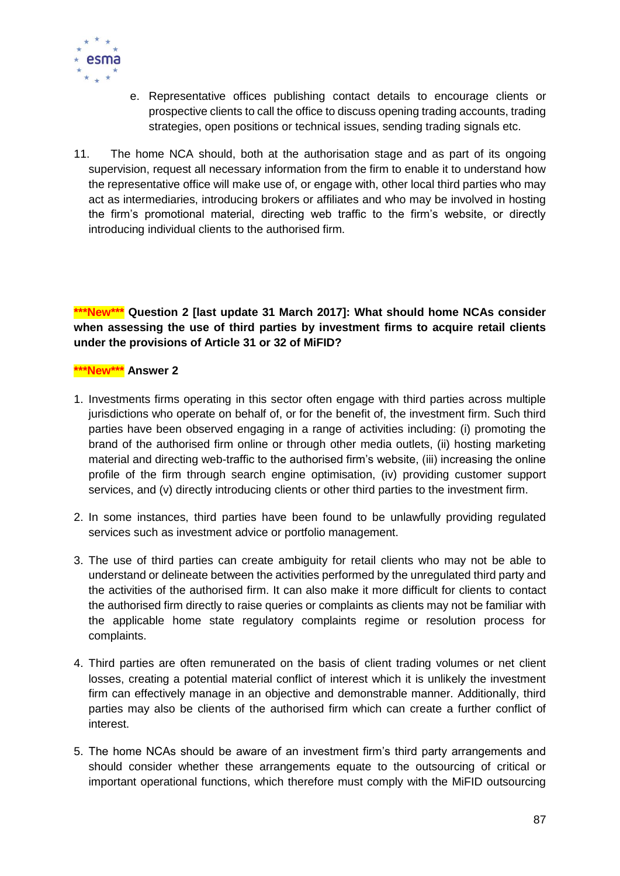

- e. Representative offices publishing contact details to encourage clients or prospective clients to call the office to discuss opening trading accounts, trading strategies, open positions or technical issues, sending trading signals etc.
- 11. The home NCA should, both at the authorisation stage and as part of its ongoing supervision, request all necessary information from the firm to enable it to understand how the representative office will make use of, or engage with, other local third parties who may act as intermediaries, introducing brokers or affiliates and who may be involved in hosting the firm's promotional material, directing web traffic to the firm's website, or directly introducing individual clients to the authorised firm.

**\*\*\*New\*\*\* Question 2 [last update 31 March 2017]: What should home NCAs consider when assessing the use of third parties by investment firms to acquire retail clients under the provisions of Article 31 or 32 of MiFID?** 

#### **\*\*\*New\*\*\* Answer 2**

- 1. Investments firms operating in this sector often engage with third parties across multiple jurisdictions who operate on behalf of, or for the benefit of, the investment firm. Such third parties have been observed engaging in a range of activities including: (i) promoting the brand of the authorised firm online or through other media outlets, (ii) hosting marketing material and directing web-traffic to the authorised firm's website, (iii) increasing the online profile of the firm through search engine optimisation, (iv) providing customer support services, and (v) directly introducing clients or other third parties to the investment firm.
- 2. In some instances, third parties have been found to be unlawfully providing regulated services such as investment advice or portfolio management.
- 3. The use of third parties can create ambiguity for retail clients who may not be able to understand or delineate between the activities performed by the unregulated third party and the activities of the authorised firm. It can also make it more difficult for clients to contact the authorised firm directly to raise queries or complaints as clients may not be familiar with the applicable home state regulatory complaints regime or resolution process for complaints.
- 4. Third parties are often remunerated on the basis of client trading volumes or net client losses, creating a potential material conflict of interest which it is unlikely the investment firm can effectively manage in an objective and demonstrable manner. Additionally, third parties may also be clients of the authorised firm which can create a further conflict of interest.
- 5. The home NCAs should be aware of an investment firm's third party arrangements and should consider whether these arrangements equate to the outsourcing of critical or important operational functions, which therefore must comply with the MiFID outsourcing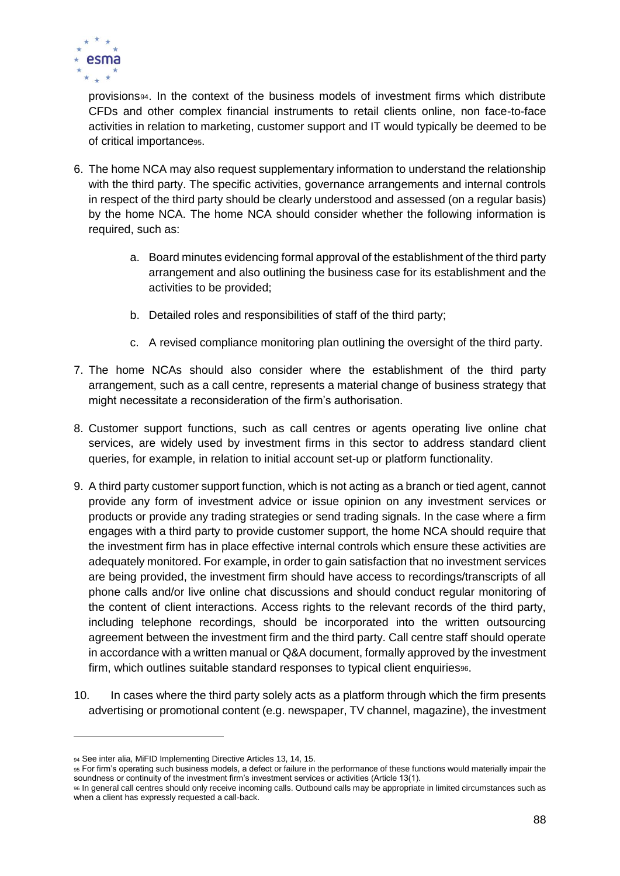

provisions94. In the context of the business models of investment firms which distribute CFDs and other complex financial instruments to retail clients online, non face-to-face activities in relation to marketing, customer support and IT would typically be deemed to be of critical importance95.

- 6. The home NCA may also request supplementary information to understand the relationship with the third party. The specific activities, governance arrangements and internal controls in respect of the third party should be clearly understood and assessed (on a regular basis) by the home NCA. The home NCA should consider whether the following information is required, such as:
	- a. Board minutes evidencing formal approval of the establishment of the third party arrangement and also outlining the business case for its establishment and the activities to be provided;
	- b. Detailed roles and responsibilities of staff of the third party;
	- c. A revised compliance monitoring plan outlining the oversight of the third party.
- 7. The home NCAs should also consider where the establishment of the third party arrangement, such as a call centre, represents a material change of business strategy that might necessitate a reconsideration of the firm's authorisation.
- 8. Customer support functions, such as call centres or agents operating live online chat services, are widely used by investment firms in this sector to address standard client queries, for example, in relation to initial account set-up or platform functionality.
- 9. A third party customer support function, which is not acting as a branch or tied agent, cannot provide any form of investment advice or issue opinion on any investment services or products or provide any trading strategies or send trading signals. In the case where a firm engages with a third party to provide customer support, the home NCA should require that the investment firm has in place effective internal controls which ensure these activities are adequately monitored. For example, in order to gain satisfaction that no investment services are being provided, the investment firm should have access to recordings/transcripts of all phone calls and/or live online chat discussions and should conduct regular monitoring of the content of client interactions. Access rights to the relevant records of the third party, including telephone recordings, should be incorporated into the written outsourcing agreement between the investment firm and the third party. Call centre staff should operate in accordance with a written manual or Q&A document, formally approved by the investment firm, which outlines suitable standard responses to typical client enquiries<sup>96</sup>.
- 10. In cases where the third party solely acts as a platform through which the firm presents advertising or promotional content (e.g. newspaper, TV channel, magazine), the investment

<sup>94</sup> See inter alia, MiFID Implementing Directive Articles 13, 14, 15.

<sup>95</sup> For firm's operating such business models, a defect or failure in the performance of these functions would materially impair the soundness or continuity of the investment firm's investment services or activities (Article 13(1).

<sup>96</sup> In general call centres should only receive incoming calls. Outbound calls may be appropriate in limited circumstances such as when a client has expressly requested a call-back.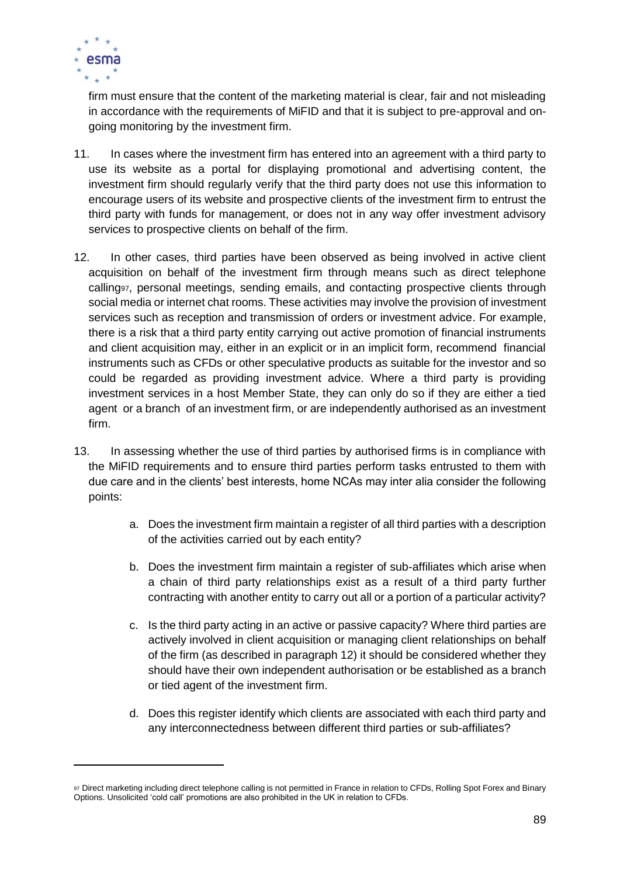

firm must ensure that the content of the marketing material is clear, fair and not misleading in accordance with the requirements of MiFID and that it is subject to pre-approval and ongoing monitoring by the investment firm.

- 11. In cases where the investment firm has entered into an agreement with a third party to use its website as a portal for displaying promotional and advertising content, the investment firm should regularly verify that the third party does not use this information to encourage users of its website and prospective clients of the investment firm to entrust the third party with funds for management, or does not in any way offer investment advisory services to prospective clients on behalf of the firm.
- 12. In other cases, third parties have been observed as being involved in active client acquisition on behalf of the investment firm through means such as direct telephone calling97, personal meetings, sending emails, and contacting prospective clients through social media or internet chat rooms. These activities may involve the provision of investment services such as reception and transmission of orders or investment advice. For example, there is a risk that a third party entity carrying out active promotion of financial instruments and client acquisition may, either in an explicit or in an implicit form, recommend financial instruments such as CFDs or other speculative products as suitable for the investor and so could be regarded as providing investment advice. Where a third party is providing investment services in a host Member State, they can only do so if they are either a tied agent or a branch of an investment firm, or are independently authorised as an investment firm.
- 13. In assessing whether the use of third parties by authorised firms is in compliance with the MiFID requirements and to ensure third parties perform tasks entrusted to them with due care and in the clients' best interests, home NCAs may inter alia consider the following points:
	- a. Does the investment firm maintain a register of all third parties with a description of the activities carried out by each entity?
	- b. Does the investment firm maintain a register of sub-affiliates which arise when a chain of third party relationships exist as a result of a third party further contracting with another entity to carry out all or a portion of a particular activity?
	- c. Is the third party acting in an active or passive capacity? Where third parties are actively involved in client acquisition or managing client relationships on behalf of the firm (as described in paragraph 12) it should be considered whether they should have their own independent authorisation or be established as a branch or tied agent of the investment firm.
	- d. Does this register identify which clients are associated with each third party and any interconnectedness between different third parties or sub-affiliates?

<sup>97</sup> Direct marketing including direct telephone calling is not permitted in France in relation to CFDs, Rolling Spot Forex and Binary Options. Unsolicited 'cold call' promotions are also prohibited in the UK in relation to CFDs.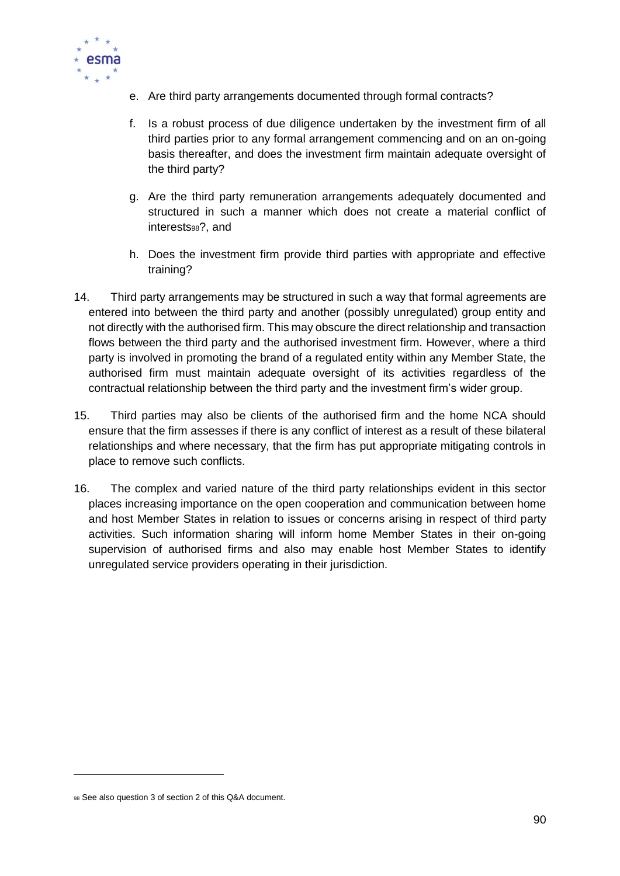

- e. Are third party arrangements documented through formal contracts?
- f. Is a robust process of due diligence undertaken by the investment firm of all third parties prior to any formal arrangement commencing and on an on-going basis thereafter, and does the investment firm maintain adequate oversight of the third party?
- g. Are the third party remuneration arrangements adequately documented and structured in such a manner which does not create a material conflict of interests98?, and
- h. Does the investment firm provide third parties with appropriate and effective training?
- 14. Third party arrangements may be structured in such a way that formal agreements are entered into between the third party and another (possibly unregulated) group entity and not directly with the authorised firm. This may obscure the direct relationship and transaction flows between the third party and the authorised investment firm. However, where a third party is involved in promoting the brand of a regulated entity within any Member State, the authorised firm must maintain adequate oversight of its activities regardless of the contractual relationship between the third party and the investment firm's wider group.
- 15. Third parties may also be clients of the authorised firm and the home NCA should ensure that the firm assesses if there is any conflict of interest as a result of these bilateral relationships and where necessary, that the firm has put appropriate mitigating controls in place to remove such conflicts.
- 16. The complex and varied nature of the third party relationships evident in this sector places increasing importance on the open cooperation and communication between home and host Member States in relation to issues or concerns arising in respect of third party activities. Such information sharing will inform home Member States in their on-going supervision of authorised firms and also may enable host Member States to identify unregulated service providers operating in their jurisdiction.

<sup>98</sup> See also question 3 of section 2 of this Q&A document.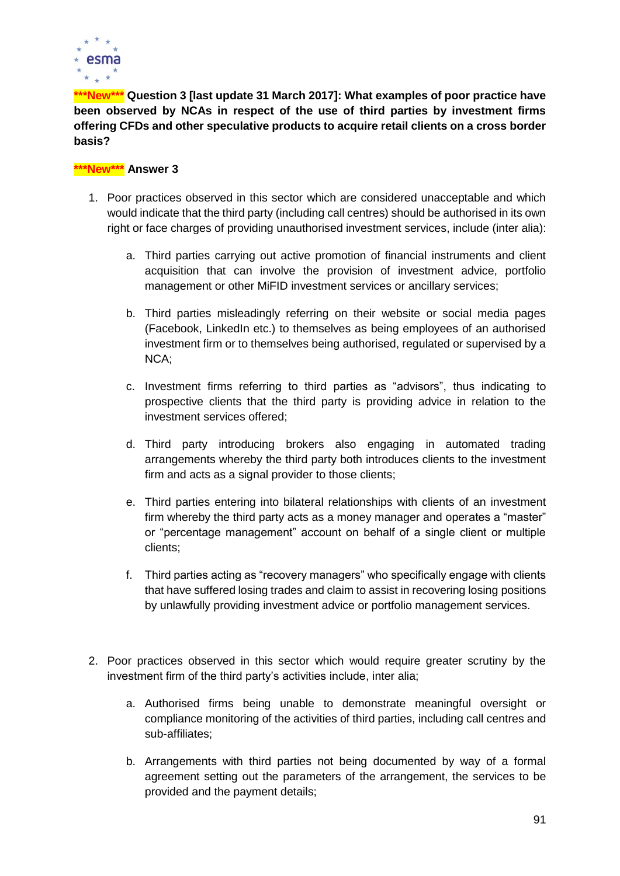

**\*\*\*New\*\*\* Question 3 [last update 31 March 2017]: What examples of poor practice have been observed by NCAs in respect of the use of third parties by investment firms offering CFDs and other speculative products to acquire retail clients on a cross border basis?**

#### **\*\*\*New\*\*\* Answer 3**

- 1. Poor practices observed in this sector which are considered unacceptable and which would indicate that the third party (including call centres) should be authorised in its own right or face charges of providing unauthorised investment services, include (inter alia):
	- a. Third parties carrying out active promotion of financial instruments and client acquisition that can involve the provision of investment advice, portfolio management or other MiFID investment services or ancillary services;
	- b. Third parties misleadingly referring on their website or social media pages (Facebook, LinkedIn etc.) to themselves as being employees of an authorised investment firm or to themselves being authorised, regulated or supervised by a NCA;
	- c. Investment firms referring to third parties as "advisors", thus indicating to prospective clients that the third party is providing advice in relation to the investment services offered;
	- d. Third party introducing brokers also engaging in automated trading arrangements whereby the third party both introduces clients to the investment firm and acts as a signal provider to those clients;
	- e. Third parties entering into bilateral relationships with clients of an investment firm whereby the third party acts as a money manager and operates a "master" or "percentage management" account on behalf of a single client or multiple clients;
	- f. Third parties acting as "recovery managers" who specifically engage with clients that have suffered losing trades and claim to assist in recovering losing positions by unlawfully providing investment advice or portfolio management services.
- 2. Poor practices observed in this sector which would require greater scrutiny by the investment firm of the third party's activities include, inter alia;
	- a. Authorised firms being unable to demonstrate meaningful oversight or compliance monitoring of the activities of third parties, including call centres and sub-affiliates;
	- b. Arrangements with third parties not being documented by way of a formal agreement setting out the parameters of the arrangement, the services to be provided and the payment details;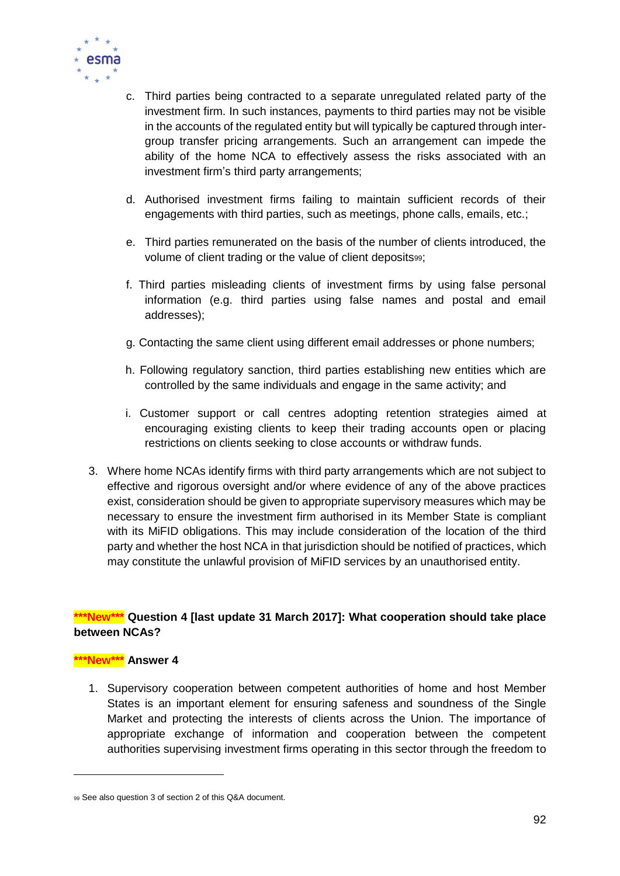

- c. Third parties being contracted to a separate unregulated related party of the investment firm. In such instances, payments to third parties may not be visible in the accounts of the regulated entity but will typically be captured through intergroup transfer pricing arrangements. Such an arrangement can impede the ability of the home NCA to effectively assess the risks associated with an investment firm's third party arrangements;
- d. Authorised investment firms failing to maintain sufficient records of their engagements with third parties, such as meetings, phone calls, emails, etc.;
- e. Third parties remunerated on the basis of the number of clients introduced, the volume of client trading or the value of client deposits99;
- f. Third parties misleading clients of investment firms by using false personal information (e.g. third parties using false names and postal and email addresses);
- g. Contacting the same client using different email addresses or phone numbers;
- h. Following regulatory sanction, third parties establishing new entities which are controlled by the same individuals and engage in the same activity; and
- i. Customer support or call centres adopting retention strategies aimed at encouraging existing clients to keep their trading accounts open or placing restrictions on clients seeking to close accounts or withdraw funds.
- 3. Where home NCAs identify firms with third party arrangements which are not subject to effective and rigorous oversight and/or where evidence of any of the above practices exist, consideration should be given to appropriate supervisory measures which may be necessary to ensure the investment firm authorised in its Member State is compliant with its MiFID obligations. This may include consideration of the location of the third party and whether the host NCA in that jurisdiction should be notified of practices, which may constitute the unlawful provision of MiFID services by an unauthorised entity.

# **\*\*\*New\*\*\* Question 4 [last update 31 March 2017]: What cooperation should take place between NCAs?**

#### **\*\*\*New\*\*\* Answer 4**

 $\overline{a}$ 

1. Supervisory cooperation between competent authorities of home and host Member States is an important element for ensuring safeness and soundness of the Single Market and protecting the interests of clients across the Union. The importance of appropriate exchange of information and cooperation between the competent authorities supervising investment firms operating in this sector through the freedom to

<sup>99</sup> See also question 3 of section 2 of this Q&A document.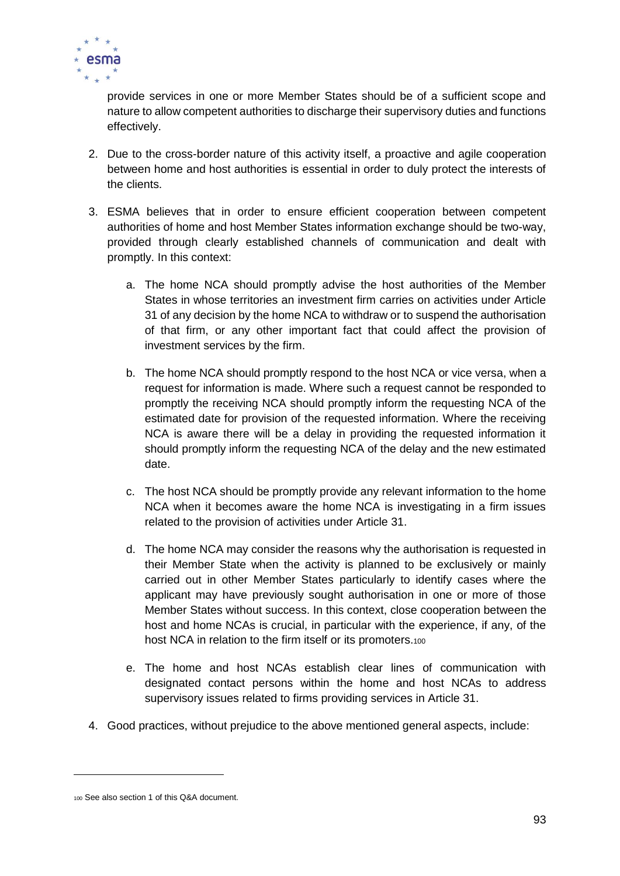

provide services in one or more Member States should be of a sufficient scope and nature to allow competent authorities to discharge their supervisory duties and functions effectively.

- 2. Due to the cross-border nature of this activity itself, a proactive and agile cooperation between home and host authorities is essential in order to duly protect the interests of the clients.
- 3. ESMA believes that in order to ensure efficient cooperation between competent authorities of home and host Member States information exchange should be two-way, provided through clearly established channels of communication and dealt with promptly. In this context:
	- a. The home NCA should promptly advise the host authorities of the Member States in whose territories an investment firm carries on activities under Article 31 of any decision by the home NCA to withdraw or to suspend the authorisation of that firm, or any other important fact that could affect the provision of investment services by the firm.
	- b. The home NCA should promptly respond to the host NCA or vice versa, when a request for information is made. Where such a request cannot be responded to promptly the receiving NCA should promptly inform the requesting NCA of the estimated date for provision of the requested information. Where the receiving NCA is aware there will be a delay in providing the requested information it should promptly inform the requesting NCA of the delay and the new estimated date.
	- c. The host NCA should be promptly provide any relevant information to the home NCA when it becomes aware the home NCA is investigating in a firm issues related to the provision of activities under Article 31.
	- d. The home NCA may consider the reasons why the authorisation is requested in their Member State when the activity is planned to be exclusively or mainly carried out in other Member States particularly to identify cases where the applicant may have previously sought authorisation in one or more of those Member States without success. In this context, close cooperation between the host and home NCAs is crucial, in particular with the experience, if any, of the host NCA in relation to the firm itself or its promoters.100
	- e. The home and host NCAs establish clear lines of communication with designated contact persons within the home and host NCAs to address supervisory issues related to firms providing services in Article 31.
- 4. Good practices, without prejudice to the above mentioned general aspects, include:

<sup>100</sup> See also section 1 of this Q&A document.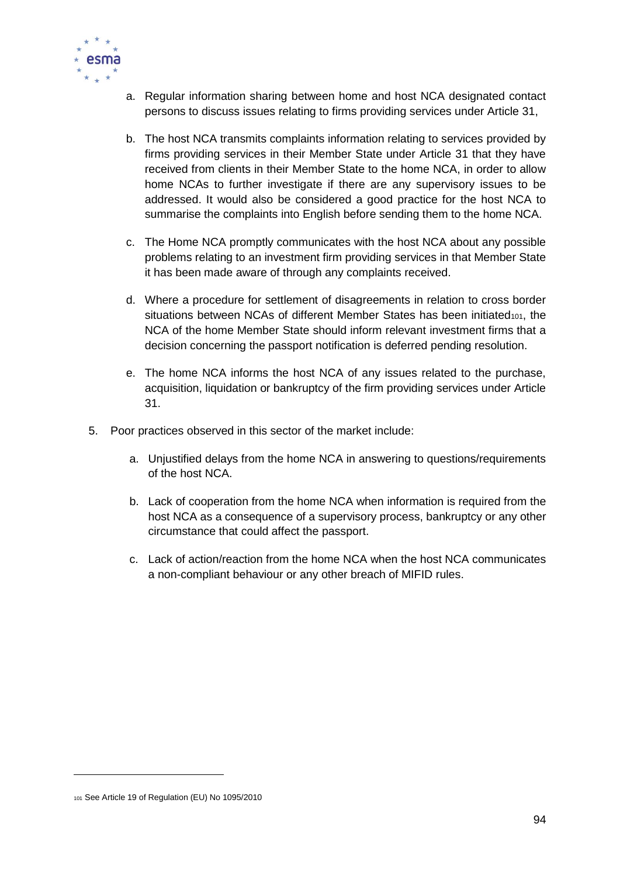

- a. Regular information sharing between home and host NCA designated contact persons to discuss issues relating to firms providing services under Article 31,
- b. The host NCA transmits complaints information relating to services provided by firms providing services in their Member State under Article 31 that they have received from clients in their Member State to the home NCA, in order to allow home NCAs to further investigate if there are any supervisory issues to be addressed. It would also be considered a good practice for the host NCA to summarise the complaints into English before sending them to the home NCA.
- c. The Home NCA promptly communicates with the host NCA about any possible problems relating to an investment firm providing services in that Member State it has been made aware of through any complaints received.
- d. Where a procedure for settlement of disagreements in relation to cross border situations between NCAs of different Member States has been initiated $101$ , the NCA of the home Member State should inform relevant investment firms that a decision concerning the passport notification is deferred pending resolution.
- e. The home NCA informs the host NCA of any issues related to the purchase, acquisition, liquidation or bankruptcy of the firm providing services under Article 31.
- 5. Poor practices observed in this sector of the market include:
	- a. Unjustified delays from the home NCA in answering to questions/requirements of the host NCA.
	- b. Lack of cooperation from the home NCA when information is required from the host NCA as a consequence of a supervisory process, bankruptcy or any other circumstance that could affect the passport.
	- c. Lack of action/reaction from the home NCA when the host NCA communicates a non-compliant behaviour or any other breach of MIFID rules.

<sup>101</sup> See Article 19 of Regulation (EU) No 1095/2010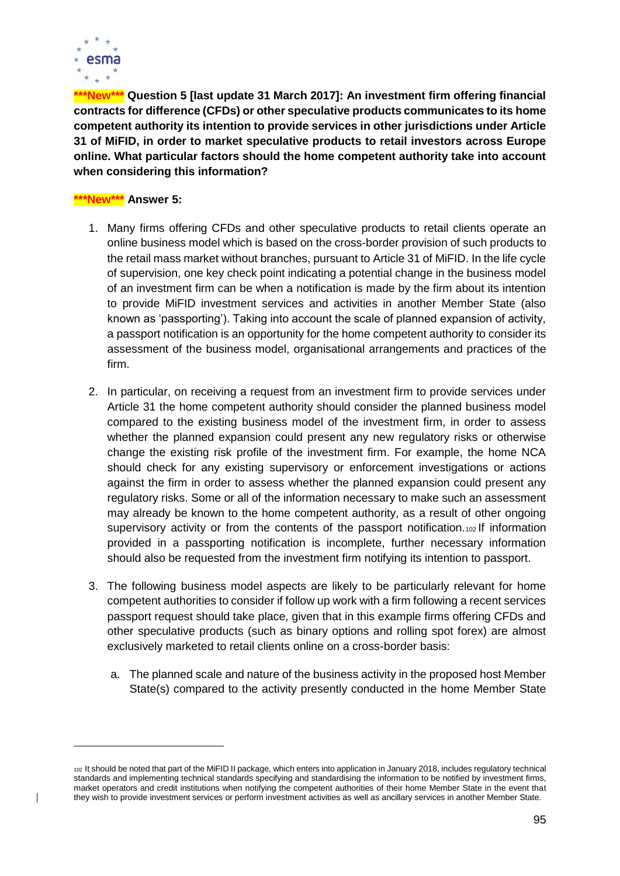

**\*\*\*New\*\*\* Question 5 [last update 31 March 2017]: An investment firm offering financial contracts for difference (CFDs) or other speculative products communicates to its home competent authority its intention to provide services in other jurisdictions under Article 31 of MiFID, in order to market speculative products to retail investors across Europe online. What particular factors should the home competent authority take into account when considering this information?**

# **\*\*\*New\*\*\* Answer 5:**

- 1. Many firms offering CFDs and other speculative products to retail clients operate an online business model which is based on the cross-border provision of such products to the retail mass market without branches, pursuant to Article 31 of MiFID. In the life cycle of supervision, one key check point indicating a potential change in the business model of an investment firm can be when a notification is made by the firm about its intention to provide MiFID investment services and activities in another Member State (also known as 'passporting'). Taking into account the scale of planned expansion of activity, a passport notification is an opportunity for the home competent authority to consider its assessment of the business model, organisational arrangements and practices of the firm.
- 2. In particular, on receiving a request from an investment firm to provide services under Article 31 the home competent authority should consider the planned business model compared to the existing business model of the investment firm, in order to assess whether the planned expansion could present any new regulatory risks or otherwise change the existing risk profile of the investment firm. For example, the home NCA should check for any existing supervisory or enforcement investigations or actions against the firm in order to assess whether the planned expansion could present any regulatory risks. Some or all of the information necessary to make such an assessment may already be known to the home competent authority, as a result of other ongoing supervisory activity or from the contents of the passport notification. $102$  If information provided in a passporting notification is incomplete, further necessary information should also be requested from the investment firm notifying its intention to passport.
- 3. The following business model aspects are likely to be particularly relevant for home competent authorities to consider if follow up work with a firm following a recent services passport request should take place, given that in this example firms offering CFDs and other speculative products (such as binary options and rolling spot forex) are almost exclusively marketed to retail clients online on a cross-border basis:
	- a. The planned scale and nature of the business activity in the proposed host Member State(s) compared to the activity presently conducted in the home Member State

<sup>102</sup> It should be noted that part of the MiFID II package, which enters into application in January 2018, includes regulatory technical standards and implementing technical standards specifying and standardising the information to be notified by investment firms, market operators and credit institutions when notifying the competent authorities of their home Member State in the event that they wish to provide investment services or perform investment activities as well as ancillary services in another Member State.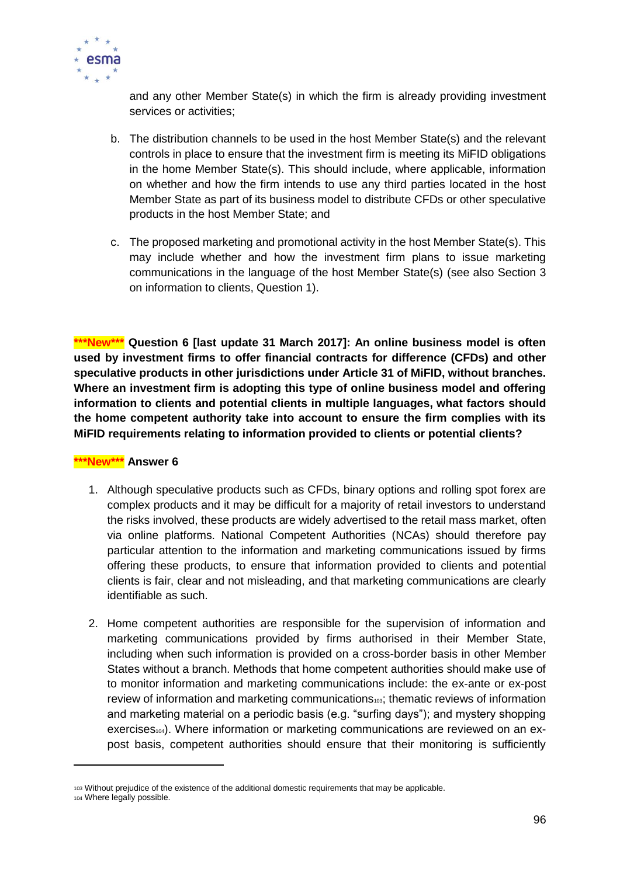

and any other Member State(s) in which the firm is already providing investment services or activities;

- b. The distribution channels to be used in the host Member State(s) and the relevant controls in place to ensure that the investment firm is meeting its MiFID obligations in the home Member State(s). This should include, where applicable, information on whether and how the firm intends to use any third parties located in the host Member State as part of its business model to distribute CFDs or other speculative products in the host Member State; and
- c. The proposed marketing and promotional activity in the host Member State(s). This may include whether and how the investment firm plans to issue marketing communications in the language of the host Member State(s) (see also Section 3 on information to clients, Question 1).

**\*\*\*New\*\*\* Question 6 [last update 31 March 2017]: An online business model is often used by investment firms to offer financial contracts for difference (CFDs) and other speculative products in other jurisdictions under Article 31 of MiFID, without branches. Where an investment firm is adopting this type of online business model and offering information to clients and potential clients in multiple languages, what factors should the home competent authority take into account to ensure the firm complies with its MiFID requirements relating to information provided to clients or potential clients?** 

#### **\*\*\*New\*\*\* Answer 6**

- 1. Although speculative products such as CFDs, binary options and rolling spot forex are complex products and it may be difficult for a majority of retail investors to understand the risks involved, these products are widely advertised to the retail mass market, often via online platforms. National Competent Authorities (NCAs) should therefore pay particular attention to the information and marketing communications issued by firms offering these products, to ensure that information provided to clients and potential clients is fair, clear and not misleading, and that marketing communications are clearly identifiable as such.
- 2. Home competent authorities are responsible for the supervision of information and marketing communications provided by firms authorised in their Member State, including when such information is provided on a cross-border basis in other Member States without a branch. Methods that home competent authorities should make use of to monitor information and marketing communications include: the ex-ante or ex-post review of information and marketing communications<sup>103</sup>; thematic reviews of information and marketing material on a periodic basis (e.g. "surfing days"); and mystery shopping  $exercises<sub>104</sub>$ . Where information or marketing communications are reviewed on an expost basis, competent authorities should ensure that their monitoring is sufficiently

<sup>103</sup> Without prejudice of the existence of the additional domestic requirements that may be applicable.